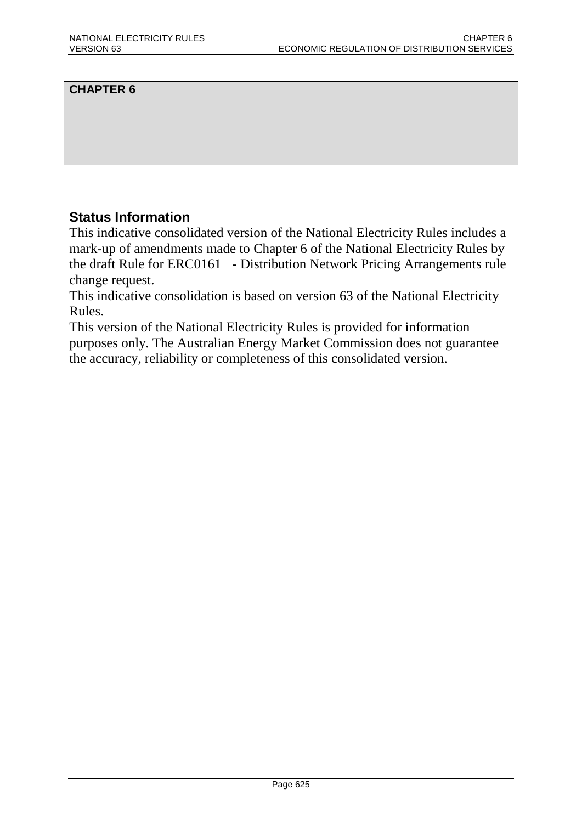## **CHAPTER 6**

## **Status Information**

This indicative consolidated version of the National Electricity Rules includes a mark-up of amendments made to Chapter 6 of the National Electricity Rules by the draft Rule for ERC0161 - Distribution Network Pricing Arrangements rule change request.

This indicative consolidation is based on version 63 of the National Electricity Rules.

This version of the National Electricity Rules is provided for information purposes only. The Australian Energy Market Commission does not guarantee the accuracy, reliability or completeness of this consolidated version.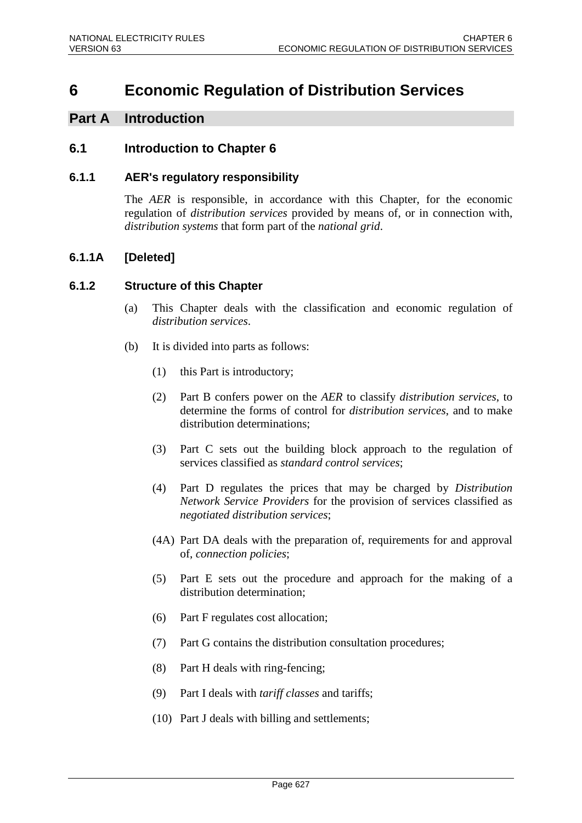# **6 Economic Regulation of Distribution Services**

## **Part A Introduction**

## **6.1 Introduction to Chapter 6**

### **6.1.1 AER's regulatory responsibility**

The *AER* is responsible, in accordance with this Chapter, for the economic regulation of *distribution services* provided by means of, or in connection with, *distribution systems* that form part of the *national grid*.

## **6.1.1A [Deleted]**

### **6.1.2 Structure of this Chapter**

- (a) This Chapter deals with the classification and economic regulation of *distribution services*.
- (b) It is divided into parts as follows:
	- (1) this Part is introductory;
	- (2) Part B confers power on the *AER* to classify *distribution services*, to determine the forms of control for *distribution services*, and to make distribution determinations;
	- (3) Part C sets out the building block approach to the regulation of services classified as *standard control services*;
	- (4) Part D regulates the prices that may be charged by *Distribution Network Service Providers* for the provision of services classified as *negotiated distribution services*;
	- (4A) Part DA deals with the preparation of, requirements for and approval of, *connection policies*;
	- (5) Part E sets out the procedure and approach for the making of a distribution determination;
	- (6) Part F regulates cost allocation;
	- (7) Part G contains the distribution consultation procedures;
	- (8) Part H deals with ring-fencing;
	- (9) Part I deals with *tariff classes* and tariffs;
	- (10) Part J deals with billing and settlements;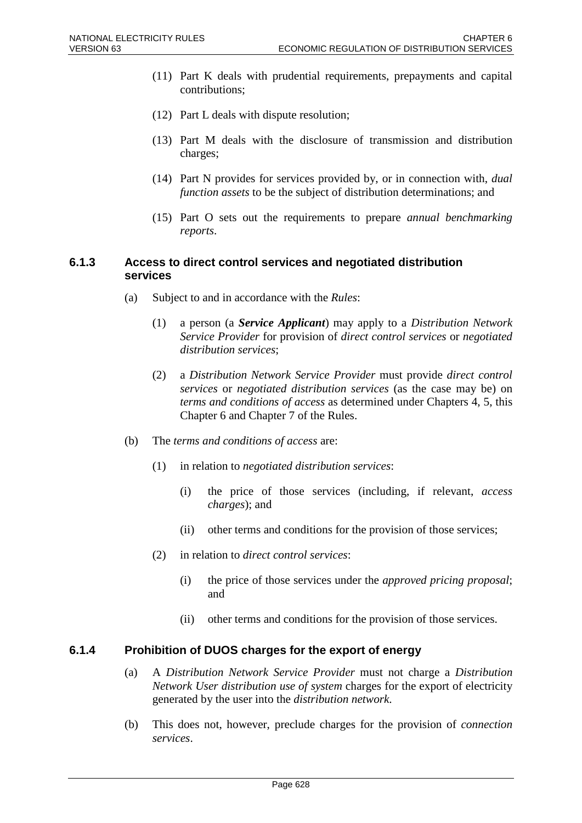- (11) Part K deals with prudential requirements, prepayments and capital contributions;
- (12) Part L deals with dispute resolution;
- (13) Part M deals with the disclosure of transmission and distribution charges;
- (14) Part N provides for services provided by, or in connection with, *dual function assets* to be the subject of distribution determinations; and
- (15) Part O sets out the requirements to prepare *annual benchmarking reports*.

### **6.1.3 Access to direct control services and negotiated distribution services**

- (a) Subject to and in accordance with the *Rules*:
	- (1) a person (a *Service Applicant*) may apply to a *Distribution Network Service Provider* for provision of *direct control services* or *negotiated distribution services*;
	- (2) a *Distribution Network Service Provider* must provide *direct control services* or *negotiated distribution services* (as the case may be) on *terms and conditions of access* as determined under Chapters 4, 5, this Chapter 6 and Chapter 7 of the Rules.
- (b) The *terms and conditions of access* are:
	- (1) in relation to *negotiated distribution services*:
		- (i) the price of those services (including, if relevant, *access charges*); and
		- (ii) other terms and conditions for the provision of those services;
	- (2) in relation to *direct control services*:
		- (i) the price of those services under the *approved pricing proposal*; and
		- (ii) other terms and conditions for the provision of those services.

### **6.1.4 Prohibition of DUOS charges for the export of energy**

- (a) A *Distribution Network Service Provider* must not charge a *Distribution Network User distribution use of system* charges for the export of electricity generated by the user into the *distribution network*.
- (b) This does not, however, preclude charges for the provision of *connection services*.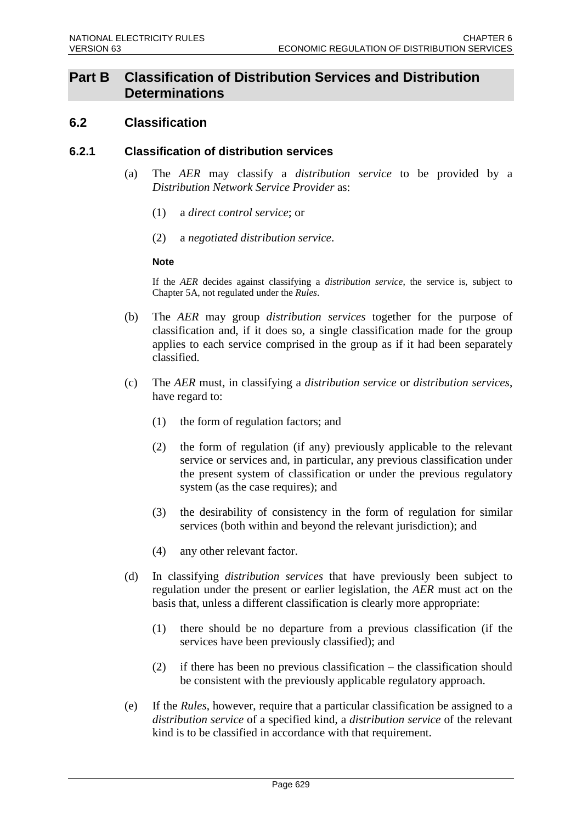## **Part B Classification of Distribution Services and Distribution Determinations**

## **6.2 Classification**

### **6.2.1 Classification of distribution services**

- (a) The *AER* may classify a *distribution service* to be provided by a *Distribution Network Service Provider* as:
	- (1) a *direct control service*; or
	- (2) a *negotiated distribution service*.

#### **Note**

If the *AER* decides against classifying a *distribution service*, the service is, subject to Chapter 5A, not regulated under the *Rules*.

- (b) The *AER* may group *distribution services* together for the purpose of classification and, if it does so, a single classification made for the group applies to each service comprised in the group as if it had been separately classified.
- (c) The *AER* must, in classifying a *distribution service* or *distribution services*, have regard to:
	- (1) the form of regulation factors; and
	- (2) the form of regulation (if any) previously applicable to the relevant service or services and, in particular, any previous classification under the present system of classification or under the previous regulatory system (as the case requires); and
	- (3) the desirability of consistency in the form of regulation for similar services (both within and beyond the relevant jurisdiction); and
	- (4) any other relevant factor.
- (d) In classifying *distribution services* that have previously been subject to regulation under the present or earlier legislation, the *AER* must act on the basis that, unless a different classification is clearly more appropriate:
	- (1) there should be no departure from a previous classification (if the services have been previously classified); and
	- (2) if there has been no previous classification the classification should be consistent with the previously applicable regulatory approach.
- (e) If the *Rules*, however, require that a particular classification be assigned to a *distribution service* of a specified kind, a *distribution service* of the relevant kind is to be classified in accordance with that requirement.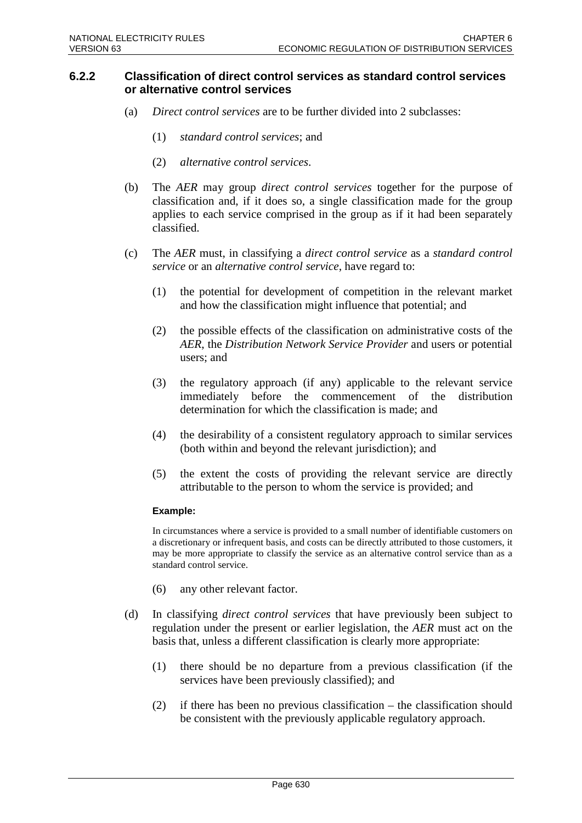### **6.2.2 Classification of direct control services as standard control services or alternative control services**

- (a) *Direct control services* are to be further divided into 2 subclasses:
	- (1) *standard control services*; and
	- (2) *alternative control services*.
- (b) The *AER* may group *direct control services* together for the purpose of classification and, if it does so, a single classification made for the group applies to each service comprised in the group as if it had been separately classified.
- (c) The *AER* must, in classifying a *direct control service* as a *standard control service* or an *alternative control service*, have regard to:
	- (1) the potential for development of competition in the relevant market and how the classification might influence that potential; and
	- (2) the possible effects of the classification on administrative costs of the *AER*, the *Distribution Network Service Provider* and users or potential users; and
	- (3) the regulatory approach (if any) applicable to the relevant service immediately before the commencement of the distribution determination for which the classification is made; and
	- (4) the desirability of a consistent regulatory approach to similar services (both within and beyond the relevant jurisdiction); and
	- (5) the extent the costs of providing the relevant service are directly attributable to the person to whom the service is provided; and

#### **Example:**

In circumstances where a service is provided to a small number of identifiable customers on a discretionary or infrequent basis, and costs can be directly attributed to those customers, it may be more appropriate to classify the service as an alternative control service than as a standard control service.

- (6) any other relevant factor.
- (d) In classifying *direct control services* that have previously been subject to regulation under the present or earlier legislation, the *AER* must act on the basis that, unless a different classification is clearly more appropriate:
	- (1) there should be no departure from a previous classification (if the services have been previously classified); and
	- (2) if there has been no previous classification the classification should be consistent with the previously applicable regulatory approach.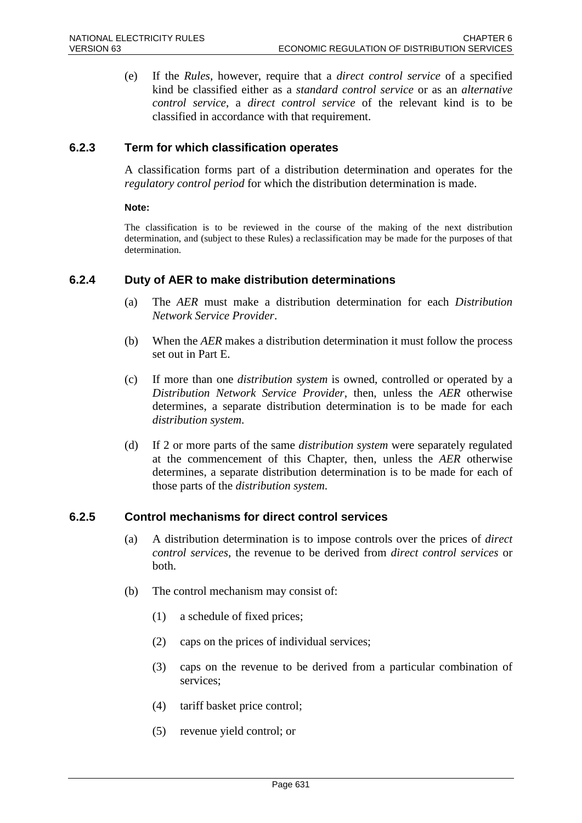(e) If the *Rules*, however, require that a *direct control service* of a specified kind be classified either as a *standard control service* or as an *alternative control service*, a *direct control service* of the relevant kind is to be classified in accordance with that requirement.

### **6.2.3 Term for which classification operates**

A classification forms part of a distribution determination and operates for the *regulatory control period* for which the distribution determination is made.

#### **Note:**

The classification is to be reviewed in the course of the making of the next distribution determination, and (subject to these Rules) a reclassification may be made for the purposes of that determination.

### **6.2.4 Duty of AER to make distribution determinations**

- (a) The *AER* must make a distribution determination for each *Distribution Network Service Provider*.
- (b) When the *AER* makes a distribution determination it must follow the process set out in Part E.
- (c) If more than one *distribution system* is owned, controlled or operated by a *Distribution Network Service Provider*, then, unless the *AER* otherwise determines, a separate distribution determination is to be made for each *distribution system*.
- (d) If 2 or more parts of the same *distribution system* were separately regulated at the commencement of this Chapter, then, unless the *AER* otherwise determines, a separate distribution determination is to be made for each of those parts of the *distribution system*.

### **6.2.5 Control mechanisms for direct control services**

- (a) A distribution determination is to impose controls over the prices of *direct control services*, the revenue to be derived from *direct control services* or both.
- (b) The control mechanism may consist of:
	- (1) a schedule of fixed prices;
	- (2) caps on the prices of individual services;
	- (3) caps on the revenue to be derived from a particular combination of services;
	- (4) tariff basket price control;
	- (5) revenue yield control; or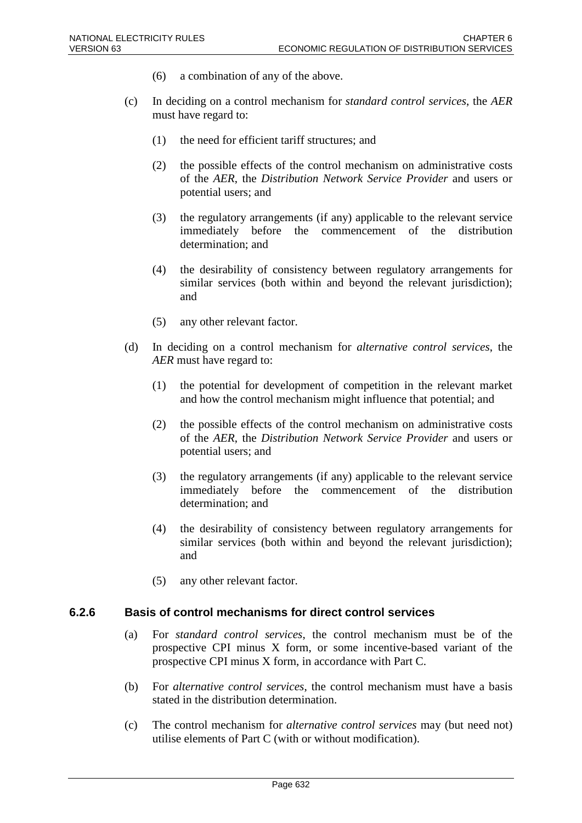- (6) a combination of any of the above.
- (c) In deciding on a control mechanism for *standard control services*, the *AER* must have regard to:
	- (1) the need for efficient tariff structures; and
	- (2) the possible effects of the control mechanism on administrative costs of the *AER*, the *Distribution Network Service Provider* and users or potential users; and
	- (3) the regulatory arrangements (if any) applicable to the relevant service immediately before the commencement of the distribution determination; and
	- (4) the desirability of consistency between regulatory arrangements for similar services (both within and beyond the relevant jurisdiction); and
	- (5) any other relevant factor.
- (d) In deciding on a control mechanism for *alternative control services*, the *AER* must have regard to:
	- (1) the potential for development of competition in the relevant market and how the control mechanism might influence that potential; and
	- (2) the possible effects of the control mechanism on administrative costs of the *AER*, the *Distribution Network Service Provider* and users or potential users; and
	- (3) the regulatory arrangements (if any) applicable to the relevant service immediately before the commencement of the distribution determination; and
	- (4) the desirability of consistency between regulatory arrangements for similar services (both within and beyond the relevant jurisdiction); and
	- (5) any other relevant factor.

### **6.2.6 Basis of control mechanisms for direct control services**

- (a) For *standard control services*, the control mechanism must be of the prospective CPI minus X form, or some incentive-based variant of the prospective CPI minus X form, in accordance with Part C.
- (b) For *alternative control services*, the control mechanism must have a basis stated in the distribution determination.
- (c) The control mechanism for *alternative control services* may (but need not) utilise elements of Part C (with or without modification).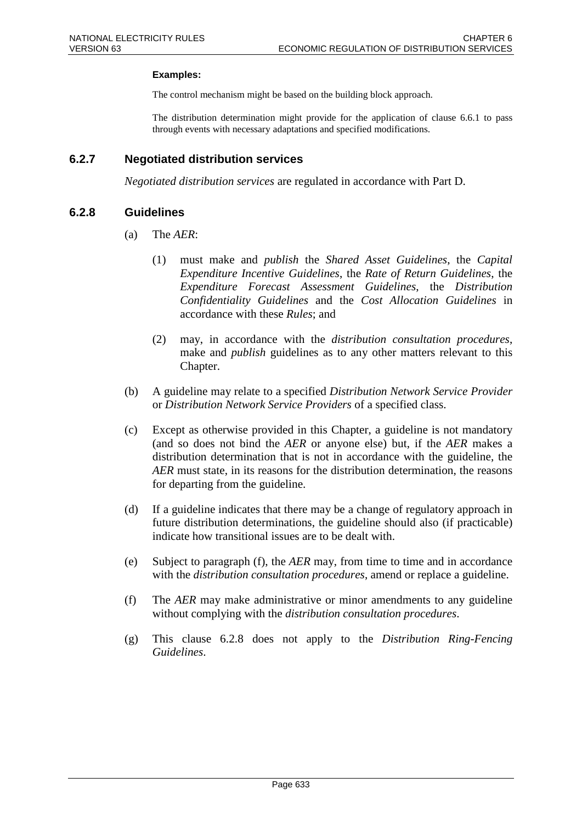#### **Examples:**

The control mechanism might be based on the building block approach.

The distribution determination might provide for the application of clause 6.6.1 to pass through events with necessary adaptations and specified modifications.

### **6.2.7 Negotiated distribution services**

*Negotiated distribution services* are regulated in accordance with Part D.

### **6.2.8 Guidelines**

- (a) The *AER*:
	- (1) must make and *publish* the *Shared Asset Guidelines*, the *Capital Expenditure Incentive Guidelines*, the *Rate of Return Guidelines*, the *Expenditure Forecast Assessment Guidelines*, the *Distribution Confidentiality Guidelines* and the *Cost Allocation Guidelines* in accordance with these *Rules*; and
	- (2) may, in accordance with the *distribution consultation procedures*, make and *publish* guidelines as to any other matters relevant to this Chapter.
- (b) A guideline may relate to a specified *Distribution Network Service Provider* or *Distribution Network Service Providers* of a specified class.
- (c) Except as otherwise provided in this Chapter, a guideline is not mandatory (and so does not bind the *AER* or anyone else) but, if the *AER* makes a distribution determination that is not in accordance with the guideline, the *AER* must state, in its reasons for the distribution determination, the reasons for departing from the guideline.
- (d) If a guideline indicates that there may be a change of regulatory approach in future distribution determinations, the guideline should also (if practicable) indicate how transitional issues are to be dealt with.
- (e) Subject to paragraph (f), the *AER* may, from time to time and in accordance with the *distribution consultation procedures*, amend or replace a guideline.
- (f) The *AER* may make administrative or minor amendments to any guideline without complying with the *distribution consultation procedures*.
- (g) This clause 6.2.8 does not apply to the *Distribution Ring-Fencing Guidelines*.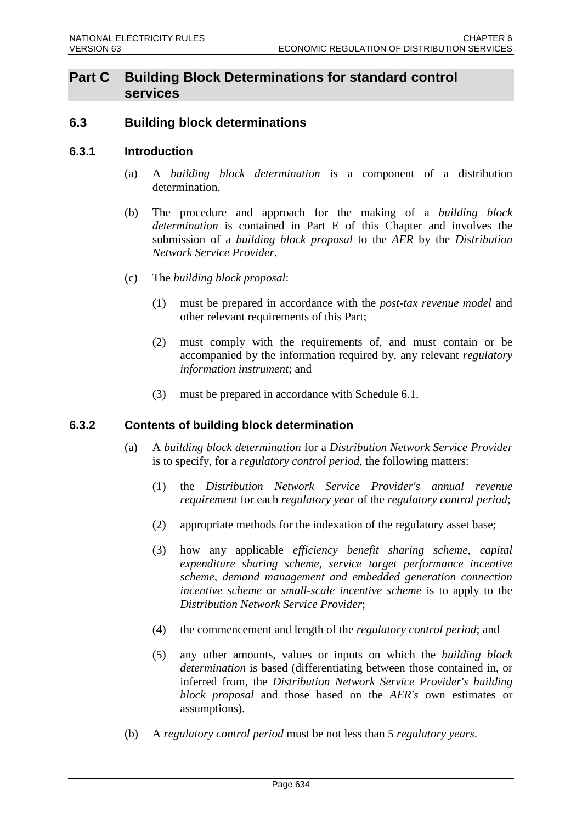## **Part C Building Block Determinations for standard control services**

## **6.3 Building block determinations**

### **6.3.1 Introduction**

- (a) A *building block determination* is a component of a distribution determination.
- (b) The procedure and approach for the making of a *building block determination* is contained in Part E of this Chapter and involves the submission of a *building block proposal* to the *AER* by the *Distribution Network Service Provider*.
- (c) The *building block proposal*:
	- (1) must be prepared in accordance with the *post-tax revenue model* and other relevant requirements of this Part;
	- (2) must comply with the requirements of, and must contain or be accompanied by the information required by, any relevant *regulatory information instrument*; and
	- (3) must be prepared in accordance with Schedule 6.1.

### **6.3.2 Contents of building block determination**

- (a) A *building block determination* for a *Distribution Network Service Provider* is to specify, for a *regulatory control period*, the following matters:
	- (1) the *Distribution Network Service Provider's annual revenue requirement* for each *regulatory year* of the *regulatory control period*;
	- (2) appropriate methods for the indexation of the regulatory asset base;
	- (3) how any applicable *efficiency benefit sharing scheme*, *capital expenditure sharing scheme*, *service target performance incentive scheme*, *demand management and embedded generation connection incentive scheme* or *small-scale incentive scheme* is to apply to the *Distribution Network Service Provider*;
	- (4) the commencement and length of the *regulatory control period*; and
	- (5) any other amounts, values or inputs on which the *building block determination* is based (differentiating between those contained in, or inferred from, the *Distribution Network Service Provider's building block proposal* and those based on the *AER's* own estimates or assumptions).
- (b) A *regulatory control period* must be not less than 5 *regulatory years*.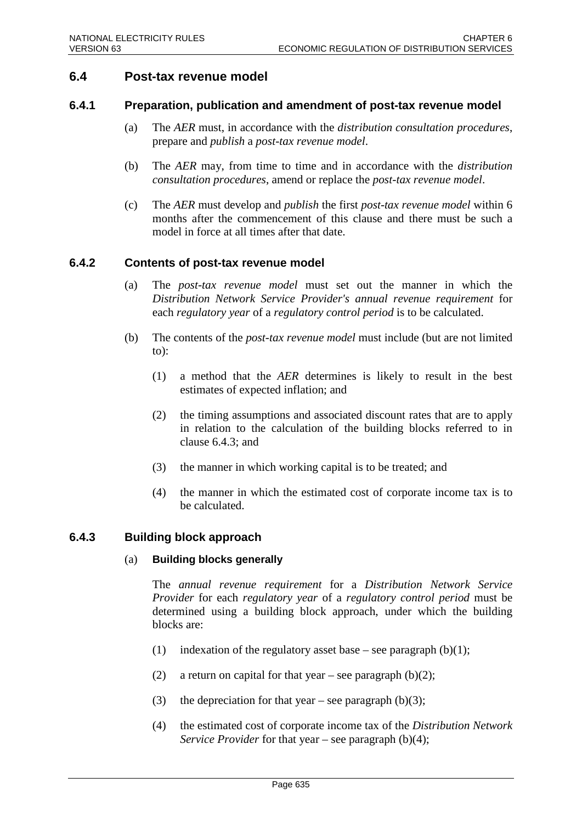## **6.4 Post-tax revenue model**

### **6.4.1 Preparation, publication and amendment of post-tax revenue model**

- (a) The *AER* must, in accordance with the *distribution consultation procedures*, prepare and *publish* a *post-tax revenue model*.
- (b) The *AER* may, from time to time and in accordance with the *distribution consultation procedures*, amend or replace the *post-tax revenue model*.
- (c) The *AER* must develop and *publish* the first *post-tax revenue model* within 6 months after the commencement of this clause and there must be such a model in force at all times after that date.

### **6.4.2 Contents of post-tax revenue model**

- (a) The *post-tax revenue model* must set out the manner in which the *Distribution Network Service Provider's annual revenue requirement* for each *regulatory year* of a *regulatory control period* is to be calculated.
- (b) The contents of the *post-tax revenue model* must include (but are not limited to):
	- (1) a method that the *AER* determines is likely to result in the best estimates of expected inflation; and
	- (2) the timing assumptions and associated discount rates that are to apply in relation to the calculation of the building blocks referred to in clause 6.4.3; and
	- (3) the manner in which working capital is to be treated; and
	- (4) the manner in which the estimated cost of corporate income tax is to be calculated.

## **6.4.3 Building block approach**

### (a) **Building blocks generally**

The *annual revenue requirement* for a *Distribution Network Service Provider* for each *regulatory year* of a *regulatory control period* must be determined using a building block approach, under which the building blocks are:

- (1) indexation of the regulatory asset base see paragraph  $(b)(1)$ ;
- (2) a return on capital for that year see paragraph  $(b)(2)$ ;
- (3) the depreciation for that year see paragraph (b)(3);
- (4) the estimated cost of corporate income tax of the *Distribution Network Service Provider* for that year – see paragraph (b)(4);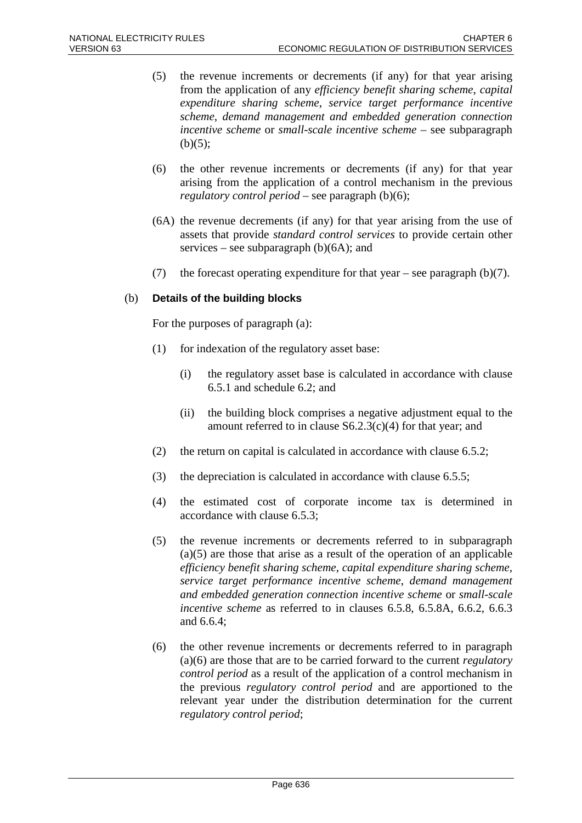- (5) the revenue increments or decrements (if any) for that year arising from the application of any *efficiency benefit sharing scheme*, *capital expenditure sharing scheme*, *service target performance incentive scheme*, *demand management and embedded generation connection incentive scheme* or *small-scale incentive scheme* – see subparagraph  $(b)(5);$
- (6) the other revenue increments or decrements (if any) for that year arising from the application of a control mechanism in the previous *regulatory control period* – see paragraph (b)(6);
- (6A) the revenue decrements (if any) for that year arising from the use of assets that provide *standard control services* to provide certain other services – see subparagraph  $(b)(6A)$ ; and
- (7) the forecast operating expenditure for that year see paragraph  $(b)(7)$ .

### (b) **Details of the building blocks**

For the purposes of paragraph (a):

- (1) for indexation of the regulatory asset base:
	- (i) the regulatory asset base is calculated in accordance with clause 6.5.1 and schedule 6.2; and
	- (ii) the building block comprises a negative adjustment equal to the amount referred to in clause  $S6.2.3(c)(4)$  for that year; and
- (2) the return on capital is calculated in accordance with clause 6.5.2;
- (3) the depreciation is calculated in accordance with clause 6.5.5;
- (4) the estimated cost of corporate income tax is determined in accordance with clause 6.5.3;
- (5) the revenue increments or decrements referred to in subparagraph  $(a)(5)$  are those that arise as a result of the operation of an applicable *efficiency benefit sharing scheme*, *capital expenditure sharing scheme*, *service target performance incentive scheme*, *demand management and embedded generation connection incentive scheme* or *small-scale incentive scheme* as referred to in clauses 6.5.8, 6.5.8A, 6.6.2, 6.6.3 and 6.6.4;
- (6) the other revenue increments or decrements referred to in paragraph (a)(6) are those that are to be carried forward to the current *regulatory control period* as a result of the application of a control mechanism in the previous *regulatory control period* and are apportioned to the relevant year under the distribution determination for the current *regulatory control period*;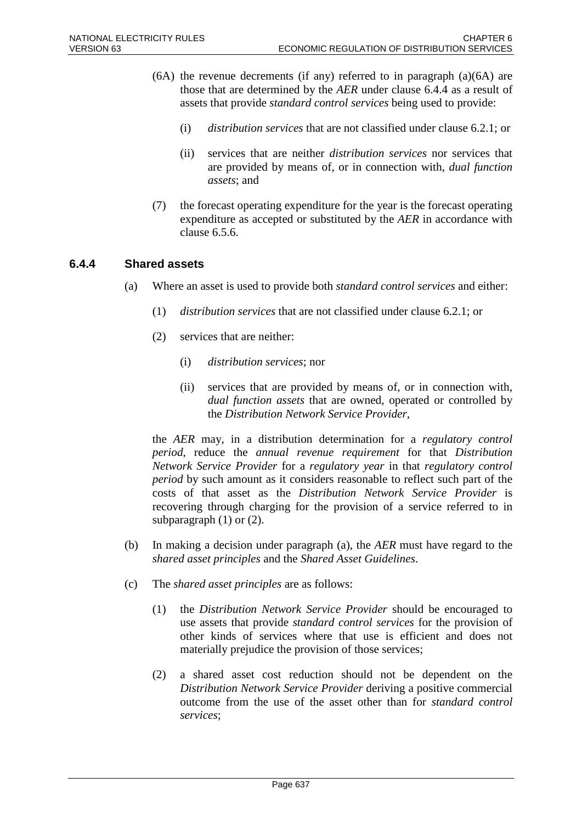- $(6A)$  the revenue decrements (if any) referred to in paragraph  $(a)(6A)$  are those that are determined by the *AER* under clause 6.4.4 as a result of assets that provide *standard control services* being used to provide:
	- (i) *distribution services* that are not classified under clause 6.2.1; or
	- (ii) services that are neither *distribution services* nor services that are provided by means of, or in connection with, *dual function assets*; and
- (7) the forecast operating expenditure for the year is the forecast operating expenditure as accepted or substituted by the *AER* in accordance with clause 6.5.6.

### **6.4.4 Shared assets**

- (a) Where an asset is used to provide both *standard control services* and either:
	- (1) *distribution services* that are not classified under clause 6.2.1; or
	- (2) services that are neither:
		- (i) *distribution services*; nor
		- (ii) services that are provided by means of, or in connection with, *dual function assets* that are owned, operated or controlled by the *Distribution Network Service Provider*,

the *AER* may, in a distribution determination for a *regulatory control period*, reduce the *annual revenue requirement* for that *Distribution Network Service Provider* for a *regulatory year* in that *regulatory control period* by such amount as it considers reasonable to reflect such part of the costs of that asset as the *Distribution Network Service Provider* is recovering through charging for the provision of a service referred to in subparagraph  $(1)$  or  $(2)$ .

- (b) In making a decision under paragraph (a), the *AER* must have regard to the *shared asset principles* and the *Shared Asset Guidelines*.
- (c) The *shared asset principles* are as follows:
	- (1) the *Distribution Network Service Provider* should be encouraged to use assets that provide *standard control services* for the provision of other kinds of services where that use is efficient and does not materially prejudice the provision of those services;
	- (2) a shared asset cost reduction should not be dependent on the *Distribution Network Service Provider* deriving a positive commercial outcome from the use of the asset other than for *standard control services*;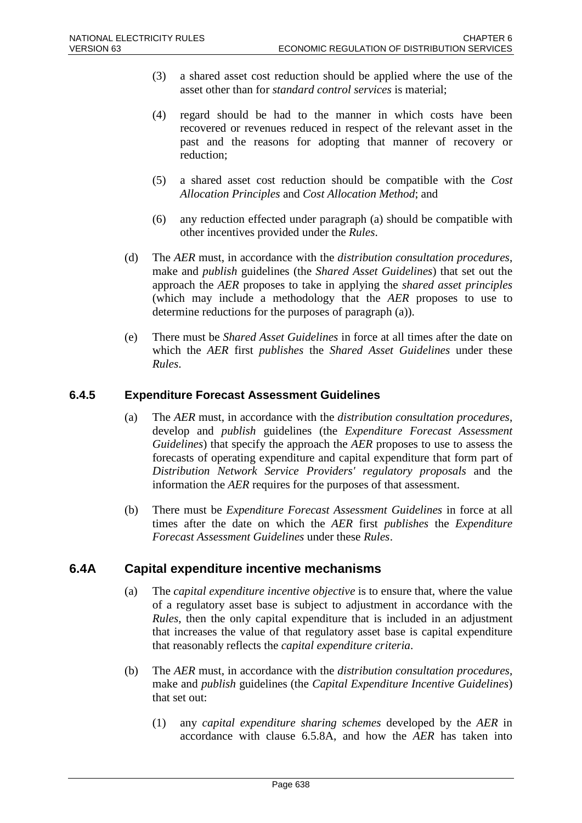- (3) a shared asset cost reduction should be applied where the use of the asset other than for *standard control services* is material;
- (4) regard should be had to the manner in which costs have been recovered or revenues reduced in respect of the relevant asset in the past and the reasons for adopting that manner of recovery or reduction;
- (5) a shared asset cost reduction should be compatible with the *Cost Allocation Principles* and *Cost Allocation Method*; and
- (6) any reduction effected under paragraph (a) should be compatible with other incentives provided under the *Rules*.
- (d) The *AER* must, in accordance with the *distribution consultation procedures*, make and *publish* guidelines (the *Shared Asset Guidelines*) that set out the approach the *AER* proposes to take in applying the *shared asset principles* (which may include a methodology that the *AER* proposes to use to determine reductions for the purposes of paragraph (a)).
- (e) There must be *Shared Asset Guidelines* in force at all times after the date on which the *AER* first *publishes* the *Shared Asset Guidelines* under these *Rules*.

## **6.4.5 Expenditure Forecast Assessment Guidelines**

- (a) The *AER* must, in accordance with the *distribution consultation procedures*, develop and *publish* guidelines (the *Expenditure Forecast Assessment Guidelines*) that specify the approach the *AER* proposes to use to assess the forecasts of operating expenditure and capital expenditure that form part of *Distribution Network Service Providers' regulatory proposals* and the information the *AER* requires for the purposes of that assessment.
- (b) There must be *Expenditure Forecast Assessment Guidelines* in force at all times after the date on which the *AER* first *publishes* the *Expenditure Forecast Assessment Guidelines* under these *Rules*.

## **6.4A Capital expenditure incentive mechanisms**

- (a) The *capital expenditure incentive objective* is to ensure that, where the value of a regulatory asset base is subject to adjustment in accordance with the *Rules*, then the only capital expenditure that is included in an adjustment that increases the value of that regulatory asset base is capital expenditure that reasonably reflects the *capital expenditure criteria*.
- (b) The *AER* must, in accordance with the *distribution consultation procedures*, make and *publish* guidelines (the *Capital Expenditure Incentive Guidelines*) that set out:
	- (1) any *capital expenditure sharing schemes* developed by the *AER* in accordance with clause 6.5.8A, and how the *AER* has taken into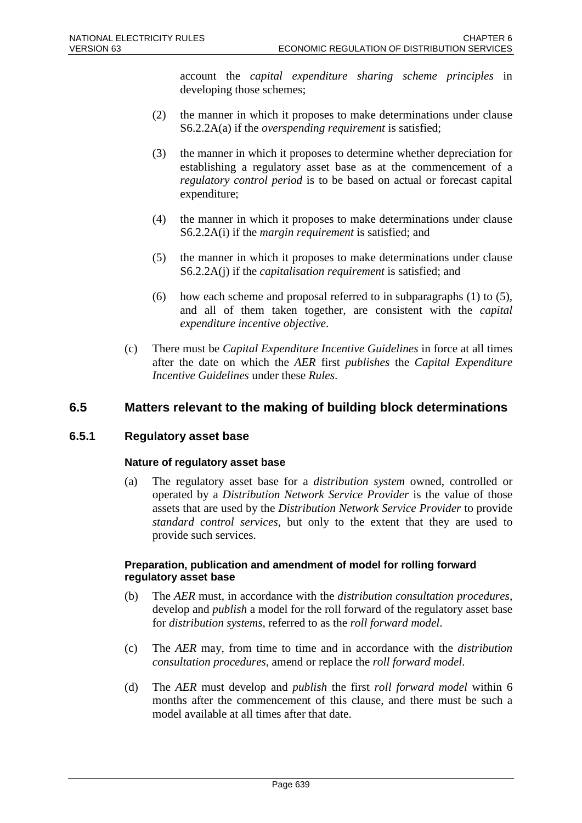account the *capital expenditure sharing scheme principles* in developing those schemes;

- (2) the manner in which it proposes to make determinations under clause S6.2.2A(a) if the *overspending requirement* is satisfied;
- (3) the manner in which it proposes to determine whether depreciation for establishing a regulatory asset base as at the commencement of a *regulatory control period* is to be based on actual or forecast capital expenditure;
- (4) the manner in which it proposes to make determinations under clause S6.2.2A(i) if the *margin requirement* is satisfied; and
- (5) the manner in which it proposes to make determinations under clause S6.2.2A(j) if the *capitalisation requirement* is satisfied; and
- (6) how each scheme and proposal referred to in subparagraphs (1) to (5), and all of them taken together, are consistent with the *capital expenditure incentive objective*.
- (c) There must be *Capital Expenditure Incentive Guidelines* in force at all times after the date on which the *AER* first *publishes* the *Capital Expenditure Incentive Guidelines* under these *Rules*.

## **6.5 Matters relevant to the making of building block determinations**

## **6.5.1 Regulatory asset base**

### **Nature of regulatory asset base**

(a) The regulatory asset base for a *distribution system* owned, controlled or operated by a *Distribution Network Service Provider* is the value of those assets that are used by the *Distribution Network Service Provider* to provide *standard control services*, but only to the extent that they are used to provide such services.

### **Preparation, publication and amendment of model for rolling forward regulatory asset base**

- (b) The *AER* must, in accordance with the *distribution consultation procedures*, develop and *publish* a model for the roll forward of the regulatory asset base for *distribution systems*, referred to as the *roll forward model*.
- (c) The *AER* may, from time to time and in accordance with the *distribution consultation procedures*, amend or replace the *roll forward model*.
- (d) The *AER* must develop and *publish* the first *roll forward model* within 6 months after the commencement of this clause, and there must be such a model available at all times after that date.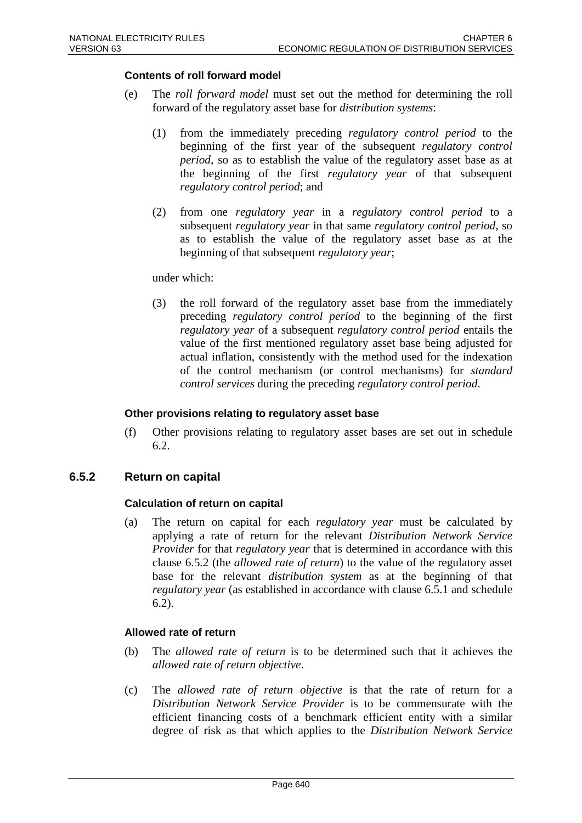### **Contents of roll forward model**

- (e) The *roll forward model* must set out the method for determining the roll forward of the regulatory asset base for *distribution systems*:
	- (1) from the immediately preceding *regulatory control period* to the beginning of the first year of the subsequent *regulatory control period*, so as to establish the value of the regulatory asset base as at the beginning of the first *regulatory year* of that subsequent *regulatory control period*; and
	- (2) from one *regulatory year* in a *regulatory control period* to a subsequent *regulatory year* in that same *regulatory control period*, so as to establish the value of the regulatory asset base as at the beginning of that subsequent *regulatory year*;

#### under which:

(3) the roll forward of the regulatory asset base from the immediately preceding *regulatory control period* to the beginning of the first *regulatory year* of a subsequent *regulatory control period* entails the value of the first mentioned regulatory asset base being adjusted for actual inflation, consistently with the method used for the indexation of the control mechanism (or control mechanisms) for *standard control services* during the preceding *regulatory control period*.

#### **Other provisions relating to regulatory asset base**

(f) Other provisions relating to regulatory asset bases are set out in schedule 6.2.

### **6.5.2 Return on capital**

### **Calculation of return on capital**

(a) The return on capital for each *regulatory year* must be calculated by applying a rate of return for the relevant *Distribution Network Service Provider* for that *regulatory year* that is determined in accordance with this clause 6.5.2 (the *allowed rate of return*) to the value of the regulatory asset base for the relevant *distribution system* as at the beginning of that *regulatory year* (as established in accordance with clause 6.5.1 and schedule 6.2).

### **Allowed rate of return**

- (b) The *allowed rate of return* is to be determined such that it achieves the *allowed rate of return objective*.
- (c) The *allowed rate of return objective* is that the rate of return for a *Distribution Network Service Provider* is to be commensurate with the efficient financing costs of a benchmark efficient entity with a similar degree of risk as that which applies to the *Distribution Network Service*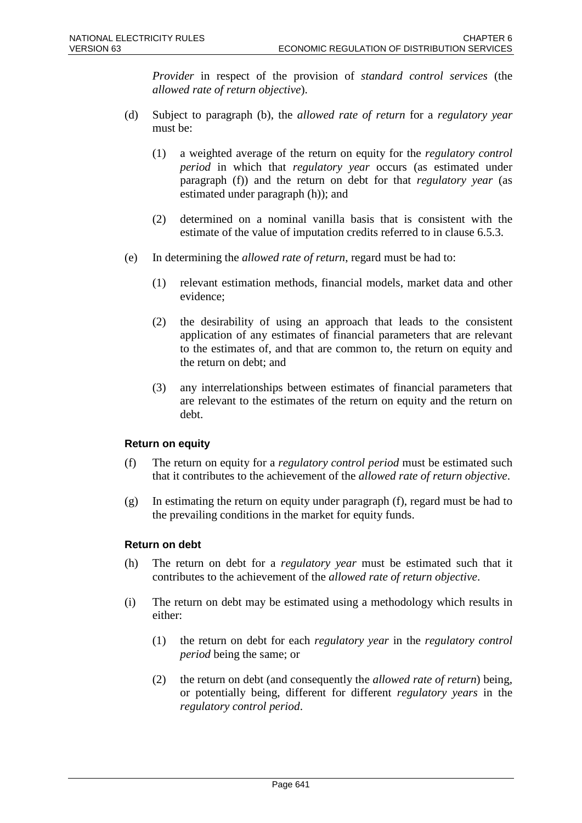*Provider* in respect of the provision of *standard control services* (the *allowed rate of return objective*).

- (d) Subject to paragraph (b), the *allowed rate of return* for a *regulatory year* must be:
	- (1) a weighted average of the return on equity for the *regulatory control period* in which that *regulatory year* occurs (as estimated under paragraph (f)) and the return on debt for that *regulatory year* (as estimated under paragraph (h)); and
	- (2) determined on a nominal vanilla basis that is consistent with the estimate of the value of imputation credits referred to in clause 6.5.3.
- (e) In determining the *allowed rate of return*, regard must be had to:
	- (1) relevant estimation methods, financial models, market data and other evidence;
	- (2) the desirability of using an approach that leads to the consistent application of any estimates of financial parameters that are relevant to the estimates of, and that are common to, the return on equity and the return on debt; and
	- (3) any interrelationships between estimates of financial parameters that are relevant to the estimates of the return on equity and the return on debt.

## **Return on equity**

- (f) The return on equity for a *regulatory control period* must be estimated such that it contributes to the achievement of the *allowed rate of return objective*.
- (g) In estimating the return on equity under paragraph (f), regard must be had to the prevailing conditions in the market for equity funds.

## **Return on debt**

- (h) The return on debt for a *regulatory year* must be estimated such that it contributes to the achievement of the *allowed rate of return objective*.
- (i) The return on debt may be estimated using a methodology which results in either:
	- (1) the return on debt for each *regulatory year* in the *regulatory control period* being the same; or
	- (2) the return on debt (and consequently the *allowed rate of return*) being, or potentially being, different for different *regulatory years* in the *regulatory control period*.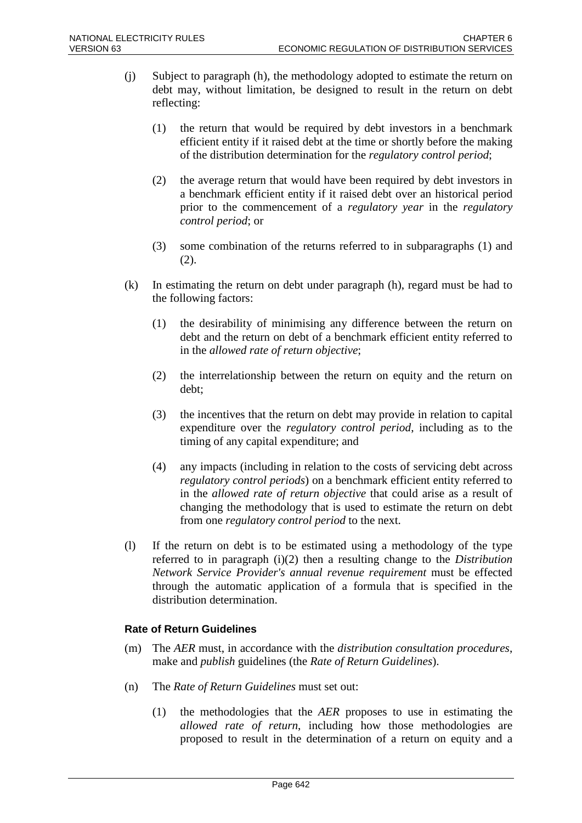- (j) Subject to paragraph (h), the methodology adopted to estimate the return on debt may, without limitation, be designed to result in the return on debt reflecting:
	- (1) the return that would be required by debt investors in a benchmark efficient entity if it raised debt at the time or shortly before the making of the distribution determination for the *regulatory control period*;
	- (2) the average return that would have been required by debt investors in a benchmark efficient entity if it raised debt over an historical period prior to the commencement of a *regulatory year* in the *regulatory control period*; or
	- (3) some combination of the returns referred to in subparagraphs (1) and  $(2).$
- (k) In estimating the return on debt under paragraph (h), regard must be had to the following factors:
	- (1) the desirability of minimising any difference between the return on debt and the return on debt of a benchmark efficient entity referred to in the *allowed rate of return objective*;
	- (2) the interrelationship between the return on equity and the return on debt;
	- (3) the incentives that the return on debt may provide in relation to capital expenditure over the *regulatory control period*, including as to the timing of any capital expenditure; and
	- (4) any impacts (including in relation to the costs of servicing debt across *regulatory control periods*) on a benchmark efficient entity referred to in the *allowed rate of return objective* that could arise as a result of changing the methodology that is used to estimate the return on debt from one *regulatory control period* to the next.
- (l) If the return on debt is to be estimated using a methodology of the type referred to in paragraph (i)(2) then a resulting change to the *Distribution Network Service Provider's annual revenue requirement* must be effected through the automatic application of a formula that is specified in the distribution determination.

## **Rate of Return Guidelines**

- (m) The *AER* must, in accordance with the *distribution consultation procedures*, make and *publish* guidelines (the *Rate of Return Guidelines*).
- (n) The *Rate of Return Guidelines* must set out:
	- (1) the methodologies that the *AER* proposes to use in estimating the *allowed rate of return*, including how those methodologies are proposed to result in the determination of a return on equity and a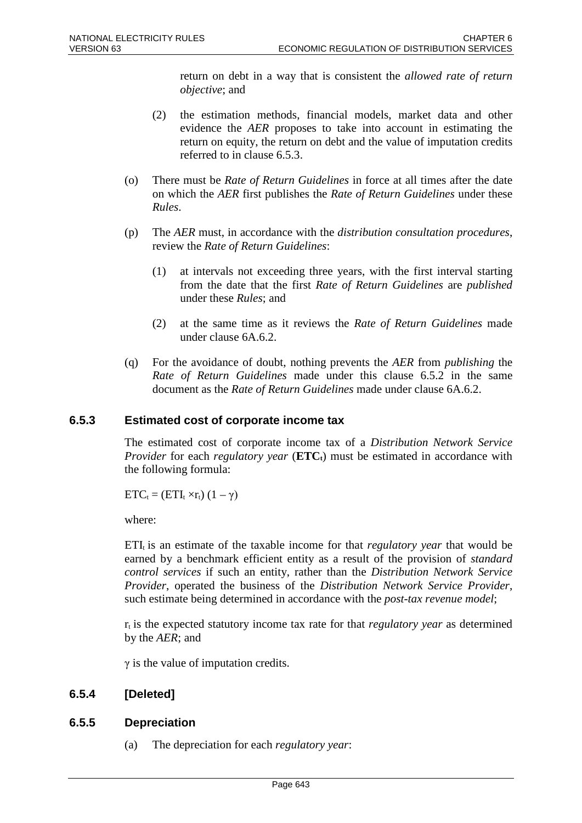return on debt in a way that is consistent the *allowed rate of return objective*; and

- (2) the estimation methods, financial models, market data and other evidence the *AER* proposes to take into account in estimating the return on equity, the return on debt and the value of imputation credits referred to in clause 6.5.3.
- (o) There must be *Rate of Return Guidelines* in force at all times after the date on which the *AER* first publishes the *Rate of Return Guidelines* under these *Rules*.
- (p) The *AER* must, in accordance with the *distribution consultation procedures*, review the *Rate of Return Guidelines*:
	- (1) at intervals not exceeding three years, with the first interval starting from the date that the first *Rate of Return Guidelines* are *published* under these *Rules*; and
	- (2) at the same time as it reviews the *Rate of Return Guidelines* made under clause 6A.6.2.
- (q) For the avoidance of doubt, nothing prevents the *AER* from *publishing* the *Rate of Return Guidelines* made under this clause 6.5.2 in the same document as the *Rate of Return Guidelines* made under clause 6A.6.2.

## **6.5.3 Estimated cost of corporate income tax**

The estimated cost of corporate income tax of a *Distribution Network Service Provider* for each *regulatory year* (**ETC**<sub>t</sub>) must be estimated in accordance with the following formula:

 $ETC_t = (ETI_t \times r_t) (1 - \gamma)$ 

where:

 $ETI<sub>t</sub>$  is an estimate of the taxable income for that *regulatory year* that would be earned by a benchmark efficient entity as a result of the provision of *standard control services* if such an entity, rather than the *Distribution Network Service Provider*, operated the business of the *Distribution Network Service Provider*, such estimate being determined in accordance with the *post-tax revenue model*;

 $r_t$  is the expected statutory income tax rate for that *regulatory year* as determined by the *AER*; and

 $\gamma$  is the value of imputation credits.

## **6.5.4 [Deleted]**

## **6.5.5 Depreciation**

(a) The depreciation for each *regulatory year*: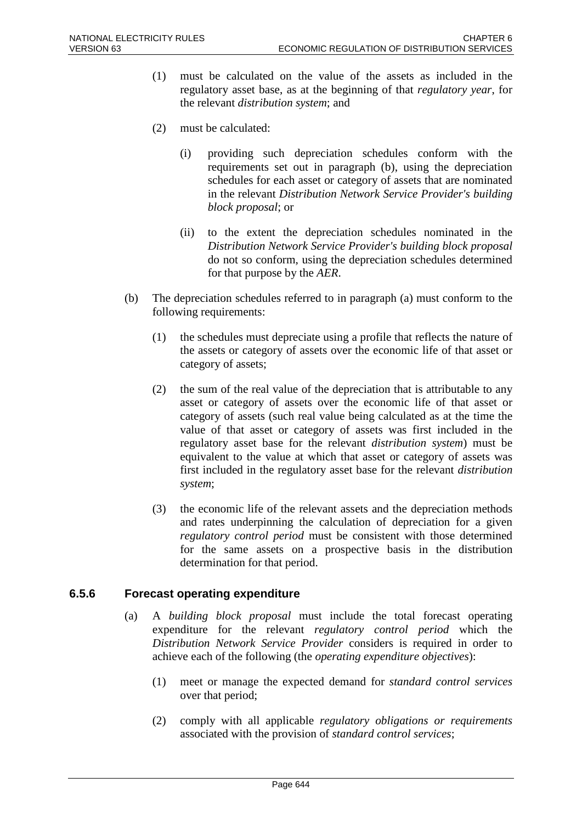- (1) must be calculated on the value of the assets as included in the regulatory asset base, as at the beginning of that *regulatory year*, for the relevant *distribution system*; and
- (2) must be calculated:
	- (i) providing such depreciation schedules conform with the requirements set out in paragraph (b), using the depreciation schedules for each asset or category of assets that are nominated in the relevant *Distribution Network Service Provider's building block proposal*; or
	- (ii) to the extent the depreciation schedules nominated in the *Distribution Network Service Provider's building block proposal* do not so conform, using the depreciation schedules determined for that purpose by the *AER*.
- (b) The depreciation schedules referred to in paragraph (a) must conform to the following requirements:
	- (1) the schedules must depreciate using a profile that reflects the nature of the assets or category of assets over the economic life of that asset or category of assets;
	- (2) the sum of the real value of the depreciation that is attributable to any asset or category of assets over the economic life of that asset or category of assets (such real value being calculated as at the time the value of that asset or category of assets was first included in the regulatory asset base for the relevant *distribution system*) must be equivalent to the value at which that asset or category of assets was first included in the regulatory asset base for the relevant *distribution system*;
	- (3) the economic life of the relevant assets and the depreciation methods and rates underpinning the calculation of depreciation for a given *regulatory control period* must be consistent with those determined for the same assets on a prospective basis in the distribution determination for that period.

## **6.5.6 Forecast operating expenditure**

- (a) A *building block proposal* must include the total forecast operating expenditure for the relevant *regulatory control period* which the *Distribution Network Service Provider* considers is required in order to achieve each of the following (the *operating expenditure objectives*):
	- (1) meet or manage the expected demand for *standard control services* over that period;
	- (2) comply with all applicable *regulatory obligations or requirements* associated with the provision of *standard control services*;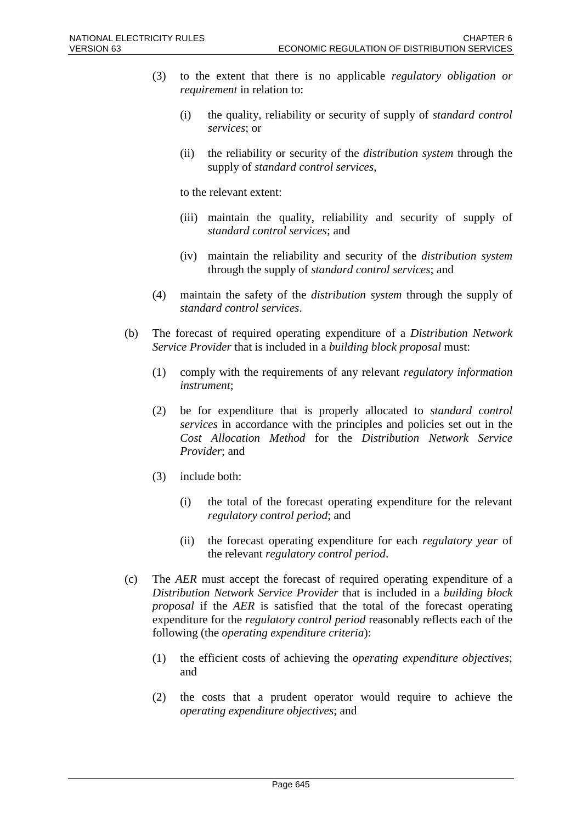- (3) to the extent that there is no applicable *regulatory obligation or requirement* in relation to:
	- (i) the quality, reliability or security of supply of *standard control services*; or
	- (ii) the reliability or security of the *distribution system* through the supply of *standard control services*,

to the relevant extent:

- (iii) maintain the quality, reliability and security of supply of *standard control services*; and
- (iv) maintain the reliability and security of the *distribution system* through the supply of *standard control services*; and
- (4) maintain the safety of the *distribution system* through the supply of *standard control services*.
- (b) The forecast of required operating expenditure of a *Distribution Network Service Provider* that is included in a *building block proposal* must:
	- (1) comply with the requirements of any relevant *regulatory information instrument*;
	- (2) be for expenditure that is properly allocated to *standard control services* in accordance with the principles and policies set out in the *Cost Allocation Method* for the *Distribution Network Service Provider*; and
	- (3) include both:
		- (i) the total of the forecast operating expenditure for the relevant *regulatory control period*; and
		- (ii) the forecast operating expenditure for each *regulatory year* of the relevant *regulatory control period*.
- (c) The *AER* must accept the forecast of required operating expenditure of a *Distribution Network Service Provider* that is included in a *building block proposal* if the *AER* is satisfied that the total of the forecast operating expenditure for the *regulatory control period* reasonably reflects each of the following (the *operating expenditure criteria*):
	- (1) the efficient costs of achieving the *operating expenditure objectives*; and
	- (2) the costs that a prudent operator would require to achieve the *operating expenditure objectives*; and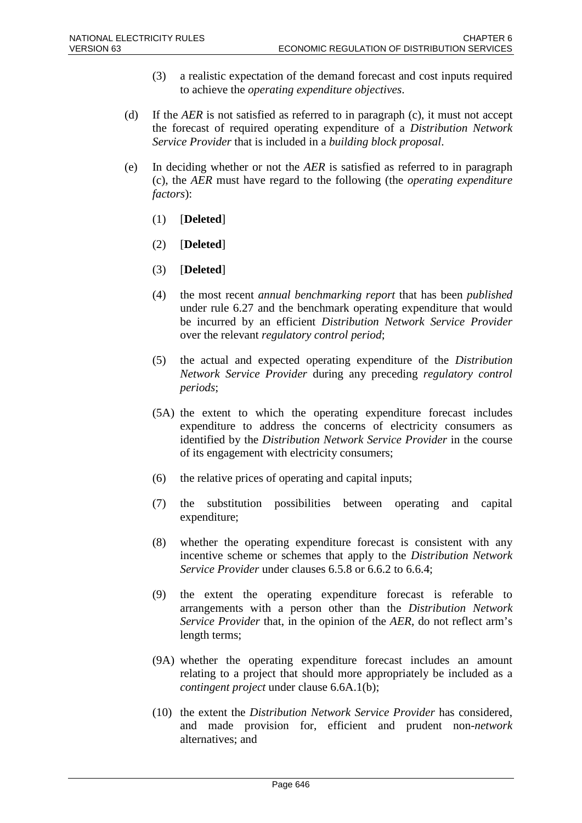- (3) a realistic expectation of the demand forecast and cost inputs required to achieve the *operating expenditure objectives*.
- (d) If the *AER* is not satisfied as referred to in paragraph (c), it must not accept the forecast of required operating expenditure of a *Distribution Network Service Provider* that is included in a *building block proposal*.
- (e) In deciding whether or not the *AER* is satisfied as referred to in paragraph (c), the *AER* must have regard to the following (the *operating expenditure factors*):
	- (1) [**Deleted**]
	- (2) [**Deleted**]
	- (3) [**Deleted**]
	- (4) the most recent *annual benchmarking report* that has been *published* under rule 6.27 and the benchmark operating expenditure that would be incurred by an efficient *Distribution Network Service Provider* over the relevant *regulatory control period*;
	- (5) the actual and expected operating expenditure of the *Distribution Network Service Provider* during any preceding *regulatory control periods*;
	- (5A) the extent to which the operating expenditure forecast includes expenditure to address the concerns of electricity consumers as identified by the *Distribution Network Service Provider* in the course of its engagement with electricity consumers;
	- (6) the relative prices of operating and capital inputs;
	- (7) the substitution possibilities between operating and capital expenditure;
	- (8) whether the operating expenditure forecast is consistent with any incentive scheme or schemes that apply to the *Distribution Network Service Provider* under clauses 6.5.8 or 6.6.2 to 6.6.4;
	- (9) the extent the operating expenditure forecast is referable to arrangements with a person other than the *Distribution Network Service Provider* that, in the opinion of the *AER*, do not reflect arm's length terms;
	- (9A) whether the operating expenditure forecast includes an amount relating to a project that should more appropriately be included as a *contingent project* under clause 6.6A.1(b);
	- (10) the extent the *Distribution Network Service Provider* has considered, and made provision for, efficient and prudent non-*network* alternatives; and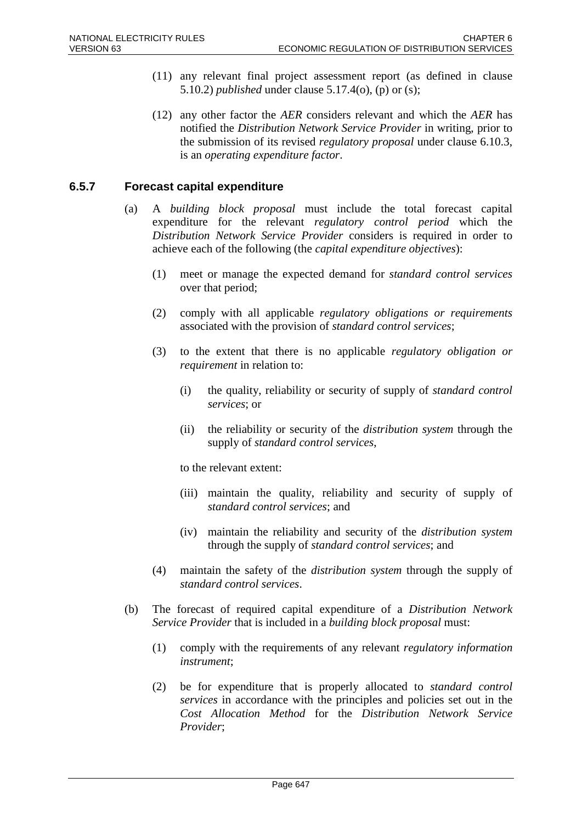- (11) any relevant final project assessment report (as defined in clause 5.10.2) *published* under clause 5.17.4(o), (p) or (s);
- (12) any other factor the *AER* considers relevant and which the *AER* has notified the *Distribution Network Service Provider* in writing, prior to the submission of its revised *regulatory proposal* under clause 6.10.3, is an *operating expenditure factor*.

## **6.5.7 Forecast capital expenditure**

- (a) A *building block proposal* must include the total forecast capital expenditure for the relevant *regulatory control period* which the *Distribution Network Service Provider* considers is required in order to achieve each of the following (the *capital expenditure objectives*):
	- (1) meet or manage the expected demand for *standard control services* over that period;
	- (2) comply with all applicable *regulatory obligations or requirements* associated with the provision of *standard control services*;
	- (3) to the extent that there is no applicable *regulatory obligation or requirement* in relation to:
		- (i) the quality, reliability or security of supply of *standard control services*; or
		- (ii) the reliability or security of the *distribution system* through the supply of *standard control services*,

to the relevant extent:

- (iii) maintain the quality, reliability and security of supply of *standard control services*; and
- (iv) maintain the reliability and security of the *distribution system* through the supply of *standard control services*; and
- (4) maintain the safety of the *distribution system* through the supply of *standard control services*.
- (b) The forecast of required capital expenditure of a *Distribution Network Service Provider* that is included in a *building block proposal* must:
	- (1) comply with the requirements of any relevant *regulatory information instrument*;
	- (2) be for expenditure that is properly allocated to *standard control services* in accordance with the principles and policies set out in the *Cost Allocation Method* for the *Distribution Network Service Provider*;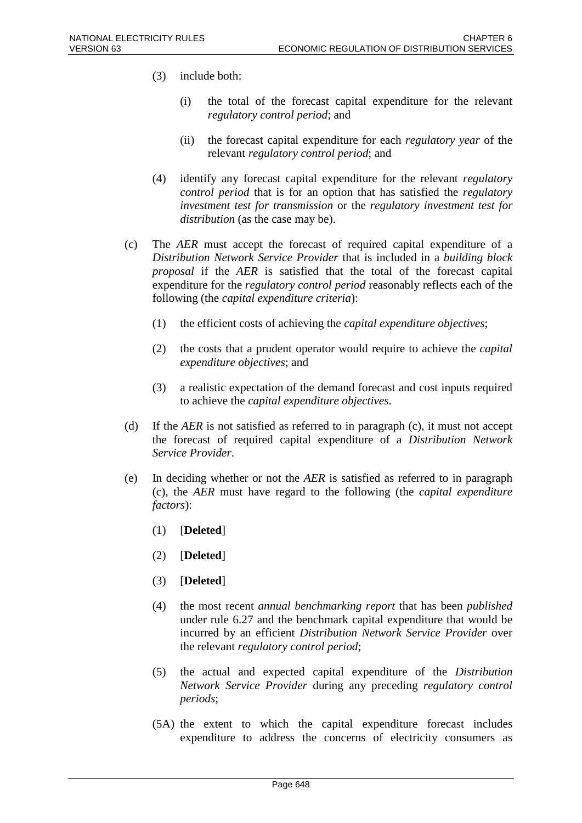- (3) include both:
	- (i) the total of the forecast capital expenditure for the relevant *regulatory control period*; and
	- (ii) the forecast capital expenditure for each *regulatory year* of the relevant *regulatory control period*; and
- (4) identify any forecast capital expenditure for the relevant *regulatory control period* that is for an option that has satisfied the *regulatory investment test for transmission* or the *regulatory investment test for distribution* (as the case may be).
- (c) The *AER* must accept the forecast of required capital expenditure of a *Distribution Network Service Provider* that is included in a *building block proposal* if the *AER* is satisfied that the total of the forecast capital expenditure for the *regulatory control period* reasonably reflects each of the following (the *capital expenditure criteria*):
	- (1) the efficient costs of achieving the *capital expenditure objectives*;
	- (2) the costs that a prudent operator would require to achieve the *capital expenditure objectives*; and
	- (3) a realistic expectation of the demand forecast and cost inputs required to achieve the *capital expenditure objectives*.
- (d) If the *AER* is not satisfied as referred to in paragraph (c), it must not accept the forecast of required capital expenditure of a *Distribution Network Service Provider*.
- (e) In deciding whether or not the *AER* is satisfied as referred to in paragraph (c), the *AER* must have regard to the following (the *capital expenditure factors*):
	- (1) [**Deleted**]
	- (2) [**Deleted**]
	- (3) [**Deleted**]
	- (4) the most recent *annual benchmarking report* that has been *published* under rule 6.27 and the benchmark capital expenditure that would be incurred by an efficient *Distribution Network Service Provider* over the relevant *regulatory control period*;
	- (5) the actual and expected capital expenditure of the *Distribution Network Service Provider* during any preceding *regulatory control periods*;
	- (5A) the extent to which the capital expenditure forecast includes expenditure to address the concerns of electricity consumers as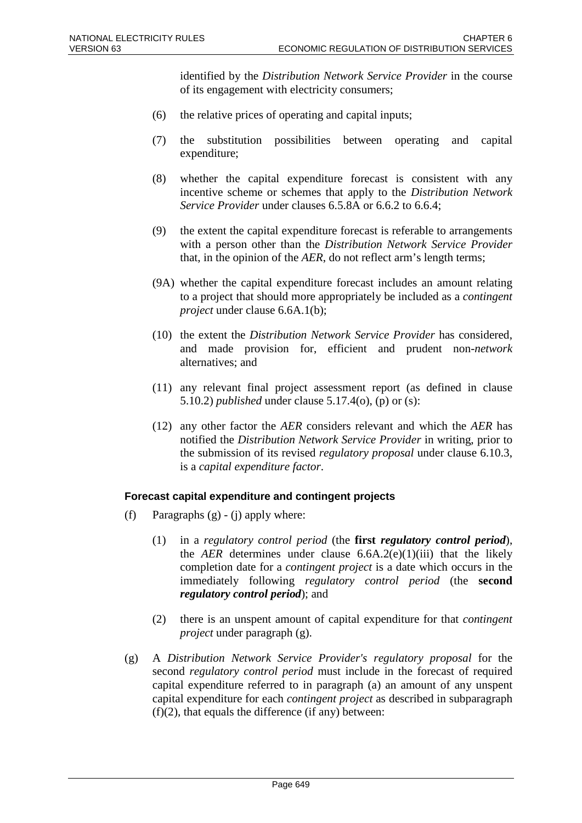identified by the *Distribution Network Service Provider* in the course of its engagement with electricity consumers;

- (6) the relative prices of operating and capital inputs;
- (7) the substitution possibilities between operating and capital expenditure;
- (8) whether the capital expenditure forecast is consistent with any incentive scheme or schemes that apply to the *Distribution Network Service Provider* under clauses 6.5.8A or 6.6.2 to 6.6.4;
- (9) the extent the capital expenditure forecast is referable to arrangements with a person other than the *Distribution Network Service Provider* that, in the opinion of the *AER*, do not reflect arm's length terms;
- (9A) whether the capital expenditure forecast includes an amount relating to a project that should more appropriately be included as a *contingent project* under clause 6.6A.1(b);
- (10) the extent the *Distribution Network Service Provider* has considered, and made provision for, efficient and prudent non-*network* alternatives; and
- (11) any relevant final project assessment report (as defined in clause 5.10.2) *published* under clause 5.17.4(o), (p) or (s):
- (12) any other factor the *AER* considers relevant and which the *AER* has notified the *Distribution Network Service Provider* in writing, prior to the submission of its revised *regulatory proposal* under clause 6.10.3, is a *capital expenditure factor*.

### **Forecast capital expenditure and contingent projects**

- (f) Paragraphs  $(g) (i)$  apply where:
	- (1) in a *regulatory control period* (the **first** *regulatory control period*), the *AER* determines under clause  $6.6A.2(e)(1)(iii)$  that the likely completion date for a *contingent project* is a date which occurs in the immediately following *regulatory control period* (the **second**  *regulatory control period*); and
	- (2) there is an unspent amount of capital expenditure for that *contingent project* under paragraph (g).
- (g) A *Distribution Network Service Provider's regulatory proposal* for the second *regulatory control period* must include in the forecast of required capital expenditure referred to in paragraph (a) an amount of any unspent capital expenditure for each *contingent project* as described in subparagraph  $(f)(2)$ , that equals the difference (if any) between: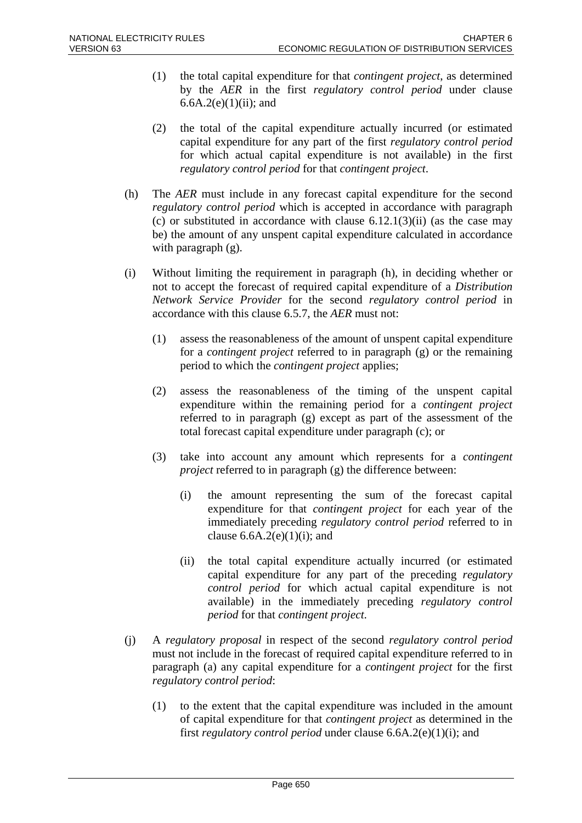- (1) the total capital expenditure for that *contingent project*, as determined by the *AER* in the first *regulatory control period* under clause 6.6A.2(e) $(1)(ii)$ ; and
- (2) the total of the capital expenditure actually incurred (or estimated capital expenditure for any part of the first *regulatory control period*  for which actual capital expenditure is not available) in the first *regulatory control period* for that *contingent project*.
- (h) The *AER* must include in any forecast capital expenditure for the second *regulatory control period* which is accepted in accordance with paragraph (c) or substituted in accordance with clause  $6.12.1(3)(ii)$  (as the case may be) the amount of any unspent capital expenditure calculated in accordance with paragraph (g).
- (i) Without limiting the requirement in paragraph (h), in deciding whether or not to accept the forecast of required capital expenditure of a *Distribution Network Service Provider* for the second *regulatory control period* in accordance with this clause 6.5.7, the *AER* must not:
	- (1) assess the reasonableness of the amount of unspent capital expenditure for a *contingent project* referred to in paragraph (g) or the remaining period to which the *contingent project* applies;
	- (2) assess the reasonableness of the timing of the unspent capital expenditure within the remaining period for a *contingent project* referred to in paragraph (g) except as part of the assessment of the total forecast capital expenditure under paragraph (c); or
	- (3) take into account any amount which represents for a *contingent project* referred to in paragraph (g) the difference between:
		- (i) the amount representing the sum of the forecast capital expenditure for that *contingent project* for each year of the immediately preceding *regulatory control period* referred to in clause  $6.6A.2(e)(1)(i)$ ; and
		- (ii) the total capital expenditure actually incurred (or estimated capital expenditure for any part of the preceding *regulatory control period* for which actual capital expenditure is not available) in the immediately preceding *regulatory control period* for that *contingent project*.
- (j) A *regulatory proposal* in respect of the second *regulatory control period* must not include in the forecast of required capital expenditure referred to in paragraph (a) any capital expenditure for a *contingent project* for the first *regulatory control period*:
	- (1) to the extent that the capital expenditure was included in the amount of capital expenditure for that *contingent project* as determined in the first *regulatory control period* under clause 6.6A.2(e)(1)(i); and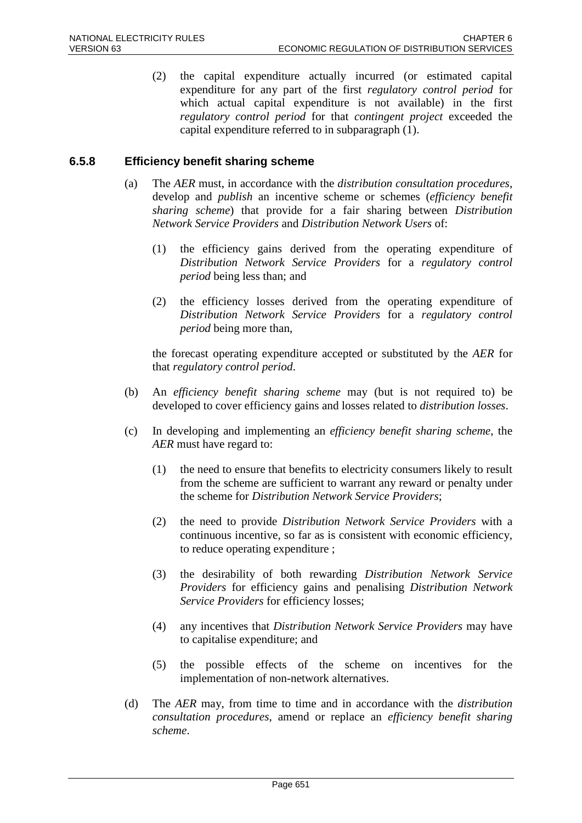(2) the capital expenditure actually incurred (or estimated capital expenditure for any part of the first *regulatory control period* for which actual capital expenditure is not available) in the first *regulatory control period* for that *contingent project* exceeded the capital expenditure referred to in subparagraph (1).

## **6.5.8 Efficiency benefit sharing scheme**

- (a) The *AER* must, in accordance with the *distribution consultation procedures*, develop and *publish* an incentive scheme or schemes (*efficiency benefit sharing scheme*) that provide for a fair sharing between *Distribution Network Service Providers* and *Distribution Network Users* of:
	- (1) the efficiency gains derived from the operating expenditure of *Distribution Network Service Providers* for a *regulatory control period* being less than; and
	- (2) the efficiency losses derived from the operating expenditure of *Distribution Network Service Providers* for a *regulatory control period* being more than,

the forecast operating expenditure accepted or substituted by the *AER* for that *regulatory control period*.

- (b) An *efficiency benefit sharing scheme* may (but is not required to) be developed to cover efficiency gains and losses related to *distribution losses*.
- (c) In developing and implementing an *efficiency benefit sharing scheme*, the *AER* must have regard to:
	- (1) the need to ensure that benefits to electricity consumers likely to result from the scheme are sufficient to warrant any reward or penalty under the scheme for *Distribution Network Service Providers*;
	- (2) the need to provide *Distribution Network Service Providers* with a continuous incentive, so far as is consistent with economic efficiency, to reduce operating expenditure ;
	- (3) the desirability of both rewarding *Distribution Network Service Providers* for efficiency gains and penalising *Distribution Network Service Providers* for efficiency losses;
	- (4) any incentives that *Distribution Network Service Providers* may have to capitalise expenditure; and
	- (5) the possible effects of the scheme on incentives for the implementation of non-network alternatives.
- (d) The *AER* may, from time to time and in accordance with the *distribution consultation procedures*, amend or replace an *efficiency benefit sharing scheme*.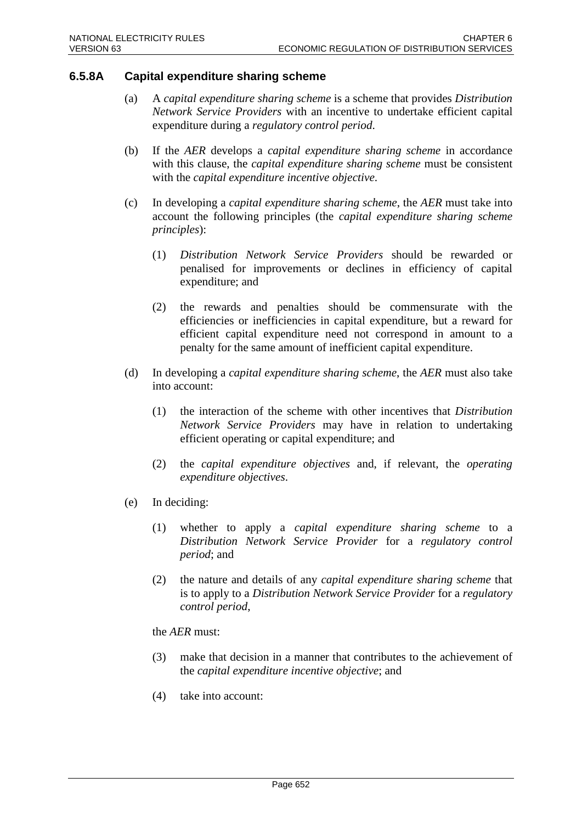### **6.5.8A Capital expenditure sharing scheme**

- (a) A *capital expenditure sharing scheme* is a scheme that provides *Distribution Network Service Providers* with an incentive to undertake efficient capital expenditure during a *regulatory control period*.
- (b) If the *AER* develops a *capital expenditure sharing scheme* in accordance with this clause, the *capital expenditure sharing scheme* must be consistent with the *capital expenditure incentive objective*.
- (c) In developing a *capital expenditure sharing scheme*, the *AER* must take into account the following principles (the *capital expenditure sharing scheme principles*):
	- (1) *Distribution Network Service Providers* should be rewarded or penalised for improvements or declines in efficiency of capital expenditure; and
	- (2) the rewards and penalties should be commensurate with the efficiencies or inefficiencies in capital expenditure, but a reward for efficient capital expenditure need not correspond in amount to a penalty for the same amount of inefficient capital expenditure.
- (d) In developing a *capital expenditure sharing scheme*, the *AER* must also take into account:
	- (1) the interaction of the scheme with other incentives that *Distribution Network Service Providers* may have in relation to undertaking efficient operating or capital expenditure; and
	- (2) the *capital expenditure objectives* and, if relevant, the *operating expenditure objectives*.
- (e) In deciding:
	- (1) whether to apply a *capital expenditure sharing scheme* to a *Distribution Network Service Provider* for a *regulatory control period*; and
	- (2) the nature and details of any *capital expenditure sharing scheme* that is to apply to a *Distribution Network Service Provider* for a *regulatory control period*,

the *AER* must:

- (3) make that decision in a manner that contributes to the achievement of the *capital expenditure incentive objective*; and
- (4) take into account: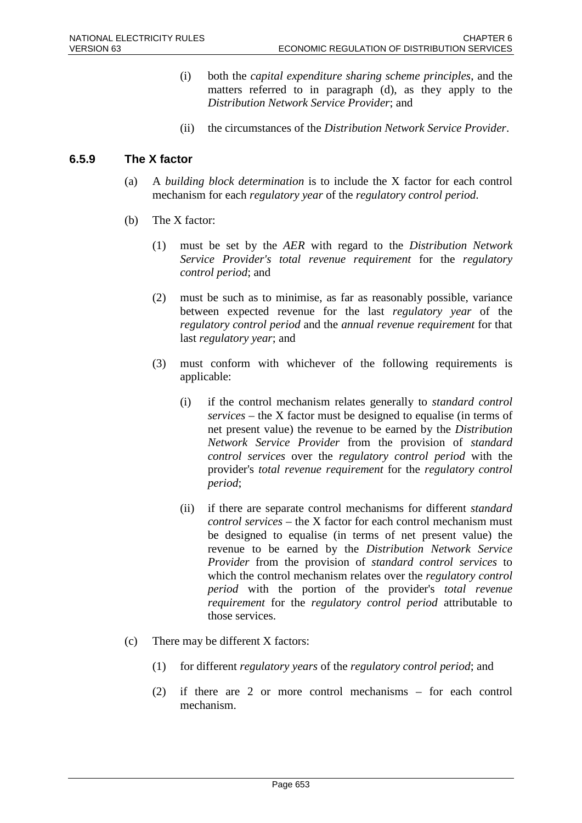- (i) both the *capital expenditure sharing scheme principles*, and the matters referred to in paragraph (d), as they apply to the *Distribution Network Service Provider*; and
- (ii) the circumstances of the *Distribution Network Service Provider*.

## **6.5.9 The X factor**

- (a) A *building block determination* is to include the X factor for each control mechanism for each *regulatory year* of the *regulatory control period*.
- (b) The X factor:
	- (1) must be set by the *AER* with regard to the *Distribution Network Service Provider's total revenue requirement* for the *regulatory control period*; and
	- (2) must be such as to minimise, as far as reasonably possible, variance between expected revenue for the last *regulatory year* of the *regulatory control period* and the *annual revenue requirement* for that last *regulatory year*; and
	- (3) must conform with whichever of the following requirements is applicable:
		- (i) if the control mechanism relates generally to *standard control services* – the X factor must be designed to equalise (in terms of net present value) the revenue to be earned by the *Distribution Network Service Provider* from the provision of *standard control services* over the *regulatory control period* with the provider's *total revenue requirement* for the *regulatory control period*;
		- (ii) if there are separate control mechanisms for different *standard control services* – the X factor for each control mechanism must be designed to equalise (in terms of net present value) the revenue to be earned by the *Distribution Network Service Provider* from the provision of *standard control services* to which the control mechanism relates over the *regulatory control period* with the portion of the provider's *total revenue requirement* for the *regulatory control period* attributable to those services.
- (c) There may be different X factors:
	- (1) for different *regulatory years* of the *regulatory control period*; and
	- (2) if there are 2 or more control mechanisms for each control mechanism.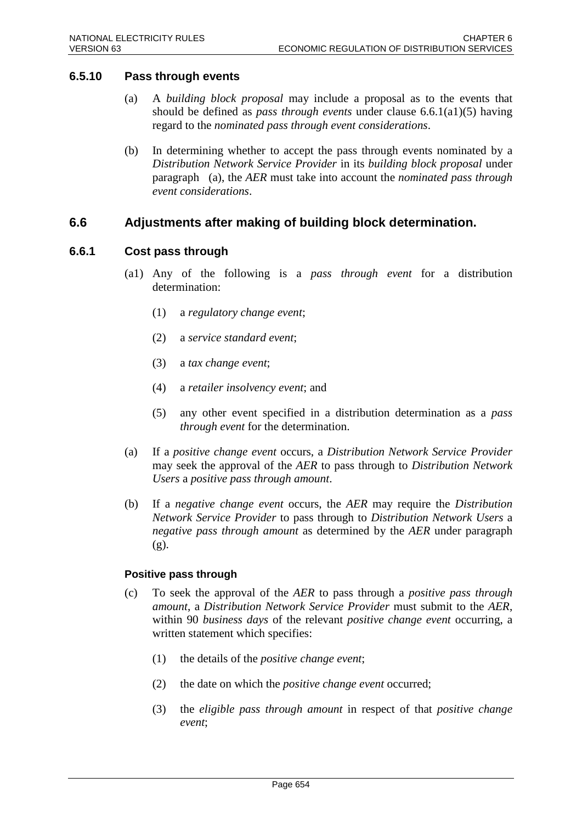## **6.5.10 Pass through events**

- (a) A *building block proposal* may include a proposal as to the events that should be defined as *pass through events* under clause 6.6.1(a1)(5) having regard to the *nominated pass through event considerations*.
- (b) In determining whether to accept the pass through events nominated by a *Distribution Network Service Provider* in its *building block proposal* under paragraph (a), the *AER* must take into account the *nominated pass through event considerations*.

## **6.6 Adjustments after making of building block determination.**

## **6.6.1 Cost pass through**

- (a1) Any of the following is a *pass through event* for a distribution determination:
	- (1) a *regulatory change event*;
	- (2) a *service standard event*;
	- (3) a *tax change event*;
	- (4) a *retailer insolvency event*; and
	- (5) any other event specified in a distribution determination as a *pass through event* for the determination.
- (a) If a *positive change event* occurs, a *Distribution Network Service Provider* may seek the approval of the *AER* to pass through to *Distribution Network Users* a *positive pass through amount*.
- (b) If a *negative change event* occurs, the *AER* may require the *Distribution Network Service Provider* to pass through to *Distribution Network Users* a *negative pass through amount* as determined by the *AER* under paragraph (g).

### **Positive pass through**

- (c) To seek the approval of the *AER* to pass through a *positive pass through amount*, a *Distribution Network Service Provider* must submit to the *AER*, within 90 *business days* of the relevant *positive change event* occurring, a written statement which specifies:
	- (1) the details of the *positive change event*;
	- (2) the date on which the *positive change event* occurred;
	- (3) the *eligible pass through amount* in respect of that *positive change event*;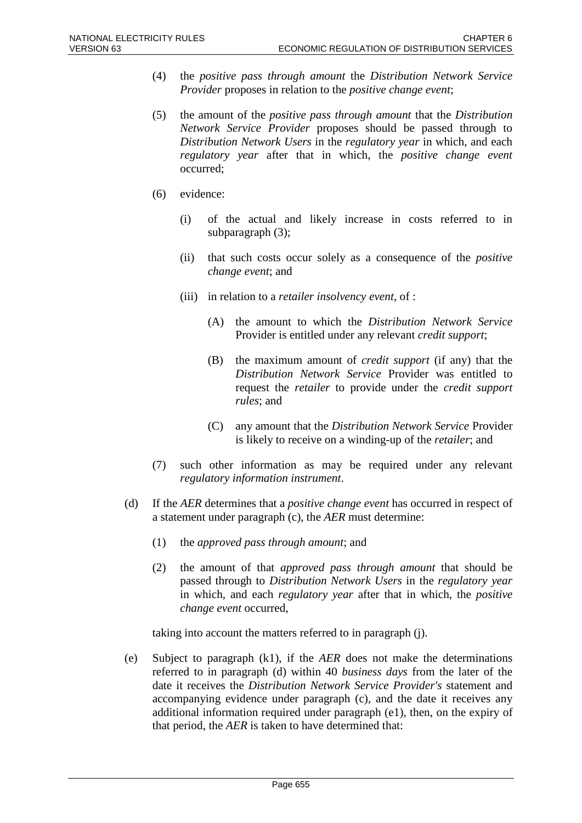- (4) the *positive pass through amount* the *Distribution Network Service Provider* proposes in relation to the *positive change event*;
- (5) the amount of the *positive pass through amount* that the *Distribution Network Service Provider* proposes should be passed through to *Distribution Network Users* in the *regulatory year* in which, and each *regulatory year* after that in which, the *positive change event* occurred;
- (6) evidence:
	- (i) of the actual and likely increase in costs referred to in subparagraph (3);
	- (ii) that such costs occur solely as a consequence of the *positive change event*; and
	- (iii) in relation to a *retailer insolvency event*, of :
		- (A) the amount to which the *Distribution Network Service* Provider is entitled under any relevant *credit support*;
		- (B) the maximum amount of *credit support* (if any) that the *Distribution Network Service* Provider was entitled to request the *retailer* to provide under the *credit support rules*; and
		- (C) any amount that the *Distribution Network Service* Provider is likely to receive on a winding-up of the *retailer*; and
- (7) such other information as may be required under any relevant *regulatory information instrument*.
- (d) If the *AER* determines that a *positive change event* has occurred in respect of a statement under paragraph (c), the *AER* must determine:
	- (1) the *approved pass through amount*; and
	- (2) the amount of that *approved pass through amount* that should be passed through to *Distribution Network Users* in the *regulatory year* in which, and each *regulatory year* after that in which, the *positive change event* occurred,

taking into account the matters referred to in paragraph (j).

(e) Subject to paragraph (k1), if the *AER* does not make the determinations referred to in paragraph (d) within 40 *business days* from the later of the date it receives the *Distribution Network Service Provider's* statement and accompanying evidence under paragraph (c), and the date it receives any additional information required under paragraph (e1), then, on the expiry of that period, the *AER* is taken to have determined that: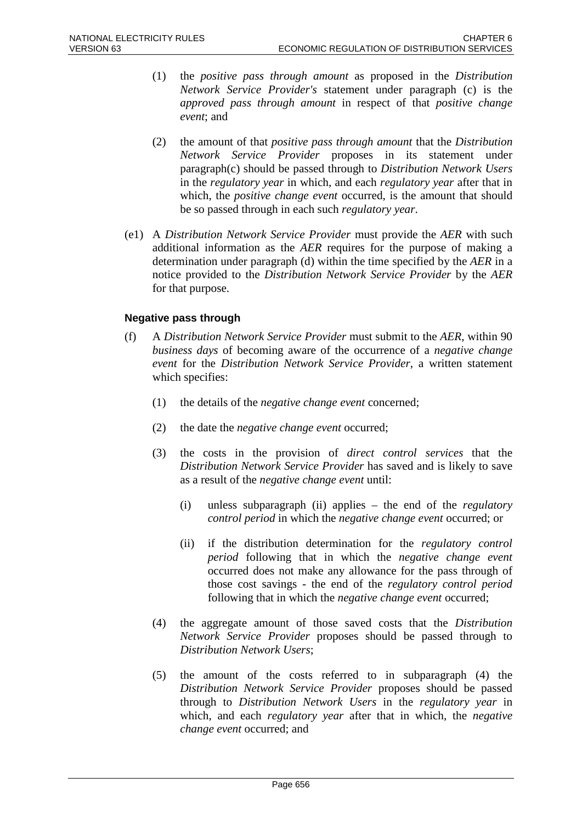- (1) the *positive pass through amount* as proposed in the *Distribution Network Service Provider's* statement under paragraph (c) is the *approved pass through amount* in respect of that *positive change event*; and
- (2) the amount of that *positive pass through amount* that the *Distribution Network Service Provider* proposes in its statement under paragraph(c) should be passed through to *Distribution Network Users* in the *regulatory year* in which, and each *regulatory year* after that in which, the *positive change event* occurred, is the amount that should be so passed through in each such *regulatory year*.
- (e1) A *Distribution Network Service Provider* must provide the *AER* with such additional information as the *AER* requires for the purpose of making a determination under paragraph (d) within the time specified by the *AER* in a notice provided to the *Distribution Network Service Provider* by the *AER* for that purpose.

### **Negative pass through**

- (f) A *Distribution Network Service Provider* must submit to the *AER*, within 90 *business days* of becoming aware of the occurrence of a *negative change event* for the *Distribution Network Service Provider*, a written statement which specifies:
	- (1) the details of the *negative change event* concerned;
	- (2) the date the *negative change event* occurred;
	- (3) the costs in the provision of *direct control services* that the *Distribution Network Service Provider* has saved and is likely to save as a result of the *negative change event* until:
		- (i) unless subparagraph (ii) applies the end of the *regulatory control period* in which the *negative change event* occurred; or
		- (ii) if the distribution determination for the *regulatory control period* following that in which the *negative change event* occurred does not make any allowance for the pass through of those cost savings - the end of the *regulatory control period* following that in which the *negative change event* occurred;
	- (4) the aggregate amount of those saved costs that the *Distribution Network Service Provider* proposes should be passed through to *Distribution Network Users*;
	- (5) the amount of the costs referred to in subparagraph (4) the *Distribution Network Service Provider* proposes should be passed through to *Distribution Network Users* in the *regulatory year* in which, and each *regulatory year* after that in which, the *negative change event* occurred; and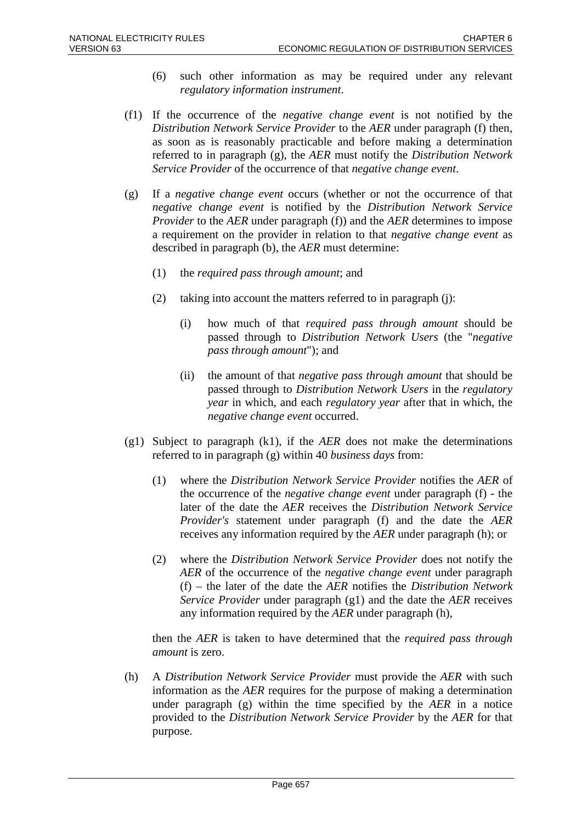- (6) such other information as may be required under any relevant *regulatory information instrument*.
- (f1) If the occurrence of the *negative change event* is not notified by the *Distribution Network Service Provider* to the *AER* under paragraph (f) then, as soon as is reasonably practicable and before making a determination referred to in paragraph (g), the *AER* must notify the *Distribution Network Service Provider* of the occurrence of that *negative change event*.
- (g) If a *negative change event* occurs (whether or not the occurrence of that *negative change event* is notified by the *Distribution Network Service Provider* to the *AER* under paragraph (f)) and the *AER* determines to impose a requirement on the provider in relation to that *negative change event* as described in paragraph (b), the *AER* must determine:
	- (1) the *required pass through amount*; and
	- (2) taking into account the matters referred to in paragraph (j):
		- (i) how much of that *required pass through amount* should be passed through to *Distribution Network Users* (the "*negative pass through amount*"); and
		- (ii) the amount of that *negative pass through amount* that should be passed through to *Distribution Network Users* in the *regulatory year* in which, and each *regulatory year* after that in which, the *negative change event* occurred.
- (g1) Subject to paragraph (k1), if the *AER* does not make the determinations referred to in paragraph (g) within 40 *business days* from:
	- (1) where the *Distribution Network Service Provider* notifies the *AER* of the occurrence of the *negative change event* under paragraph (f) - the later of the date the *AER* receives the *Distribution Network Service Provider's* statement under paragraph (f) and the date the *AER* receives any information required by the *AER* under paragraph (h); or
	- (2) where the *Distribution Network Service Provider* does not notify the *AER* of the occurrence of the *negative change event* under paragraph (f) – the later of the date the *AER* notifies the *Distribution Network Service Provider* under paragraph (g1) and the date the *AER* receives any information required by the *AER* under paragraph (h),

then the *AER* is taken to have determined that the *required pass through amount* is zero.

(h) A *Distribution Network Service Provider* must provide the *AER* with such information as the *AER* requires for the purpose of making a determination under paragraph (g) within the time specified by the *AER* in a notice provided to the *Distribution Network Service Provider* by the *AER* for that purpose.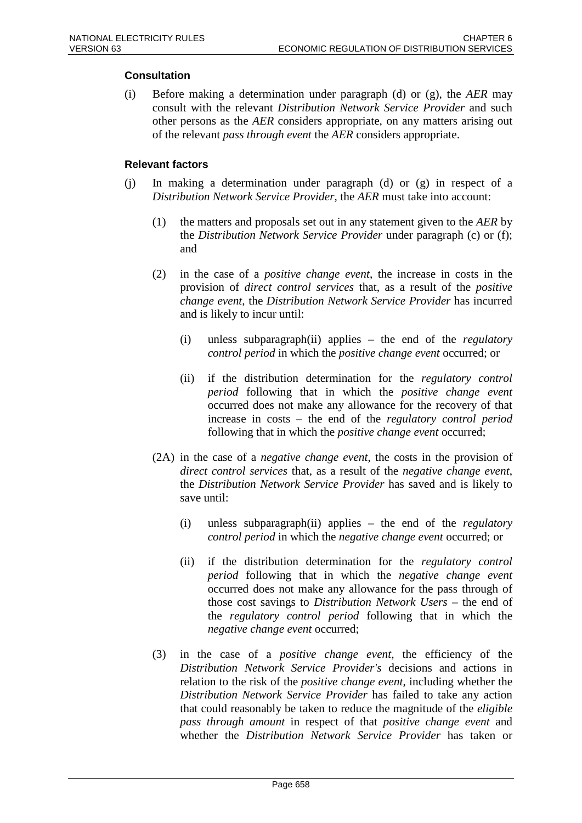## **Consultation**

(i) Before making a determination under paragraph (d) or (g), the *AER* may consult with the relevant *Distribution Network Service Provider* and such other persons as the *AER* considers appropriate, on any matters arising out of the relevant *pass through event* the *AER* considers appropriate.

### **Relevant factors**

- (j) In making a determination under paragraph (d) or (g) in respect of a *Distribution Network Service Provider*, the *AER* must take into account:
	- (1) the matters and proposals set out in any statement given to the *AER* by the *Distribution Network Service Provider* under paragraph (c) or (f); and
	- (2) in the case of a *positive change event*, the increase in costs in the provision of *direct control services* that, as a result of the *positive change event*, the *Distribution Network Service Provider* has incurred and is likely to incur until:
		- (i) unless subparagraph(ii) applies the end of the *regulatory control period* in which the *positive change event* occurred; or
		- (ii) if the distribution determination for the *regulatory control period* following that in which the *positive change event* occurred does not make any allowance for the recovery of that increase in costs – the end of the *regulatory control period* following that in which the *positive change event* occurred;
	- (2A) in the case of a *negative change event*, the costs in the provision of *direct control services* that, as a result of the *negative change event*, the *Distribution Network Service Provider* has saved and is likely to save until:
		- (i) unless subparagraph(ii) applies the end of the *regulatory control period* in which the *negative change event* occurred; or
		- (ii) if the distribution determination for the *regulatory control period* following that in which the *negative change event* occurred does not make any allowance for the pass through of those cost savings to *Distribution Network Users* – the end of the *regulatory control period* following that in which the *negative change event* occurred;
	- (3) in the case of a *positive change event*, the efficiency of the *Distribution Network Service Provider's* decisions and actions in relation to the risk of the *positive change event*, including whether the *Distribution Network Service Provider* has failed to take any action that could reasonably be taken to reduce the magnitude of the *eligible pass through amount* in respect of that *positive change event* and whether the *Distribution Network Service Provider* has taken or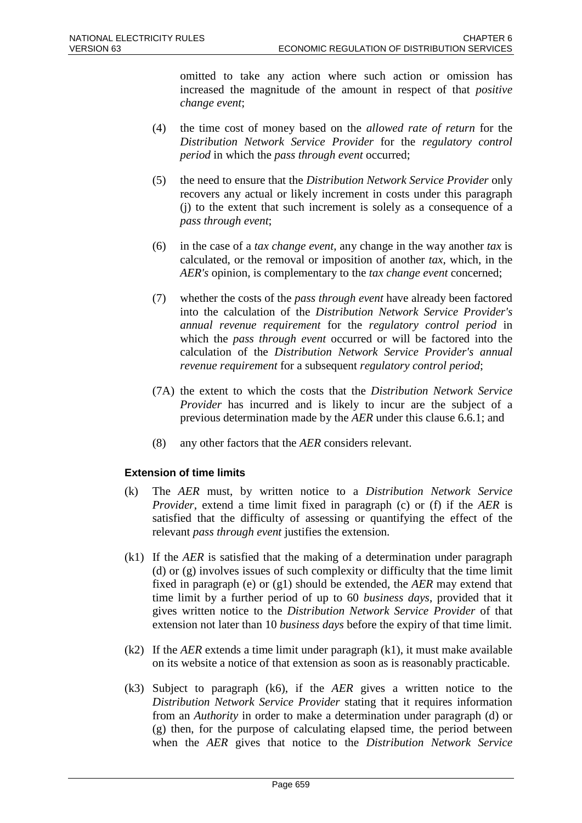omitted to take any action where such action or omission has increased the magnitude of the amount in respect of that *positive change event*;

- (4) the time cost of money based on the *allowed rate of return* for the *Distribution Network Service Provider* for the *regulatory control period* in which the *pass through event* occurred;
- (5) the need to ensure that the *Distribution Network Service Provider* only recovers any actual or likely increment in costs under this paragraph (j) to the extent that such increment is solely as a consequence of a *pass through event*;
- (6) in the case of a *tax change event*, any change in the way another *tax* is calculated, or the removal or imposition of another *tax*, which, in the *AER's* opinion, is complementary to the *tax change event* concerned;
- (7) whether the costs of the *pass through event* have already been factored into the calculation of the *Distribution Network Service Provider's annual revenue requirement* for the *regulatory control period* in which the *pass through event* occurred or will be factored into the calculation of the *Distribution Network Service Provider's annual revenue requirement* for a subsequent *regulatory control period*;
- (7A) the extent to which the costs that the *Distribution Network Service Provider* has incurred and is likely to incur are the subject of a previous determination made by the *AER* under this clause 6.6.1; and
- (8) any other factors that the *AER* considers relevant.

## **Extension of time limits**

- (k) The *AER* must, by written notice to a *Distribution Network Service Provider*, extend a time limit fixed in paragraph (c) or (f) if the *AER* is satisfied that the difficulty of assessing or quantifying the effect of the relevant *pass through event* justifies the extension.
- (k1) If the *AER* is satisfied that the making of a determination under paragraph (d) or (g) involves issues of such complexity or difficulty that the time limit fixed in paragraph (e) or (g1) should be extended, the *AER* may extend that time limit by a further period of up to 60 *business days*, provided that it gives written notice to the *Distribution Network Service Provider* of that extension not later than 10 *business days* before the expiry of that time limit.
- (k2) If the *AER* extends a time limit under paragraph (k1), it must make available on its website a notice of that extension as soon as is reasonably practicable.
- (k3) Subject to paragraph (k6), if the *AER* gives a written notice to the *Distribution Network Service Provider* stating that it requires information from an *Authority* in order to make a determination under paragraph (d) or (g) then, for the purpose of calculating elapsed time, the period between when the *AER* gives that notice to the *Distribution Network Service*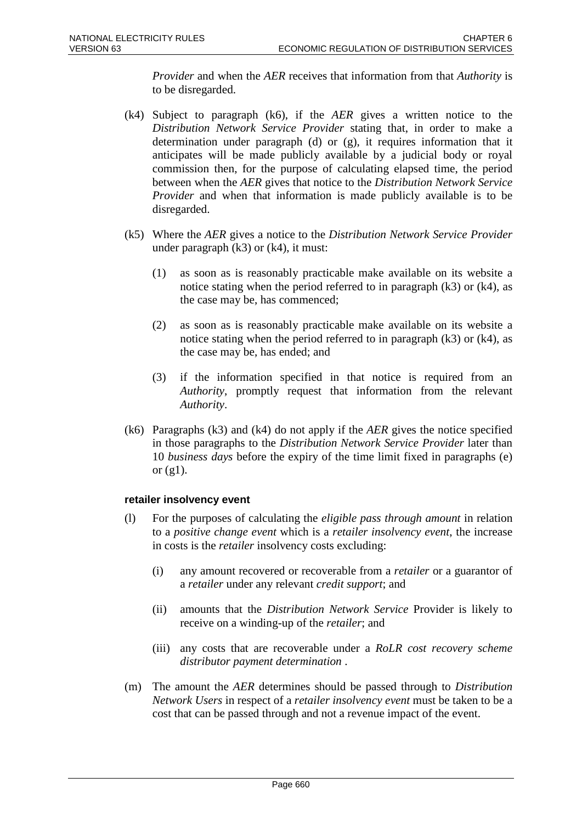*Provider* and when the *AER* receives that information from that *Authority* is to be disregarded.

- (k4) Subject to paragraph (k6), if the *AER* gives a written notice to the *Distribution Network Service Provider* stating that, in order to make a determination under paragraph (d) or (g), it requires information that it anticipates will be made publicly available by a judicial body or royal commission then, for the purpose of calculating elapsed time, the period between when the *AER* gives that notice to the *Distribution Network Service Provider* and when that information is made publicly available is to be disregarded.
- (k5) Where the *AER* gives a notice to the *Distribution Network Service Provider* under paragraph  $(k3)$  or  $(k4)$ , it must:
	- (1) as soon as is reasonably practicable make available on its website a notice stating when the period referred to in paragraph  $(k3)$  or  $(k4)$ , as the case may be, has commenced;
	- (2) as soon as is reasonably practicable make available on its website a notice stating when the period referred to in paragraph (k3) or (k4), as the case may be, has ended; and
	- (3) if the information specified in that notice is required from an *Authority*, promptly request that information from the relevant *Authority*.
- (k6) Paragraphs (k3) and (k4) do not apply if the *AER* gives the notice specified in those paragraphs to the *Distribution Network Service Provider* later than 10 *business days* before the expiry of the time limit fixed in paragraphs (e) or  $(g1)$ .

### **retailer insolvency event**

- (l) For the purposes of calculating the *eligible pass through amount* in relation to a *positive change event* which is a *retailer insolvency event*, the increase in costs is the *retailer* insolvency costs excluding:
	- (i) any amount recovered or recoverable from a *retailer* or a guarantor of a *retailer* under any relevant *credit support*; and
	- (ii) amounts that the *Distribution Network Service* Provider is likely to receive on a winding-up of the *retailer*; and
	- (iii) any costs that are recoverable under a *RoLR cost recovery scheme distributor payment determination* .
- (m) The amount the *AER* determines should be passed through to *Distribution Network Users* in respect of a *retailer insolvency event* must be taken to be a cost that can be passed through and not a revenue impact of the event.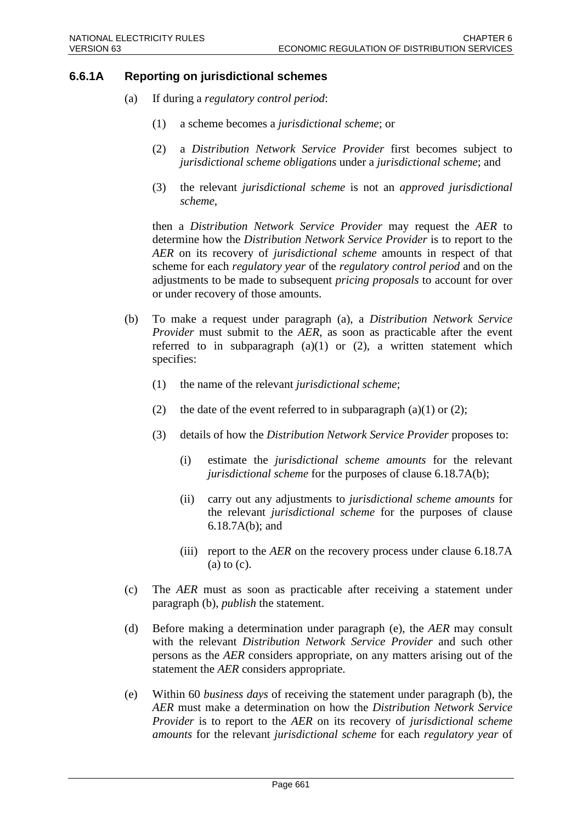## **6.6.1A Reporting on jurisdictional schemes**

- (a) If during a *regulatory control period*:
	- (1) a scheme becomes a *jurisdictional scheme*; or
	- (2) a *Distribution Network Service Provider* first becomes subject to *jurisdictional scheme obligations* under a *jurisdictional scheme*; and
	- (3) the relevant *jurisdictional scheme* is not an *approved jurisdictional scheme*,

then a *Distribution Network Service Provider* may request the *AER* to determine how the *Distribution Network Service Provider* is to report to the *AER* on its recovery of *jurisdictional scheme* amounts in respect of that scheme for each *regulatory year* of the *regulatory control period* and on the adjustments to be made to subsequent *pricing proposals* to account for over or under recovery of those amounts.

- (b) To make a request under paragraph (a), a *Distribution Network Service Provider* must submit to the *AER*, as soon as practicable after the event referred to in subparagraph  $(a)(1)$  or  $(2)$ , a written statement which specifies:
	- (1) the name of the relevant *jurisdictional scheme*;
	- (2) the date of the event referred to in subparagraph (a)(1) or (2);
	- (3) details of how the *Distribution Network Service Provider* proposes to:
		- (i) estimate the *jurisdictional scheme amounts* for the relevant *jurisdictional scheme* for the purposes of clause 6.18.7A(b);
		- (ii) carry out any adjustments to *jurisdictional scheme amounts* for the relevant *jurisdictional scheme* for the purposes of clause 6.18.7A(b); and
		- (iii) report to the *AER* on the recovery process under clause 6.18.7A (a) to (c).
- (c) The *AER* must as soon as practicable after receiving a statement under paragraph (b), *publish* the statement.
- (d) Before making a determination under paragraph (e), the *AER* may consult with the relevant *Distribution Network Service Provider* and such other persons as the *AER* considers appropriate, on any matters arising out of the statement the *AER* considers appropriate.
- (e) Within 60 *business days* of receiving the statement under paragraph (b), the *AER* must make a determination on how the *Distribution Network Service Provider* is to report to the *AER* on its recovery of *jurisdictional scheme amounts* for the relevant *jurisdictional scheme* for each *regulatory year* of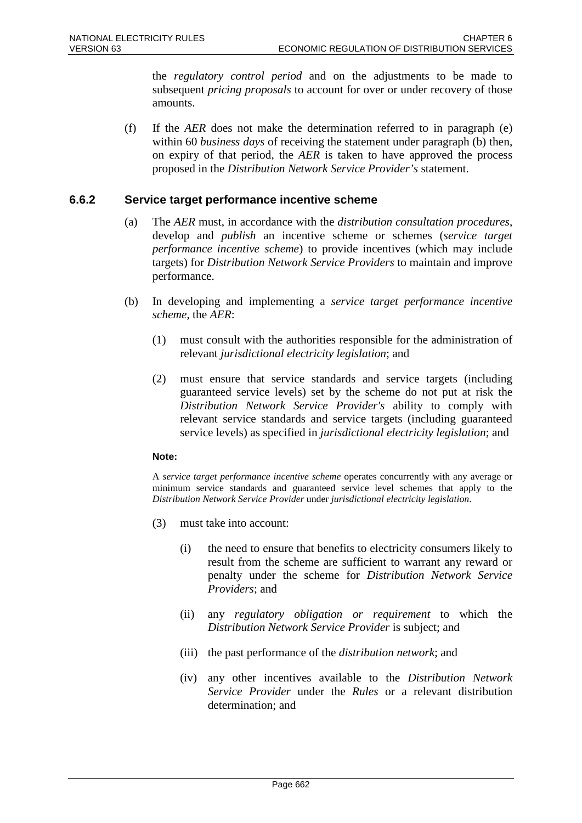the *regulatory control period* and on the adjustments to be made to subsequent *pricing proposals* to account for over or under recovery of those amounts.

(f) If the *AER* does not make the determination referred to in paragraph (e) within 60 *business days* of receiving the statement under paragraph (b) then, on expiry of that period, the *AER* is taken to have approved the process proposed in the *Distribution Network Service Provider's* statement.

## **6.6.2 Service target performance incentive scheme**

- (a) The *AER* must, in accordance with the *distribution consultation procedures*, develop and *publish* an incentive scheme or schemes (*service target performance incentive scheme*) to provide incentives (which may include targets) for *Distribution Network Service Providers* to maintain and improve performance.
- (b) In developing and implementing a *service target performance incentive scheme*, the *AER*:
	- (1) must consult with the authorities responsible for the administration of relevant *jurisdictional electricity legislation*; and
	- (2) must ensure that service standards and service targets (including guaranteed service levels) set by the scheme do not put at risk the *Distribution Network Service Provider's* ability to comply with relevant service standards and service targets (including guaranteed service levels) as specified in *jurisdictional electricity legislation*; and

#### **Note:**

A *service target performance incentive scheme* operates concurrently with any average or minimum service standards and guaranteed service level schemes that apply to the *Distribution Network Service Provider* under *jurisdictional electricity legislation*.

- (3) must take into account:
	- (i) the need to ensure that benefits to electricity consumers likely to result from the scheme are sufficient to warrant any reward or penalty under the scheme for *Distribution Network Service Providers*; and
	- (ii) any *regulatory obligation or requirement* to which the *Distribution Network Service Provider* is subject; and
	- (iii) the past performance of the *distribution network*; and
	- (iv) any other incentives available to the *Distribution Network Service Provider* under the *Rules* or a relevant distribution determination; and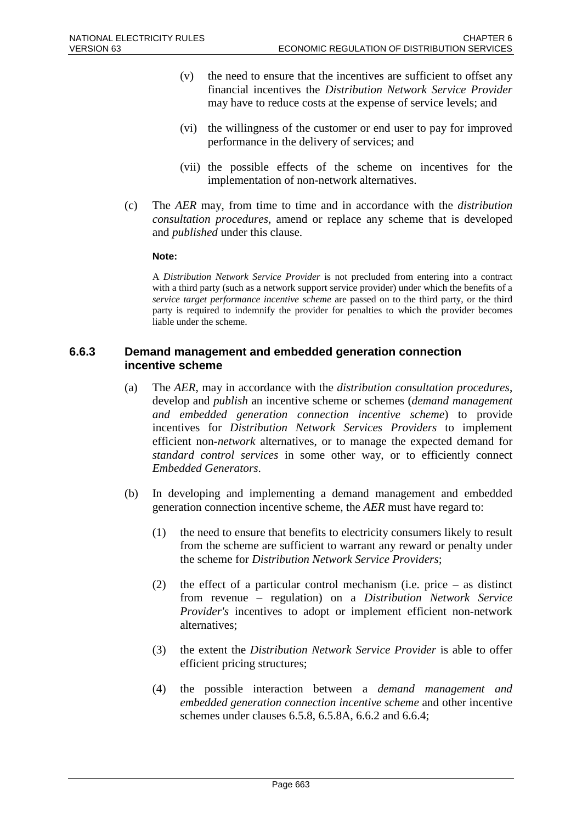- (v) the need to ensure that the incentives are sufficient to offset any financial incentives the *Distribution Network Service Provider* may have to reduce costs at the expense of service levels; and
- (vi) the willingness of the customer or end user to pay for improved performance in the delivery of services; and
- (vii) the possible effects of the scheme on incentives for the implementation of non-network alternatives.
- (c) The *AER* may, from time to time and in accordance with the *distribution consultation procedures*, amend or replace any scheme that is developed and *published* under this clause.

#### **Note:**

A *Distribution Network Service Provider* is not precluded from entering into a contract with a third party (such as a network support service provider) under which the benefits of a *service target performance incentive scheme* are passed on to the third party, or the third party is required to indemnify the provider for penalties to which the provider becomes liable under the scheme.

#### **6.6.3 Demand management and embedded generation connection incentive scheme**

- (a) The *AER*, may in accordance with the *distribution consultation procedures*, develop and *publish* an incentive scheme or schemes (*demand management and embedded generation connection incentive scheme*) to provide incentives for *Distribution Network Services Providers* to implement efficient non-*network* alternatives, or to manage the expected demand for *standard control services* in some other way, or to efficiently connect *Embedded Generators*.
- (b) In developing and implementing a demand management and embedded generation connection incentive scheme, the *AER* must have regard to:
	- (1) the need to ensure that benefits to electricity consumers likely to result from the scheme are sufficient to warrant any reward or penalty under the scheme for *Distribution Network Service Providers*;
	- (2) the effect of a particular control mechanism (i.e. price as distinct from revenue – regulation) on a *Distribution Network Service Provider's* incentives to adopt or implement efficient non-network alternatives;
	- (3) the extent the *Distribution Network Service Provider* is able to offer efficient pricing structures;
	- (4) the possible interaction between a *demand management and embedded generation connection incentive scheme* and other incentive schemes under clauses 6.5.8, 6.5.8A, 6.6.2 and 6.6.4;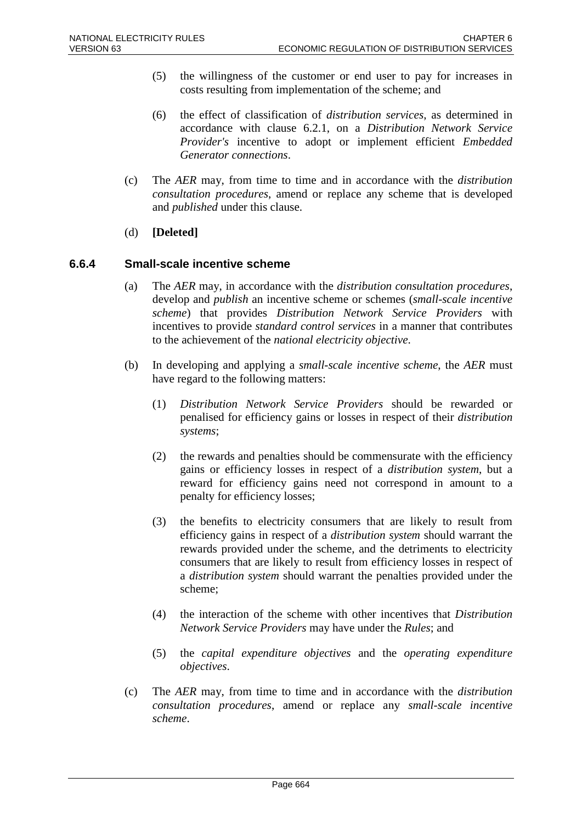- (5) the willingness of the customer or end user to pay for increases in costs resulting from implementation of the scheme; and
- (6) the effect of classification of *distribution services*, as determined in accordance with clause 6.2.1, on a *Distribution Network Service Provider's* incentive to adopt or implement efficient *Embedded Generator connections*.
- (c) The *AER* may, from time to time and in accordance with the *distribution consultation procedures*, amend or replace any scheme that is developed and *published* under this clause.
- (d) **[Deleted]**

#### **6.6.4 Small-scale incentive scheme**

- (a) The *AER* may, in accordance with the *distribution consultation procedures*, develop and *publish* an incentive scheme or schemes (*small-scale incentive scheme*) that provides *Distribution Network Service Providers* with incentives to provide *standard control services* in a manner that contributes to the achievement of the *national electricity objective*.
- (b) In developing and applying a *small-scale incentive scheme*, the *AER* must have regard to the following matters:
	- (1) *Distribution Network Service Providers* should be rewarded or penalised for efficiency gains or losses in respect of their *distribution systems*;
	- (2) the rewards and penalties should be commensurate with the efficiency gains or efficiency losses in respect of a *distribution system*, but a reward for efficiency gains need not correspond in amount to a penalty for efficiency losses;
	- (3) the benefits to electricity consumers that are likely to result from efficiency gains in respect of a *distribution system* should warrant the rewards provided under the scheme, and the detriments to electricity consumers that are likely to result from efficiency losses in respect of a *distribution system* should warrant the penalties provided under the scheme;
	- (4) the interaction of the scheme with other incentives that *Distribution Network Service Providers* may have under the *Rules*; and
	- (5) the *capital expenditure objectives* and the *operating expenditure objectives*.
- (c) The *AER* may, from time to time and in accordance with the *distribution consultation procedures*, amend or replace any *small-scale incentive scheme*.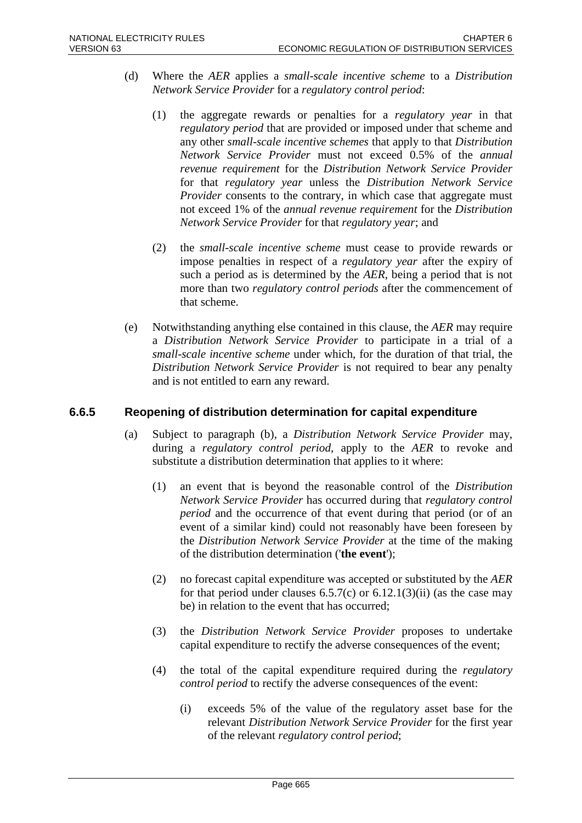- (d) Where the *AER* applies a *small-scale incentive scheme* to a *Distribution Network Service Provider* for a *regulatory control period*:
	- (1) the aggregate rewards or penalties for a *regulatory year* in that *regulatory period* that are provided or imposed under that scheme and any other *small-scale incentive schemes* that apply to that *Distribution Network Service Provider* must not exceed 0.5% of the *annual revenue requirement* for the *Distribution Network Service Provider* for that *regulatory year* unless the *Distribution Network Service Provider* consents to the contrary, in which case that aggregate must not exceed 1% of the *annual revenue requirement* for the *Distribution Network Service Provider* for that *regulatory year*; and
	- (2) the *small-scale incentive scheme* must cease to provide rewards or impose penalties in respect of a *regulatory year* after the expiry of such a period as is determined by the *AER*, being a period that is not more than two *regulatory control periods* after the commencement of that scheme.
- (e) Notwithstanding anything else contained in this clause, the *AER* may require a *Distribution Network Service Provider* to participate in a trial of a *small-scale incentive scheme* under which, for the duration of that trial, the *Distribution Network Service Provider* is not required to bear any penalty and is not entitled to earn any reward.

## **6.6.5 Reopening of distribution determination for capital expenditure**

- (a) Subject to paragraph (b), a *Distribution Network Service Provider* may, during a *regulatory control period*, apply to the *AER* to revoke and substitute a distribution determination that applies to it where:
	- (1) an event that is beyond the reasonable control of the *Distribution Network Service Provider* has occurred during that *regulatory control period* and the occurrence of that event during that period (or of an event of a similar kind) could not reasonably have been foreseen by the *Distribution Network Service Provider* at the time of the making of the distribution determination ('**the event**');
	- (2) no forecast capital expenditure was accepted or substituted by the *AER* for that period under clauses  $6.5.7(c)$  or  $6.12.1(3)(ii)$  (as the case may be) in relation to the event that has occurred;
	- (3) the *Distribution Network Service Provider* proposes to undertake capital expenditure to rectify the adverse consequences of the event;
	- (4) the total of the capital expenditure required during the *regulatory control period* to rectify the adverse consequences of the event:
		- (i) exceeds 5% of the value of the regulatory asset base for the relevant *Distribution Network Service Provider* for the first year of the relevant *regulatory control period*;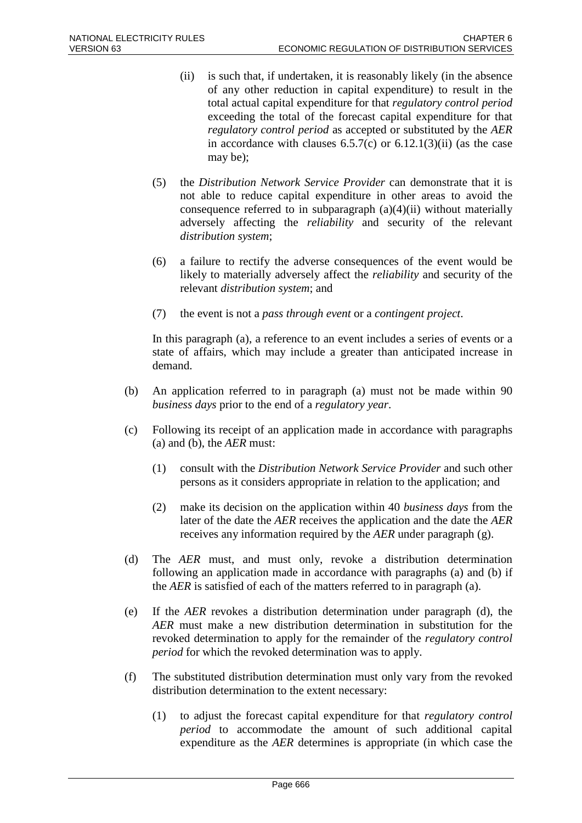- (ii) is such that, if undertaken, it is reasonably likely (in the absence of any other reduction in capital expenditure) to result in the total actual capital expenditure for that *regulatory control period* exceeding the total of the forecast capital expenditure for that *regulatory control period* as accepted or substituted by the *AER* in accordance with clauses  $6.5.7(c)$  or  $6.12.1(3)(ii)$  (as the case may be);
- (5) the *Distribution Network Service Provider* can demonstrate that it is not able to reduce capital expenditure in other areas to avoid the consequence referred to in subparagraph  $(a)(4)(ii)$  without materially adversely affecting the *reliability* and security of the relevant *distribution system*;
- (6) a failure to rectify the adverse consequences of the event would be likely to materially adversely affect the *reliability* and security of the relevant *distribution system*; and
- (7) the event is not a *pass through event* or a *contingent project*.

In this paragraph (a), a reference to an event includes a series of events or a state of affairs, which may include a greater than anticipated increase in demand.

- (b) An application referred to in paragraph (a) must not be made within 90 *business days* prior to the end of a *regulatory year*.
- (c) Following its receipt of an application made in accordance with paragraphs (a) and (b), the *AER* must:
	- (1) consult with the *Distribution Network Service Provider* and such other persons as it considers appropriate in relation to the application; and
	- (2) make its decision on the application within 40 *business days* from the later of the date the *AER* receives the application and the date the *AER* receives any information required by the *AER* under paragraph (g).
- (d) The *AER* must, and must only, revoke a distribution determination following an application made in accordance with paragraphs (a) and (b) if the *AER* is satisfied of each of the matters referred to in paragraph (a).
- (e) If the *AER* revokes a distribution determination under paragraph (d), the *AER* must make a new distribution determination in substitution for the revoked determination to apply for the remainder of the *regulatory control period* for which the revoked determination was to apply.
- (f) The substituted distribution determination must only vary from the revoked distribution determination to the extent necessary:
	- (1) to adjust the forecast capital expenditure for that *regulatory control period* to accommodate the amount of such additional capital expenditure as the *AER* determines is appropriate (in which case the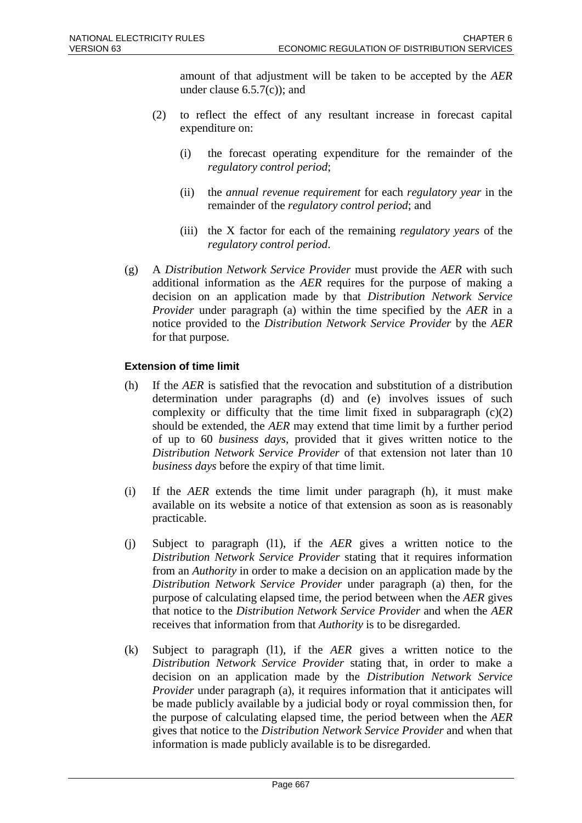amount of that adjustment will be taken to be accepted by the *AER* under clause  $6.5.7(c)$ ; and

- (2) to reflect the effect of any resultant increase in forecast capital expenditure on:
	- (i) the forecast operating expenditure for the remainder of the *regulatory control period*;
	- (ii) the *annual revenue requirement* for each *regulatory year* in the remainder of the *regulatory control period*; and
	- (iii) the X factor for each of the remaining *regulatory years* of the *regulatory control period*.
- (g) A *Distribution Network Service Provider* must provide the *AER* with such additional information as the *AER* requires for the purpose of making a decision on an application made by that *Distribution Network Service Provider* under paragraph (a) within the time specified by the *AER* in a notice provided to the *Distribution Network Service Provider* by the *AER*  for that purpose.

## **Extension of time limit**

- (h) If the *AER* is satisfied that the revocation and substitution of a distribution determination under paragraphs (d) and (e) involves issues of such complexity or difficulty that the time limit fixed in subparagraph  $(c)(2)$ should be extended, the *AER* may extend that time limit by a further period of up to 60 *business days*, provided that it gives written notice to the *Distribution Network Service Provider* of that extension not later than 10 *business days* before the expiry of that time limit.
- (i) If the *AER* extends the time limit under paragraph (h), it must make available on its website a notice of that extension as soon as is reasonably practicable.
- (j) Subject to paragraph (l1), if the *AER* gives a written notice to the *Distribution Network Service Provider* stating that it requires information from an *Authority* in order to make a decision on an application made by the *Distribution Network Service Provider* under paragraph (a) then, for the purpose of calculating elapsed time, the period between when the *AER* gives that notice to the *Distribution Network Service Provider* and when the *AER* receives that information from that *Authority* is to be disregarded.
- (k) Subject to paragraph (l1), if the *AER* gives a written notice to the *Distribution Network Service Provider* stating that, in order to make a decision on an application made by the *Distribution Network Service Provider* under paragraph (a), it requires information that it anticipates will be made publicly available by a judicial body or royal commission then, for the purpose of calculating elapsed time, the period between when the *AER* gives that notice to the *Distribution Network Service Provider* and when that information is made publicly available is to be disregarded.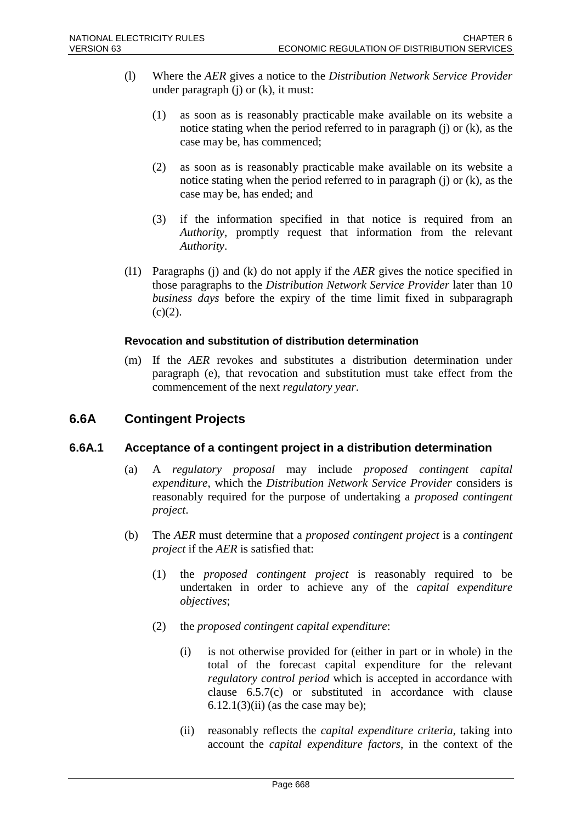- (l) Where the *AER* gives a notice to the *Distribution Network Service Provider* under paragraph  $(i)$  or  $(k)$ , it must:
	- (1) as soon as is reasonably practicable make available on its website a notice stating when the period referred to in paragraph (j) or (k), as the case may be, has commenced;
	- (2) as soon as is reasonably practicable make available on its website a notice stating when the period referred to in paragraph (j) or (k), as the case may be, has ended; and
	- (3) if the information specified in that notice is required from an *Authority*, promptly request that information from the relevant *Authority*.
- (l1) Paragraphs (j) and (k) do not apply if the *AER* gives the notice specified in those paragraphs to the *Distribution Network Service Provider* later than 10 *business days* before the expiry of the time limit fixed in subparagraph  $(c)(2)$ .

#### **Revocation and substitution of distribution determination**

(m) If the *AER* revokes and substitutes a distribution determination under paragraph (e), that revocation and substitution must take effect from the commencement of the next *regulatory year*.

# **6.6A Contingent Projects**

## **6.6A.1 Acceptance of a contingent project in a distribution determination**

- (a) A *regulatory proposal* may include *proposed contingent capital expenditure*, which the *Distribution Network Service Provider* considers is reasonably required for the purpose of undertaking a *proposed contingent project*.
- (b) The *AER* must determine that a *proposed contingent project* is a *contingent project* if the *AER* is satisfied that:
	- (1) the *proposed contingent project* is reasonably required to be undertaken in order to achieve any of the *capital expenditure objectives*;
	- (2) the *proposed contingent capital expenditure*:
		- (i) is not otherwise provided for (either in part or in whole) in the total of the forecast capital expenditure for the relevant *regulatory control period* which is accepted in accordance with clause 6.5.7(c) or substituted in accordance with clause  $6.12.1(3)(ii)$  (as the case may be);
		- (ii) reasonably reflects the *capital expenditure criteria*, taking into account the *capital expenditure factors*, in the context of the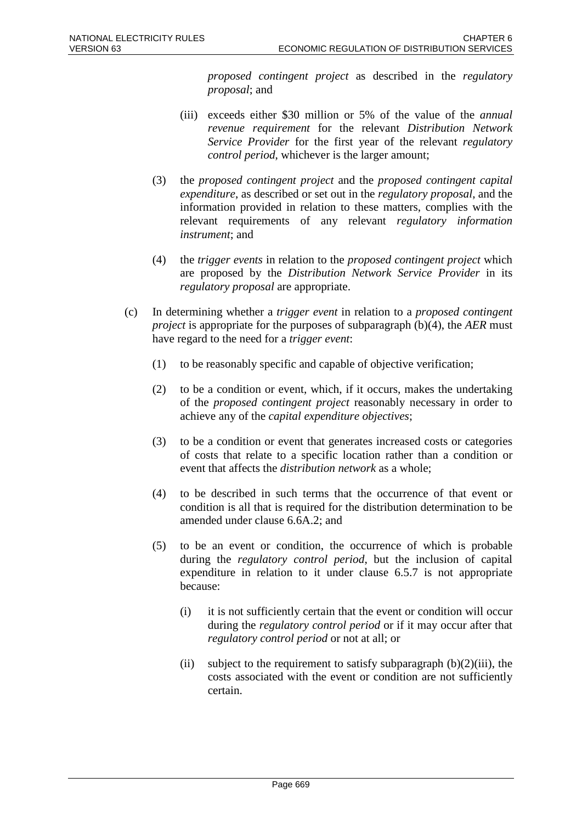*proposed contingent project* as described in the *regulatory proposal*; and

- (iii) exceeds either \$30 million or 5% of the value of the *annual revenue requirement* for the relevant *Distribution Network Service Provider* for the first year of the relevant *regulatory control period*, whichever is the larger amount;
- (3) the *proposed contingent project* and the *proposed contingent capital expenditure*, as described or set out in the *regulatory proposal*, and the information provided in relation to these matters, complies with the relevant requirements of any relevant *regulatory information instrument*; and
- (4) the *trigger events* in relation to the *proposed contingent project* which are proposed by the *Distribution Network Service Provider* in its *regulatory proposal* are appropriate.
- (c) In determining whether a *trigger event* in relation to a *proposed contingent project* is appropriate for the purposes of subparagraph (b)(4), the *AER* must have regard to the need for a *trigger event*:
	- (1) to be reasonably specific and capable of objective verification;
	- (2) to be a condition or event, which, if it occurs, makes the undertaking of the *proposed contingent project* reasonably necessary in order to achieve any of the *capital expenditure objectives*;
	- (3) to be a condition or event that generates increased costs or categories of costs that relate to a specific location rather than a condition or event that affects the *distribution network* as a whole;
	- (4) to be described in such terms that the occurrence of that event or condition is all that is required for the distribution determination to be amended under clause 6.6A.2; and
	- (5) to be an event or condition, the occurrence of which is probable during the *regulatory control period*, but the inclusion of capital expenditure in relation to it under clause 6.5.7 is not appropriate because:
		- (i) it is not sufficiently certain that the event or condition will occur during the *regulatory control period* or if it may occur after that *regulatory control period* or not at all; or
		- (ii) subject to the requirement to satisfy subparagraph  $(b)(2)(iii)$ , the costs associated with the event or condition are not sufficiently certain.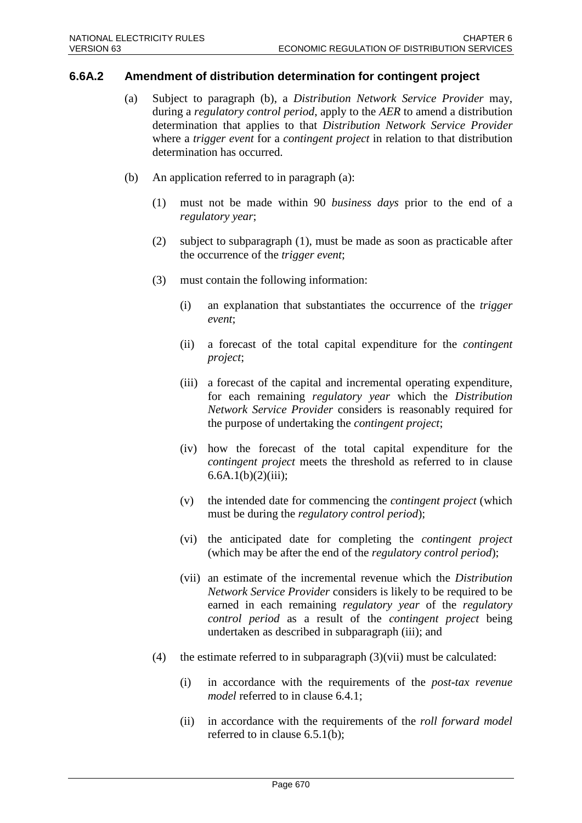#### **6.6A.2 Amendment of distribution determination for contingent project**

- (a) Subject to paragraph (b), a *Distribution Network Service Provider* may, during a *regulatory control period*, apply to the *AER* to amend a distribution determination that applies to that *Distribution Network Service Provider* where a *trigger event* for a *contingent project* in relation to that distribution determination has occurred.
- (b) An application referred to in paragraph (a):
	- (1) must not be made within 90 *business days* prior to the end of a *regulatory year*;
	- (2) subject to subparagraph (1), must be made as soon as practicable after the occurrence of the *trigger event*;
	- (3) must contain the following information:
		- (i) an explanation that substantiates the occurrence of the *trigger event*;
		- (ii) a forecast of the total capital expenditure for the *contingent project*;
		- (iii) a forecast of the capital and incremental operating expenditure, for each remaining *regulatory year* which the *Distribution Network Service Provider* considers is reasonably required for the purpose of undertaking the *contingent project*;
		- (iv) how the forecast of the total capital expenditure for the *contingent project* meets the threshold as referred to in clause  $6.6A.1(b)(2)(iii);$
		- (v) the intended date for commencing the *contingent project* (which must be during the *regulatory control period*);
		- (vi) the anticipated date for completing the *contingent project* (which may be after the end of the *regulatory control period*);
		- (vii) an estimate of the incremental revenue which the *Distribution Network Service Provider* considers is likely to be required to be earned in each remaining *regulatory year* of the *regulatory control period* as a result of the *contingent project* being undertaken as described in subparagraph (iii); and
	- (4) the estimate referred to in subparagraph (3)(vii) must be calculated:
		- (i) in accordance with the requirements of the *post-tax revenue model* referred to in clause 6.4.1;
		- (ii) in accordance with the requirements of the *roll forward model* referred to in clause 6.5.1(b);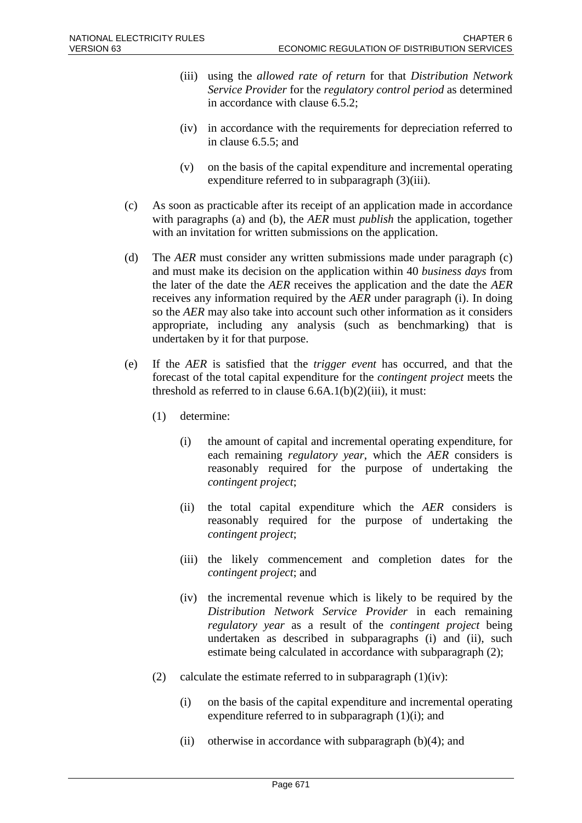- (iii) using the *allowed rate of return* for that *Distribution Network Service Provider* for the *regulatory control period* as determined in accordance with clause 6.5.2;
- (iv) in accordance with the requirements for depreciation referred to in clause 6.5.5; and
- (v) on the basis of the capital expenditure and incremental operating expenditure referred to in subparagraph (3)(iii).
- (c) As soon as practicable after its receipt of an application made in accordance with paragraphs (a) and (b), the *AER* must *publish* the application, together with an invitation for written submissions on the application.
- (d) The *AER* must consider any written submissions made under paragraph (c) and must make its decision on the application within 40 *business days* from the later of the date the *AER* receives the application and the date the *AER* receives any information required by the *AER* under paragraph (i). In doing so the *AER* may also take into account such other information as it considers appropriate, including any analysis (such as benchmarking) that is undertaken by it for that purpose.
- (e) If the *AER* is satisfied that the *trigger event* has occurred, and that the forecast of the total capital expenditure for the *contingent project* meets the threshold as referred to in clause  $6.6A.1(b)(2)(iii)$ , it must:
	- (1) determine:
		- (i) the amount of capital and incremental operating expenditure, for each remaining *regulatory year*, which the *AER* considers is reasonably required for the purpose of undertaking the *contingent project*;
		- (ii) the total capital expenditure which the *AER* considers is reasonably required for the purpose of undertaking the *contingent project*;
		- (iii) the likely commencement and completion dates for the *contingent project*; and
		- (iv) the incremental revenue which is likely to be required by the *Distribution Network Service Provider* in each remaining *regulatory year* as a result of the *contingent project* being undertaken as described in subparagraphs (i) and (ii), such estimate being calculated in accordance with subparagraph (2);
	- (2) calculate the estimate referred to in subparagraph  $(1)(iv)$ :
		- (i) on the basis of the capital expenditure and incremental operating expenditure referred to in subparagraph (1)(i); and
		- (ii) otherwise in accordance with subparagraph  $(b)(4)$ ; and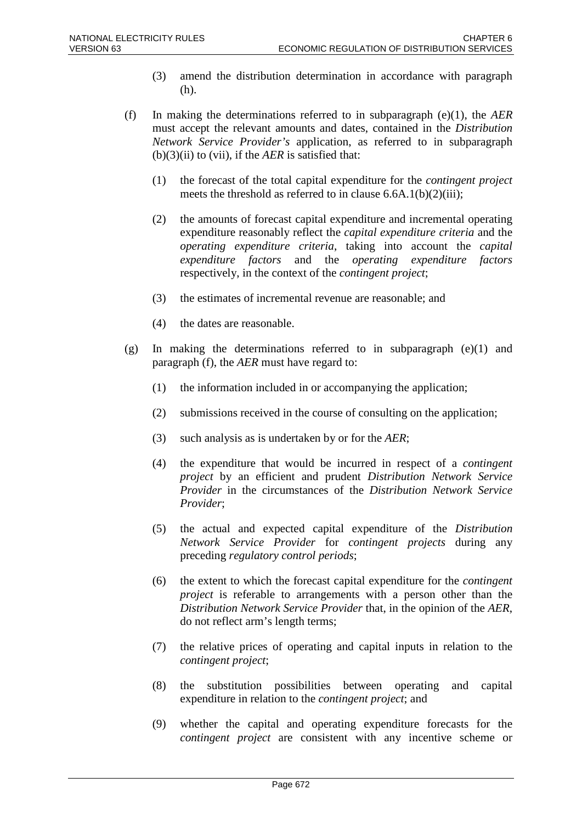- (3) amend the distribution determination in accordance with paragraph (h).
- (f) In making the determinations referred to in subparagraph (e)(1), the *AER* must accept the relevant amounts and dates, contained in the *Distribution Network Service Provider's* application, as referred to in subparagraph  $(b)(3)(ii)$  to  $(vii)$ , if the *AER* is satisfied that:
	- (1) the forecast of the total capital expenditure for the *contingent project* meets the threshold as referred to in clause 6.6A.1(b)(2)(iii);
	- (2) the amounts of forecast capital expenditure and incremental operating expenditure reasonably reflect the *capital expenditure criteria* and the *operating expenditure criteria*, taking into account the *capital expenditure factors* and the *operating expenditure factors* respectively, in the context of the *contingent project*;
	- (3) the estimates of incremental revenue are reasonable; and
	- (4) the dates are reasonable.
- (g) In making the determinations referred to in subparagraph (e)(1) and paragraph (f), the *AER* must have regard to:
	- (1) the information included in or accompanying the application;
	- (2) submissions received in the course of consulting on the application;
	- (3) such analysis as is undertaken by or for the *AER*;
	- (4) the expenditure that would be incurred in respect of a *contingent project* by an efficient and prudent *Distribution Network Service Provider* in the circumstances of the *Distribution Network Service Provider*;
	- (5) the actual and expected capital expenditure of the *Distribution Network Service Provider* for *contingent projects* during any preceding *regulatory control periods*;
	- (6) the extent to which the forecast capital expenditure for the *contingent project* is referable to arrangements with a person other than the *Distribution Network Service Provider* that, in the opinion of the *AER*, do not reflect arm's length terms;
	- (7) the relative prices of operating and capital inputs in relation to the *contingent project*;
	- (8) the substitution possibilities between operating and capital expenditure in relation to the *contingent project*; and
	- (9) whether the capital and operating expenditure forecasts for the *contingent project* are consistent with any incentive scheme or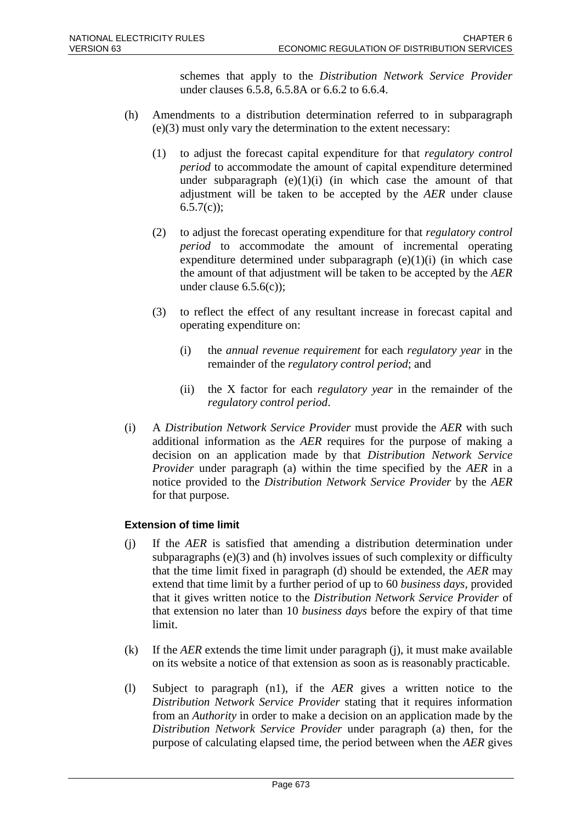schemes that apply to the *Distribution Network Service Provider* under clauses 6.5.8, 6.5.8A or 6.6.2 to 6.6.4.

- (h) Amendments to a distribution determination referred to in subparagraph (e)(3) must only vary the determination to the extent necessary:
	- (1) to adjust the forecast capital expenditure for that *regulatory control period* to accommodate the amount of capital expenditure determined under subparagraph  $(e)(1)(i)$  (in which case the amount of that adjustment will be taken to be accepted by the *AER* under clause  $6.5.7(c)$ ;
	- (2) to adjust the forecast operating expenditure for that *regulatory control period* to accommodate the amount of incremental operating expenditure determined under subparagraph  $(e)(1)(i)$  (in which case the amount of that adjustment will be taken to be accepted by the *AER* under clause 6.5.6(c));
	- (3) to reflect the effect of any resultant increase in forecast capital and operating expenditure on:
		- (i) the *annual revenue requirement* for each *regulatory year* in the remainder of the *regulatory control period*; and
		- (ii) the X factor for each *regulatory year* in the remainder of the *regulatory control period*.
- (i) A *Distribution Network Service Provider* must provide the *AER* with such additional information as the *AER* requires for the purpose of making a decision on an application made by that *Distribution Network Service Provider* under paragraph (a) within the time specified by the *AER* in a notice provided to the *Distribution Network Service Provider* by the *AER* for that purpose.

#### **Extension of time limit**

- (j) If the *AER* is satisfied that amending a distribution determination under subparagraphs (e)(3) and (h) involves issues of such complexity or difficulty that the time limit fixed in paragraph (d) should be extended, the *AER* may extend that time limit by a further period of up to 60 *business days*, provided that it gives written notice to the *Distribution Network Service Provider* of that extension no later than 10 *business days* before the expiry of that time limit.
- (k) If the *AER* extends the time limit under paragraph (j), it must make available on its website a notice of that extension as soon as is reasonably practicable.
- (l) Subject to paragraph (n1), if the *AER* gives a written notice to the *Distribution Network Service Provider* stating that it requires information from an *Authority* in order to make a decision on an application made by the *Distribution Network Service Provider* under paragraph (a) then, for the purpose of calculating elapsed time, the period between when the *AER* gives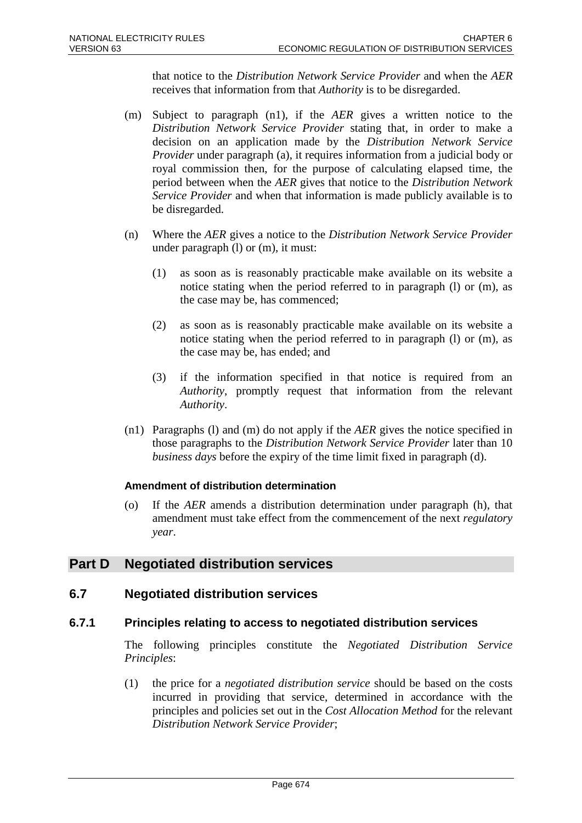that notice to the *Distribution Network Service Provider* and when the *AER* receives that information from that *Authority* is to be disregarded.

- (m) Subject to paragraph (n1), if the *AER* gives a written notice to the *Distribution Network Service Provider* stating that, in order to make a decision on an application made by the *Distribution Network Service Provider* under paragraph (a), it requires information from a judicial body or royal commission then, for the purpose of calculating elapsed time, the period between when the *AER* gives that notice to the *Distribution Network Service Provider* and when that information is made publicly available is to be disregarded.
- (n) Where the *AER* gives a notice to the *Distribution Network Service Provider* under paragraph (l) or (m), it must:
	- (1) as soon as is reasonably practicable make available on its website a notice stating when the period referred to in paragraph (l) or (m), as the case may be, has commenced;
	- (2) as soon as is reasonably practicable make available on its website a notice stating when the period referred to in paragraph (l) or (m), as the case may be, has ended; and
	- (3) if the information specified in that notice is required from an *Authority*, promptly request that information from the relevant *Authority*.
- (n1) Paragraphs (l) and (m) do not apply if the *AER* gives the notice specified in those paragraphs to the *Distribution Network Service Provider* later than 10 *business days* before the expiry of the time limit fixed in paragraph (d).

## **Amendment of distribution determination**

(o) If the *AER* amends a distribution determination under paragraph (h), that amendment must take effect from the commencement of the next *regulatory year*.

# **Part D Negotiated distribution services**

## **6.7 Negotiated distribution services**

## **6.7.1 Principles relating to access to negotiated distribution services**

The following principles constitute the *Negotiated Distribution Service Principles*:

(1) the price for a *negotiated distribution service* should be based on the costs incurred in providing that service, determined in accordance with the principles and policies set out in the *Cost Allocation Method* for the relevant *Distribution Network Service Provider*;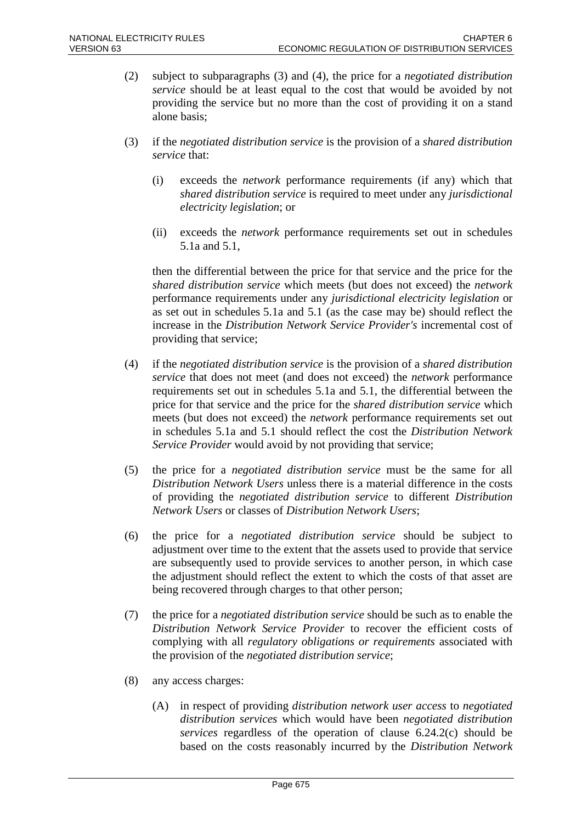- (2) subject to subparagraphs (3) and (4), the price for a *negotiated distribution service* should be at least equal to the cost that would be avoided by not providing the service but no more than the cost of providing it on a stand alone basis;
- (3) if the *negotiated distribution service* is the provision of a *shared distribution service* that:
	- (i) exceeds the *network* performance requirements (if any) which that *shared distribution service* is required to meet under any *jurisdictional electricity legislation*; or
	- (ii) exceeds the *network* performance requirements set out in schedules 5.1a and 5.1,

then the differential between the price for that service and the price for the *shared distribution service* which meets (but does not exceed) the *network* performance requirements under any *jurisdictional electricity legislation* or as set out in schedules 5.1a and 5.1 (as the case may be) should reflect the increase in the *Distribution Network Service Provider's* incremental cost of providing that service;

- (4) if the *negotiated distribution service* is the provision of a *shared distribution service* that does not meet (and does not exceed) the *network* performance requirements set out in schedules 5.1a and 5.1, the differential between the price for that service and the price for the *shared distribution service* which meets (but does not exceed) the *network* performance requirements set out in schedules 5.1a and 5.1 should reflect the cost the *Distribution Network Service Provider* would avoid by not providing that service;
- (5) the price for a *negotiated distribution service* must be the same for all *Distribution Network Users* unless there is a material difference in the costs of providing the *negotiated distribution service* to different *Distribution Network Users* or classes of *Distribution Network Users*;
- (6) the price for a *negotiated distribution service* should be subject to adjustment over time to the extent that the assets used to provide that service are subsequently used to provide services to another person, in which case the adjustment should reflect the extent to which the costs of that asset are being recovered through charges to that other person;
- (7) the price for a *negotiated distribution service* should be such as to enable the *Distribution Network Service Provider* to recover the efficient costs of complying with all *regulatory obligations or requirements* associated with the provision of the *negotiated distribution service*;
- (8) any access charges:
	- (A) in respect of providing *distribution network user access* to *negotiated distribution services* which would have been *negotiated distribution services* regardless of the operation of clause 6.24.2(c) should be based on the costs reasonably incurred by the *Distribution Network*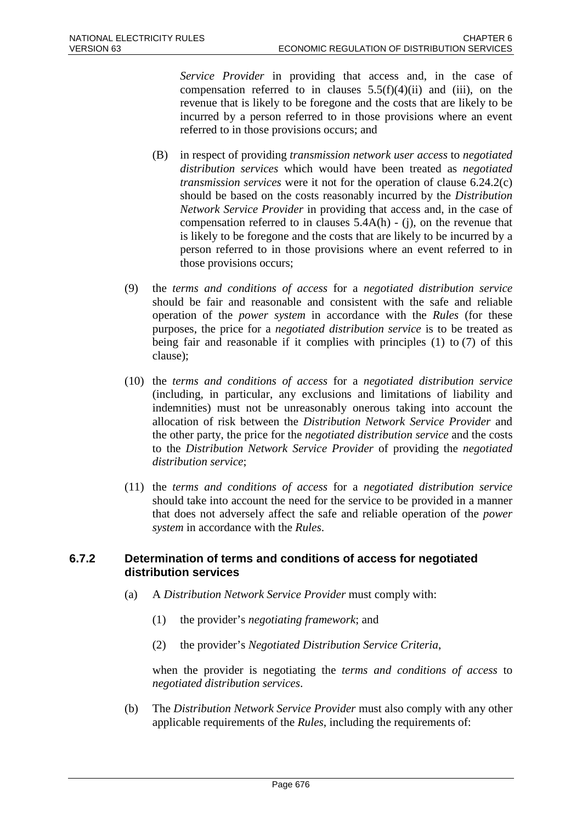*Service Provider* in providing that access and, in the case of compensation referred to in clauses  $5.5(f)(4)(ii)$  and (iii), on the revenue that is likely to be foregone and the costs that are likely to be incurred by a person referred to in those provisions where an event referred to in those provisions occurs; and

- (B) in respect of providing *transmission network user access* to *negotiated distribution services* which would have been treated as *negotiated transmission services* were it not for the operation of clause 6.24.2(c) should be based on the costs reasonably incurred by the *Distribution Network Service Provider* in providing that access and, in the case of compensation referred to in clauses 5.4A(h) - (j), on the revenue that is likely to be foregone and the costs that are likely to be incurred by a person referred to in those provisions where an event referred to in those provisions occurs;
- (9) the *terms and conditions of access* for a *negotiated distribution service* should be fair and reasonable and consistent with the safe and reliable operation of the *power system* in accordance with the *Rules* (for these purposes, the price for a *negotiated distribution service* is to be treated as being fair and reasonable if it complies with principles (1) to (7) of this clause);
- (10) the *terms and conditions of access* for a *negotiated distribution service* (including, in particular, any exclusions and limitations of liability and indemnities) must not be unreasonably onerous taking into account the allocation of risk between the *Distribution Network Service Provider* and the other party, the price for the *negotiated distribution service* and the costs to the *Distribution Network Service Provider* of providing the *negotiated distribution service*;
- (11) the *terms and conditions of access* for a *negotiated distribution service* should take into account the need for the service to be provided in a manner that does not adversely affect the safe and reliable operation of the *power system* in accordance with the *Rules*.

#### **6.7.2 Determination of terms and conditions of access for negotiated distribution services**

- (a) A *Distribution Network Service Provider* must comply with:
	- (1) the provider's *negotiating framework*; and
	- (2) the provider's *Negotiated Distribution Service Criteria*,

when the provider is negotiating the *terms and conditions of access* to *negotiated distribution services*.

(b) The *Distribution Network Service Provider* must also comply with any other applicable requirements of the *Rules*, including the requirements of: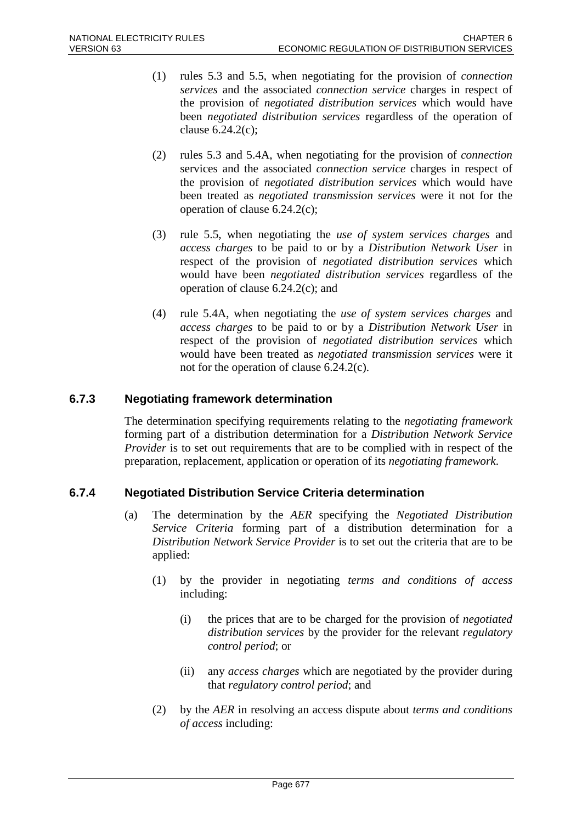- (1) rules 5.3 and 5.5, when negotiating for the provision of *connection services* and the associated *connection service* charges in respect of the provision of *negotiated distribution services* which would have been *negotiated distribution services* regardless of the operation of clause 6.24.2(c);
- (2) rules 5.3 and 5.4A, when negotiating for the provision of *connection* services and the associated *connection service* charges in respect of the provision of *negotiated distribution services* which would have been treated as *negotiated transmission services* were it not for the operation of clause 6.24.2(c);
- (3) rule 5.5, when negotiating the *use of system services charges* and *access charges* to be paid to or by a *Distribution Network User* in respect of the provision of *negotiated distribution services* which would have been *negotiated distribution services* regardless of the operation of clause 6.24.2(c); and
- (4) rule 5.4A, when negotiating the *use of system services charges* and *access charges* to be paid to or by a *Distribution Network User* in respect of the provision of *negotiated distribution services* which would have been treated as *negotiated transmission services* were it not for the operation of clause 6.24.2(c).

## **6.7.3 Negotiating framework determination**

The determination specifying requirements relating to the *negotiating framework* forming part of a distribution determination for a *Distribution Network Service Provider* is to set out requirements that are to be complied with in respect of the preparation, replacement, application or operation of its *negotiating framework*.

## **6.7.4 Negotiated Distribution Service Criteria determination**

- (a) The determination by the *AER* specifying the *Negotiated Distribution Service Criteria* forming part of a distribution determination for a *Distribution Network Service Provider* is to set out the criteria that are to be applied:
	- (1) by the provider in negotiating *terms and conditions of access* including:
		- (i) the prices that are to be charged for the provision of *negotiated distribution services* by the provider for the relevant *regulatory control period*; or
		- (ii) any *access charges* which are negotiated by the provider during that *regulatory control period*; and
	- (2) by the *AER* in resolving an access dispute about *terms and conditions of access* including: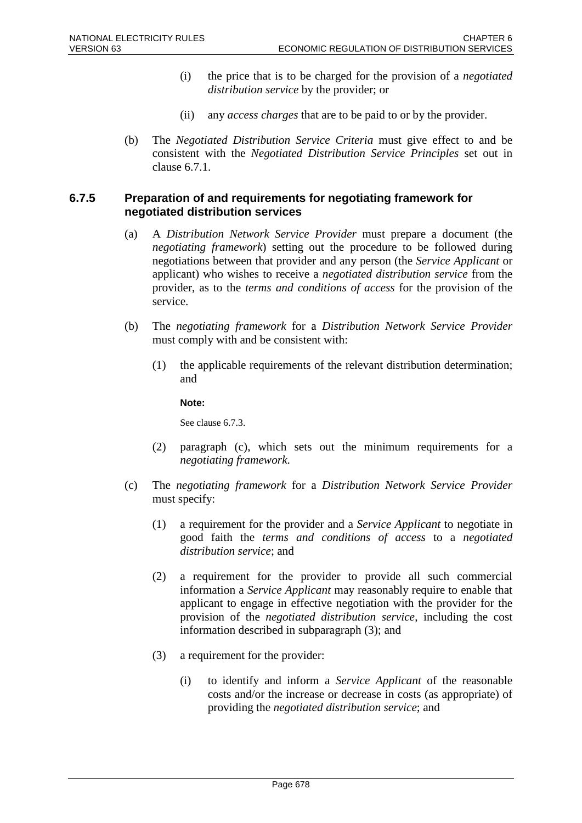- (i) the price that is to be charged for the provision of a *negotiated distribution service* by the provider; or
- (ii) any *access charges* that are to be paid to or by the provider.
- (b) The *Negotiated Distribution Service Criteria* must give effect to and be consistent with the *Negotiated Distribution Service Principles* set out in clause 6.7.1.

#### **6.7.5 Preparation of and requirements for negotiating framework for negotiated distribution services**

- (a) A *Distribution Network Service Provider* must prepare a document (the *negotiating framework*) setting out the procedure to be followed during negotiations between that provider and any person (the *Service Applicant* or applicant) who wishes to receive a *negotiated distribution service* from the provider, as to the *terms and conditions of access* for the provision of the service.
- (b) The *negotiating framework* for a *Distribution Network Service Provider* must comply with and be consistent with:
	- (1) the applicable requirements of the relevant distribution determination; and

**Note:**

See clause 6.7.3.

- (2) paragraph (c), which sets out the minimum requirements for a *negotiating framework*.
- (c) The *negotiating framework* for a *Distribution Network Service Provider* must specify:
	- (1) a requirement for the provider and a *Service Applicant* to negotiate in good faith the *terms and conditions of access* to a *negotiated distribution service*; and
	- (2) a requirement for the provider to provide all such commercial information a *Service Applicant* may reasonably require to enable that applicant to engage in effective negotiation with the provider for the provision of the *negotiated distribution service*, including the cost information described in subparagraph (3); and
	- (3) a requirement for the provider:
		- (i) to identify and inform a *Service Applicant* of the reasonable costs and/or the increase or decrease in costs (as appropriate) of providing the *negotiated distribution service*; and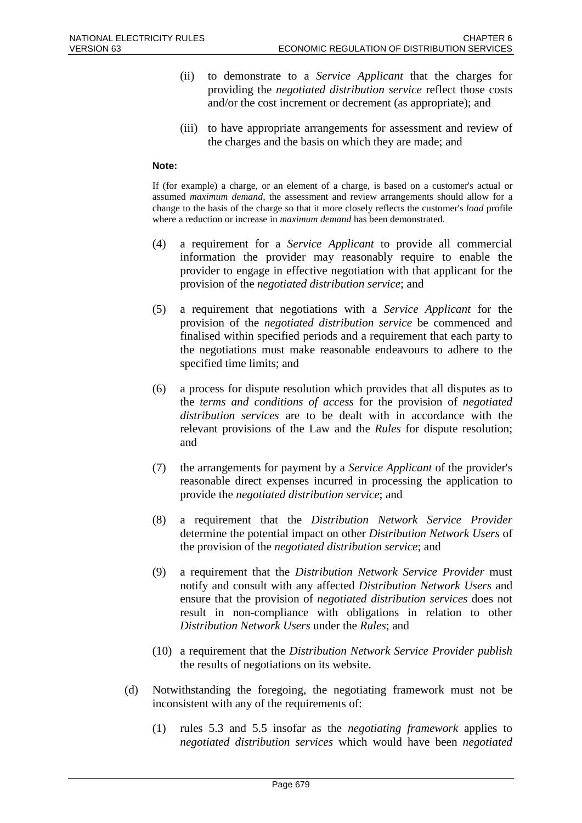- (ii) to demonstrate to a *Service Applicant* that the charges for providing the *negotiated distribution service* reflect those costs and/or the cost increment or decrement (as appropriate); and
- (iii) to have appropriate arrangements for assessment and review of the charges and the basis on which they are made; and

#### **Note:**

If (for example) a charge, or an element of a charge, is based on a customer's actual or assumed *maximum demand*, the assessment and review arrangements should allow for a change to the basis of the charge so that it more closely reflects the customer's *load* profile where a reduction or increase in *maximum demand* has been demonstrated.

- (4) a requirement for a *Service Applicant* to provide all commercial information the provider may reasonably require to enable the provider to engage in effective negotiation with that applicant for the provision of the *negotiated distribution service*; and
- (5) a requirement that negotiations with a *Service Applicant* for the provision of the *negotiated distribution service* be commenced and finalised within specified periods and a requirement that each party to the negotiations must make reasonable endeavours to adhere to the specified time limits; and
- (6) a process for dispute resolution which provides that all disputes as to the *terms and conditions of access* for the provision of *negotiated distribution services* are to be dealt with in accordance with the relevant provisions of the Law and the *Rules* for dispute resolution; and
- (7) the arrangements for payment by a *Service Applicant* of the provider's reasonable direct expenses incurred in processing the application to provide the *negotiated distribution service*; and
- (8) a requirement that the *Distribution Network Service Provider* determine the potential impact on other *Distribution Network Users* of the provision of the *negotiated distribution service*; and
- (9) a requirement that the *Distribution Network Service Provider* must notify and consult with any affected *Distribution Network Users* and ensure that the provision of *negotiated distribution services* does not result in non-compliance with obligations in relation to other *Distribution Network Users* under the *Rules*; and
- (10) a requirement that the *Distribution Network Service Provider publish* the results of negotiations on its website.
- (d) Notwithstanding the foregoing, the negotiating framework must not be inconsistent with any of the requirements of:
	- (1) rules 5.3 and 5.5 insofar as the *negotiating framework* applies to *negotiated distribution services* which would have been *negotiated*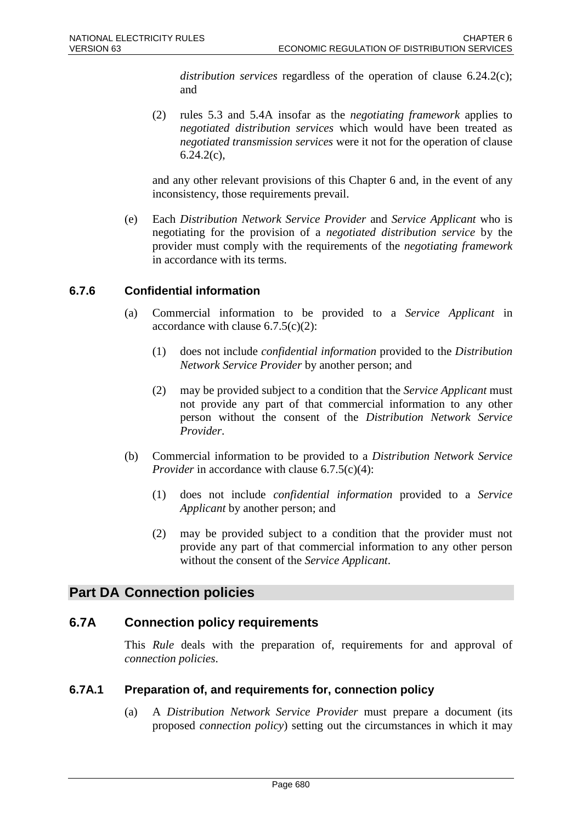*distribution services* regardless of the operation of clause 6.24.2(c); and

(2) rules 5.3 and 5.4A insofar as the *negotiating framework* applies to *negotiated distribution services* which would have been treated as *negotiated transmission services* were it not for the operation of clause  $6.24.2(c)$ ,

and any other relevant provisions of this Chapter 6 and, in the event of any inconsistency, those requirements prevail.

(e) Each *Distribution Network Service Provider* and *Service Applicant* who is negotiating for the provision of a *negotiated distribution service* by the provider must comply with the requirements of the *negotiating framework* in accordance with its terms.

# **6.7.6 Confidential information**

- (a) Commercial information to be provided to a *Service Applicant* in accordance with clause  $6.7.5(c)(2)$ :
	- (1) does not include *confidential information* provided to the *Distribution Network Service Provider* by another person; and
	- (2) may be provided subject to a condition that the *Service Applicant* must not provide any part of that commercial information to any other person without the consent of the *Distribution Network Service Provider*.
- (b) Commercial information to be provided to a *Distribution Network Service Provider* in accordance with clause 6.7.5(c)(4):
	- (1) does not include *confidential information* provided to a *Service Applicant* by another person; and
	- (2) may be provided subject to a condition that the provider must not provide any part of that commercial information to any other person without the consent of the *Service Applicant*.

# **Part DA Connection policies**

## **6.7A Connection policy requirements**

This *Rule* deals with the preparation of, requirements for and approval of *connection policies*.

## **6.7A.1 Preparation of, and requirements for, connection policy**

(a) A *Distribution Network Service Provider* must prepare a document (its proposed *connection policy*) setting out the circumstances in which it may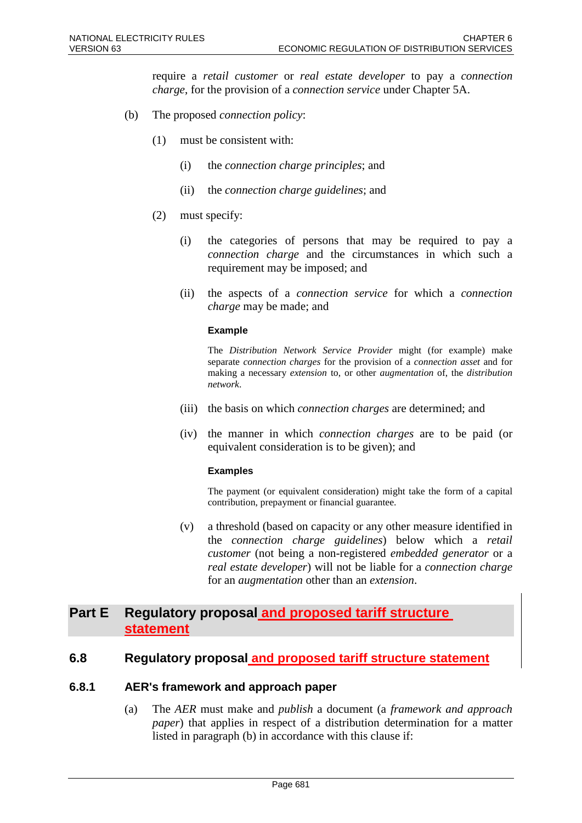require a *retail customer* or *real estate developer* to pay a *connection charge*, for the provision of a *connection service* under Chapter 5A.

- (b) The proposed *connection policy*:
	- (1) must be consistent with:
		- (i) the *connection charge principles*; and
		- (ii) the *connection charge guidelines*; and
	- (2) must specify:
		- (i) the categories of persons that may be required to pay a *connection charge* and the circumstances in which such a requirement may be imposed; and
		- (ii) the aspects of a *connection service* for which a *connection charge* may be made; and

#### **Example**

The *Distribution Network Service Provider* might (for example) make separate *connection charges* for the provision of a *connection asset* and for making a necessary *extension* to, or other *augmentation* of, the *distribution network*.

- (iii) the basis on which *connection charges* are determined; and
- (iv) the manner in which *connection charges* are to be paid (or equivalent consideration is to be given); and

#### **Examples**

The payment (or equivalent consideration) might take the form of a capital contribution, prepayment or financial guarantee.

(v) a threshold (based on capacity or any other measure identified in the *connection charge guidelines*) below which a *retail customer* (not being a non-registered *embedded generator* or a *real estate developer*) will not be liable for a *connection charge* for an *augmentation* other than an *extension*.

# **Part E Regulatory proposal and proposed tariff structure statement**

## **6.8 Regulatory proposal and proposed tariff structure statement**

#### **6.8.1 AER's framework and approach paper**

(a) The *AER* must make and *publish* a document (a *framework and approach paper*) that applies in respect of a distribution determination for a matter listed in paragraph (b) in accordance with this clause if: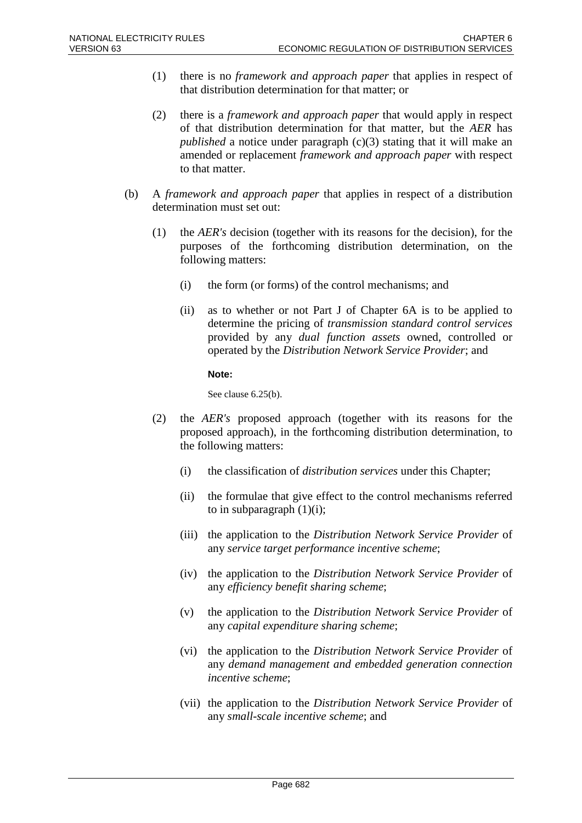- (1) there is no *framework and approach paper* that applies in respect of that distribution determination for that matter; or
- (2) there is a *framework and approach paper* that would apply in respect of that distribution determination for that matter, but the *AER* has *published* a notice under paragraph (c)(3) stating that it will make an amended or replacement *framework and approach paper* with respect to that matter.
- (b) A *framework and approach paper* that applies in respect of a distribution determination must set out:
	- (1) the *AER's* decision (together with its reasons for the decision), for the purposes of the forthcoming distribution determination, on the following matters:
		- (i) the form (or forms) of the control mechanisms; and
		- (ii) as to whether or not Part J of Chapter 6A is to be applied to determine the pricing of *transmission standard control services* provided by any *dual function assets* owned, controlled or operated by the *Distribution Network Service Provider*; and

#### **Note:**

See clause 6.25(b).

- (2) the *AER's* proposed approach (together with its reasons for the proposed approach), in the forthcoming distribution determination, to the following matters:
	- (i) the classification of *distribution services* under this Chapter;
	- (ii) the formulae that give effect to the control mechanisms referred to in subparagraph  $(1)(i)$ ;
	- (iii) the application to the *Distribution Network Service Provider* of any *service target performance incentive scheme*;
	- (iv) the application to the *Distribution Network Service Provider* of any *efficiency benefit sharing scheme*;
	- (v) the application to the *Distribution Network Service Provider* of any *capital expenditure sharing scheme*;
	- (vi) the application to the *Distribution Network Service Provider* of any *demand management and embedded generation connection incentive scheme*;
	- (vii) the application to the *Distribution Network Service Provider* of any *small-scale incentive scheme*; and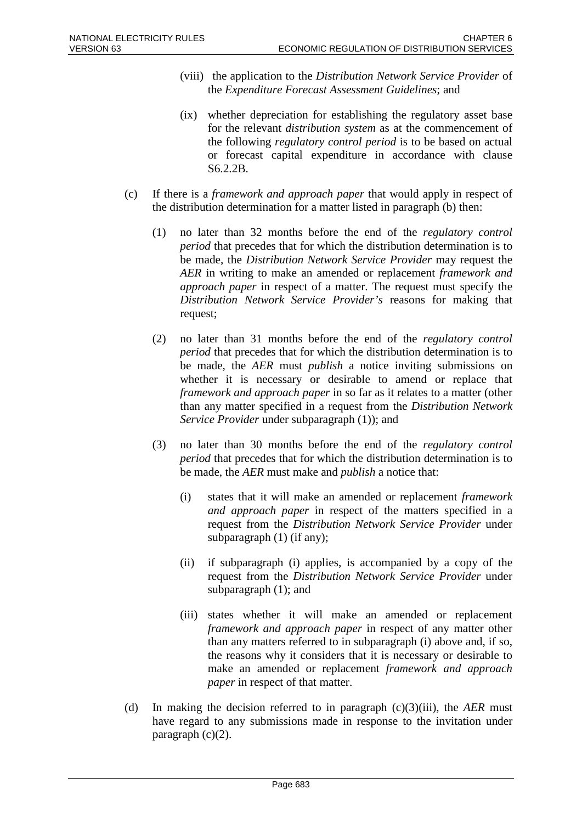- (viii) the application to the *Distribution Network Service Provider* of the *Expenditure Forecast Assessment Guidelines*; and
- (ix) whether depreciation for establishing the regulatory asset base for the relevant *distribution system* as at the commencement of the following *regulatory control period* is to be based on actual or forecast capital expenditure in accordance with clause S6.2.2B.
- (c) If there is a *framework and approach paper* that would apply in respect of the distribution determination for a matter listed in paragraph (b) then:
	- (1) no later than 32 months before the end of the *regulatory control period* that precedes that for which the distribution determination is to be made, the *Distribution Network Service Provider* may request the *AER* in writing to make an amended or replacement *framework and approach paper* in respect of a matter. The request must specify the *Distribution Network Service Provider's* reasons for making that request;
	- (2) no later than 31 months before the end of the *regulatory control period* that precedes that for which the distribution determination is to be made, the *AER* must *publish* a notice inviting submissions on whether it is necessary or desirable to amend or replace that *framework and approach paper* in so far as it relates to a matter (other than any matter specified in a request from the *Distribution Network Service Provider* under subparagraph (1)); and
	- (3) no later than 30 months before the end of the *regulatory control period* that precedes that for which the distribution determination is to be made, the *AER* must make and *publish* a notice that:
		- (i) states that it will make an amended or replacement *framework and approach paper* in respect of the matters specified in a request from the *Distribution Network Service Provider* under subparagraph (1) (if any);
		- (ii) if subparagraph (i) applies, is accompanied by a copy of the request from the *Distribution Network Service Provider* under subparagraph (1); and
		- (iii) states whether it will make an amended or replacement *framework and approach paper* in respect of any matter other than any matters referred to in subparagraph (i) above and, if so, the reasons why it considers that it is necessary or desirable to make an amended or replacement *framework and approach paper* in respect of that matter.
- (d) In making the decision referred to in paragraph (c)(3)(iii), the *AER* must have regard to any submissions made in response to the invitation under paragraph  $(c)(2)$ .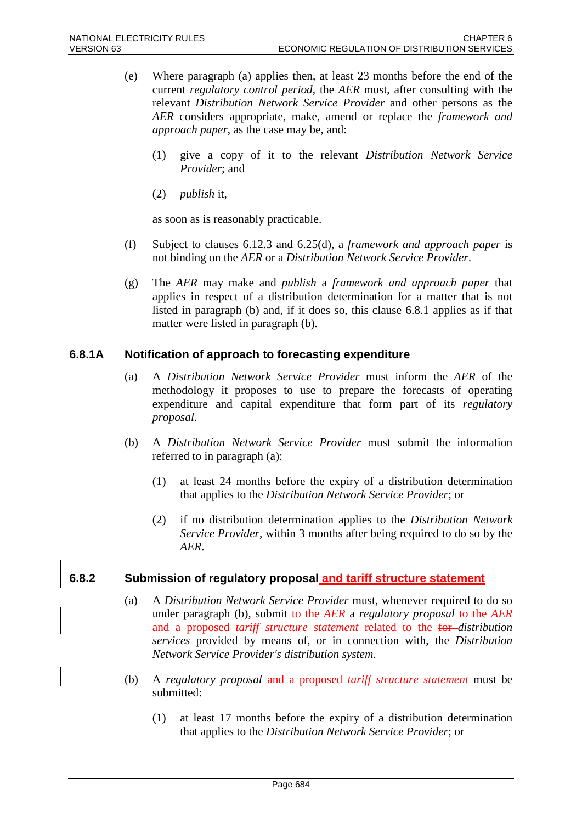- (e) Where paragraph (a) applies then, at least 23 months before the end of the current *regulatory control period*, the *AER* must, after consulting with the relevant *Distribution Network Service Provider* and other persons as the *AER* considers appropriate, make, amend or replace the *framework and approach paper*, as the case may be, and:
	- (1) give a copy of it to the relevant *Distribution Network Service Provider*; and
	- (2) *publish* it,

as soon as is reasonably practicable.

- (f) Subject to clauses 6.12.3 and 6.25(d), a *framework and approach paper* is not binding on the *AER* or a *Distribution Network Service Provider*.
- (g) The *AER* may make and *publish* a *framework and approach paper* that applies in respect of a distribution determination for a matter that is not listed in paragraph (b) and, if it does so, this clause 6.8.1 applies as if that matter were listed in paragraph (b).

#### **6.8.1A Notification of approach to forecasting expenditure**

- (a) A *Distribution Network Service Provider* must inform the *AER* of the methodology it proposes to use to prepare the forecasts of operating expenditure and capital expenditure that form part of its *regulatory proposal*.
- (b) A *Distribution Network Service Provider* must submit the information referred to in paragraph (a):
	- (1) at least 24 months before the expiry of a distribution determination that applies to the *Distribution Network Service Provider*; or
	- (2) if no distribution determination applies to the *Distribution Network Service Provider*, within 3 months after being required to do so by the *AER*.

## **6.8.2 Submission of regulatory proposal and tariff structure statement**

- (a) A *Distribution Network Service Provider* must, whenever required to do so under paragraph (b), submit to the *AER* a *regulatory proposal* to the *AER* and a proposed *tariff structure statement* related to the for *distribution services* provided by means of, or in connection with, the *Distribution Network Service Provider's distribution system*.
- (b) A *regulatory proposal* and a proposed *tariff structure statement* must be submitted:
	- (1) at least 17 months before the expiry of a distribution determination that applies to the *Distribution Network Service Provider*; or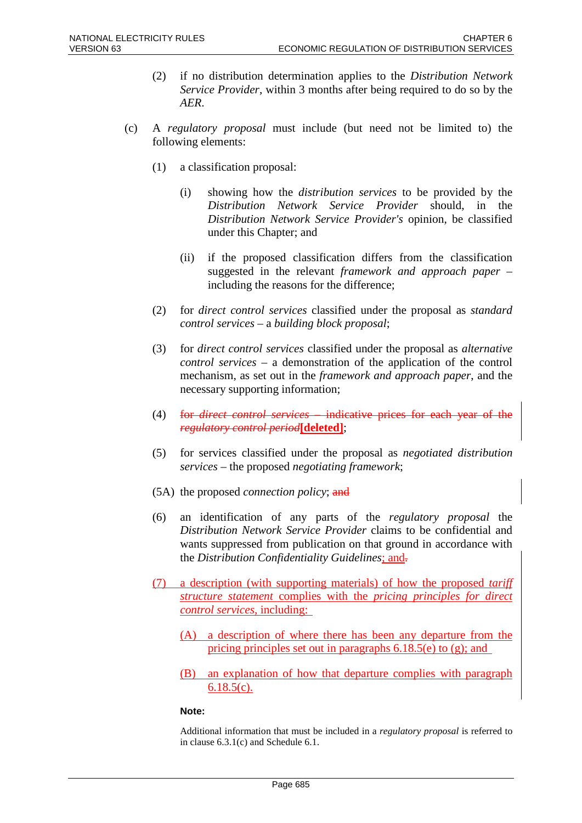- (2) if no distribution determination applies to the *Distribution Network Service Provider*, within 3 months after being required to do so by the *AER*.
- (c) A *regulatory proposal* must include (but need not be limited to) the following elements:
	- (1) a classification proposal:
		- (i) showing how the *distribution services* to be provided by the *Distribution Network Service Provider* should, in the *Distribution Network Service Provider's* opinion, be classified under this Chapter; and
		- (ii) if the proposed classification differs from the classification suggested in the relevant *framework and approach paper* – including the reasons for the difference;
	- (2) for *direct control services* classified under the proposal as *standard control services* – a *building block proposal*;
	- (3) for *direct control services* classified under the proposal as *alternative control services* – a demonstration of the application of the control mechanism, as set out in the *framework and approach paper*, and the necessary supporting information;
	- (4) for *direct control services* indicative prices for each year of the *regulatory control period***[deleted]**;
	- (5) for services classified under the proposal as *negotiated distribution services* – the proposed *negotiating framework*;
	- (5A) the proposed *connection policy*; and
	- (6) an identification of any parts of the *regulatory proposal* the *Distribution Network Service Provider* claims to be confidential and wants suppressed from publication on that ground in accordance with the *Distribution Confidentiality Guidelines*; and.
	- (7) a description (with supporting materials) of how the proposed *tariff structure statement* complies with the *pricing principles for direct control services*, including:
		- (A) a description of where there has been any departure from the pricing principles set out in paragraphs 6.18.5(e) to (g); and
		- (B) an explanation of how that departure complies with paragraph 6.18.5(c).

#### **Note:**

Additional information that must be included in a *regulatory proposal* is referred to in clause 6.3.1(c) and Schedule 6.1.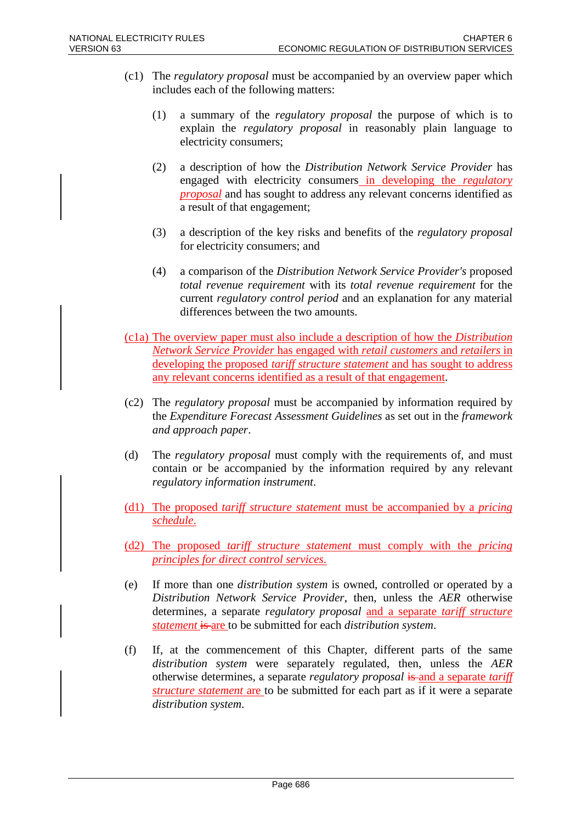- (c1) The *regulatory proposal* must be accompanied by an overview paper which includes each of the following matters:
	- (1) a summary of the *regulatory proposal* the purpose of which is to explain the *regulatory proposal* in reasonably plain language to electricity consumers;
	- (2) a description of how the *Distribution Network Service Provider* has engaged with electricity consumers in developing the *regulatory proposal* and has sought to address any relevant concerns identified as a result of that engagement;
	- (3) a description of the key risks and benefits of the *regulatory proposal* for electricity consumers; and
	- (4) a comparison of the *Distribution Network Service Provider's* proposed *total revenue requirement* with its *total revenue requirement* for the current *regulatory control period* and an explanation for any material differences between the two amounts.
- (c1a) The overview paper must also include a description of how the *Distribution Network Service Provider* has engaged with *retail customers* and *retailers* in developing the proposed *tariff structure statement* and has sought to address any relevant concerns identified as a result of that engagement.
- (c2) The *regulatory proposal* must be accompanied by information required by the *Expenditure Forecast Assessment Guidelines* as set out in the *framework and approach paper*.
- (d) The *regulatory proposal* must comply with the requirements of, and must contain or be accompanied by the information required by any relevant *regulatory information instrument*.
- (d1) The proposed *tariff structure statement* must be accompanied by a *pricing schedule*.
- (d2) The proposed *tariff structure statement* must comply with the *pricing principles for direct control services*.
- (e) If more than one *distribution system* is owned, controlled or operated by a *Distribution Network Service Provider*, then, unless the *AER* otherwise determines, a separate *regulatory proposal* and a separate *tariff structure statement* is are to be submitted for each *distribution system*.
- (f) If, at the commencement of this Chapter, different parts of the same *distribution system* were separately regulated, then, unless the *AER* otherwise determines, a separate *regulatory proposal* is and a separate *tariff structure statement* are to be submitted for each part as if it were a separate *distribution system*.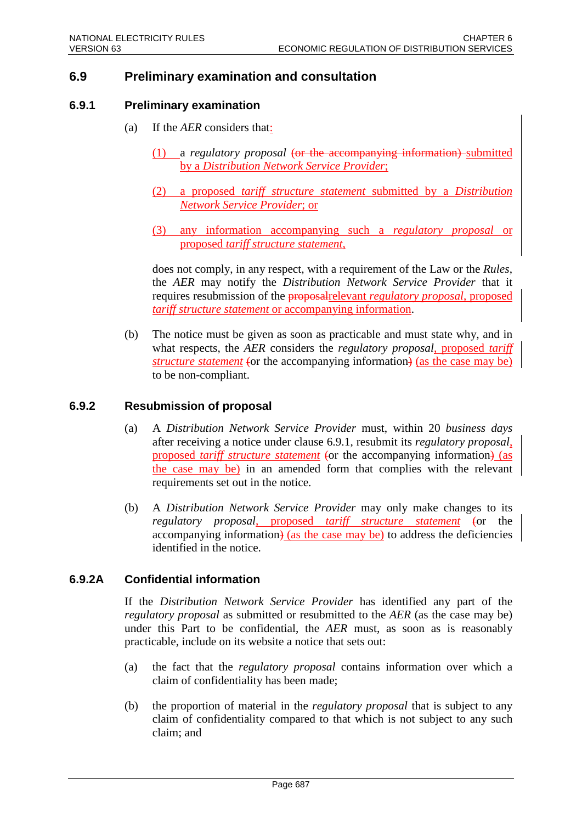# **6.9 Preliminary examination and consultation**

#### **6.9.1 Preliminary examination**

- (a) If the *AER* considers that:
	- (1) a *regulatory proposal* (or the accompanying information) submitted by a *Distribution Network Service Provider*;
	- (2) a proposed *tariff structure statement* submitted by a *Distribution Network Service Provider*; or
	- (3) any information accompanying such a *regulatory proposal* or proposed *tariff structure statement*,

does not comply, in any respect, with a requirement of the Law or the *Rules*, the *AER* may notify the *Distribution Network Service Provider* that it requires resubmission of the proposalrelevant *regulatory proposal*, proposed *tariff structure statement* or accompanying information.

(b) The notice must be given as soon as practicable and must state why, and in what respects, the *AER* considers the *regulatory proposal*, proposed *tariff structure statement* (or the accompanying information) (as the case may be) to be non-compliant.

#### **6.9.2 Resubmission of proposal**

- (a) A *Distribution Network Service Provider* must, within 20 *business days* after receiving a notice under clause 6.9.1, resubmit its *regulatory proposal*, proposed *tariff structure statement* (or the accompanying information) (as the case may be) in an amended form that complies with the relevant requirements set out in the notice.
- (b) A *Distribution Network Service Provider* may only make changes to its *regulatory proposal*, proposed *tariff structure statement* (or the accompanying information) (as the case may be) to address the deficiencies identified in the notice.

## **6.9.2A Confidential information**

If the *Distribution Network Service Provider* has identified any part of the *regulatory proposal* as submitted or resubmitted to the *AER* (as the case may be) under this Part to be confidential, the *AER* must, as soon as is reasonably practicable, include on its website a notice that sets out:

- (a) the fact that the *regulatory proposal* contains information over which a claim of confidentiality has been made;
- (b) the proportion of material in the *regulatory proposal* that is subject to any claim of confidentiality compared to that which is not subject to any such claim; and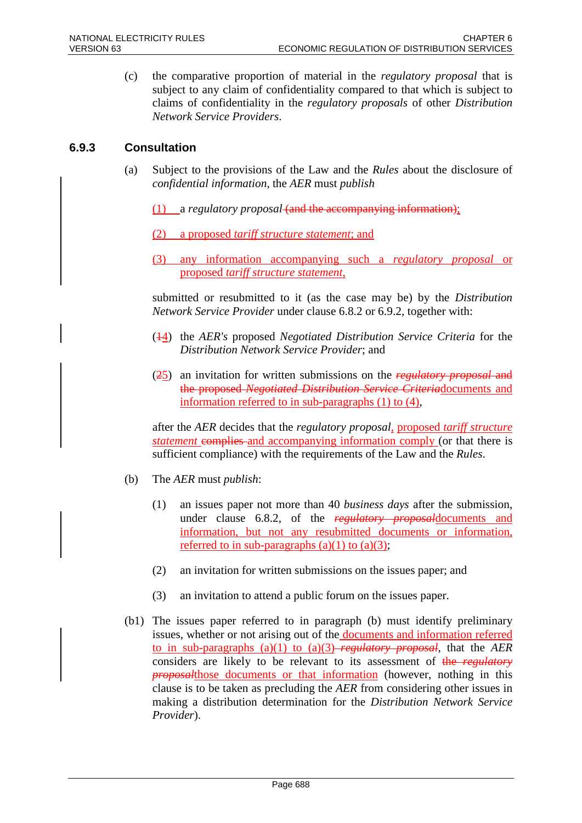(c) the comparative proportion of material in the *regulatory proposal* that is subject to any claim of confidentiality compared to that which is subject to claims of confidentiality in the *regulatory proposals* of other *Distribution Network Service Providers*.

# **6.9.3 Consultation**

- (a) Subject to the provisions of the Law and the *Rules* about the disclosure of *confidential information*, the *AER* must *publish*
	- (1) a *regulatory proposal* (and the accompanying information);
	- (2) a proposed *tariff structure statement*; and
	- (3) any information accompanying such a *regulatory proposal* or proposed *tariff structure statement*,

submitted or resubmitted to it (as the case may be) by the *Distribution Network Service Provider* under clause 6.8.2 or 6.9.2, together with:

- (14) the *AER's* proposed *Negotiated Distribution Service Criteria* for the *Distribution Network Service Provider*; and
- (25) an invitation for written submissions on the *regulatory proposal* and the proposed *Negotiated Distribution Service Criteria*documents and information referred to in sub-paragraphs (1) to (4),

after the *AER* decides that the *regulatory proposal,* proposed *tariff structure statement* complies and accompanying information comply (or that there is sufficient compliance) with the requirements of the Law and the *Rules*.

- (b) The *AER* must *publish*:
	- (1) an issues paper not more than 40 *business days* after the submission, under clause 6.8.2, of the *regulatory proposal*documents and information, but not any resubmitted documents or information, referred to in sub-paragraphs  $(a)(1)$  to  $(a)(3)$ ;
	- (2) an invitation for written submissions on the issues paper; and
	- (3) an invitation to attend a public forum on the issues paper.
- (b1) The issues paper referred to in paragraph (b) must identify preliminary issues, whether or not arising out of the **documents and information referred** to in sub-paragraphs (a)(1) to (a)(3) *regulatory proposal*, that the *AER* considers are likely to be relevant to its assessment of the *regulatory proposal*those documents or that information (however, nothing in this clause is to be taken as precluding the *AER* from considering other issues in making a distribution determination for the *Distribution Network Service Provider*).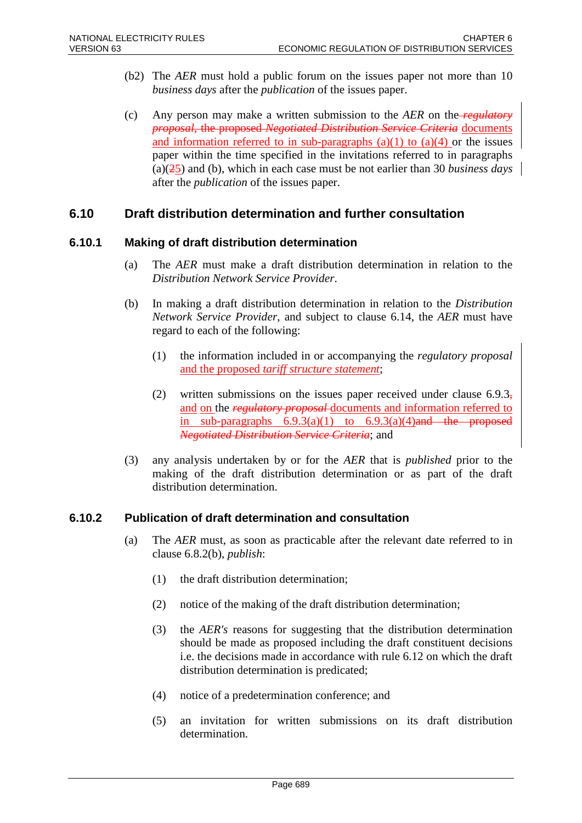- (b2) The *AER* must hold a public forum on the issues paper not more than 10 *business days* after the *publication* of the issues paper.
- (c) Any person may make a written submission to the *AER* on the *regulatory proposal*, the proposed *Negotiated Distribution Service Criteria* documents and information referred to in sub-paragraphs  $(a)(1)$  to  $(a)(4)$  or the issues paper within the time specified in the invitations referred to in paragraphs (a)(25) and (b), which in each case must be not earlier than 30 *business days* after the *publication* of the issues paper.

# **6.10 Draft distribution determination and further consultation**

#### **6.10.1 Making of draft distribution determination**

- (a) The *AER* must make a draft distribution determination in relation to the *Distribution Network Service Provider*.
- (b) In making a draft distribution determination in relation to the *Distribution Network Service Provider*, and subject to clause 6.14, the *AER* must have regard to each of the following:
	- (1) the information included in or accompanying the *regulatory proposal* and the proposed *tariff structure statement*;
	- (2) written submissions on the issues paper received under clause  $6.9.3<sub>z</sub>$ and on the *regulatory proposal* documents and information referred to in sub-paragraphs  $6.9.3(a)(1)$  to  $6.9.3(a)(4)$  and the proposed *Negotiated Distribution Service Criteria*; and
- (3) any analysis undertaken by or for the *AER* that is *published* prior to the making of the draft distribution determination or as part of the draft distribution determination.

## **6.10.2 Publication of draft determination and consultation**

- (a) The *AER* must, as soon as practicable after the relevant date referred to in clause 6.8.2(b), *publish*:
	- (1) the draft distribution determination;
	- (2) notice of the making of the draft distribution determination;
	- (3) the *AER's* reasons for suggesting that the distribution determination should be made as proposed including the draft constituent decisions i.e. the decisions made in accordance with rule 6.12 on which the draft distribution determination is predicated;
	- (4) notice of a predetermination conference; and
	- (5) an invitation for written submissions on its draft distribution determination.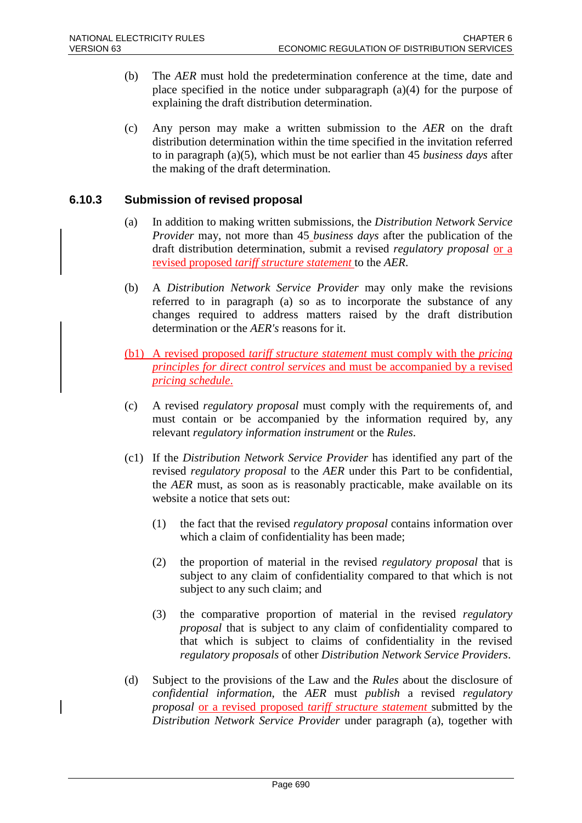- (b) The *AER* must hold the predetermination conference at the time, date and place specified in the notice under subparagraph (a)(4) for the purpose of explaining the draft distribution determination.
- (c) Any person may make a written submission to the *AER* on the draft distribution determination within the time specified in the invitation referred to in paragraph (a)(5), which must be not earlier than 45 *business days* after the making of the draft determination.

## **6.10.3 Submission of revised proposal**

- (a) In addition to making written submissions, the *Distribution Network Service Provider* may, not more than 45 *business days* after the publication of the draft distribution determination, submit a revised *regulatory proposal* or a revised proposed *tariff structure statement* to the *AER*.
- (b) A *Distribution Network Service Provider* may only make the revisions referred to in paragraph (a) so as to incorporate the substance of any changes required to address matters raised by the draft distribution determination or the *AER's* reasons for it.
- (b1) A revised proposed *tariff structure statement* must comply with the *pricing principles for direct control services* and must be accompanied by a revised *pricing schedule*.
- (c) A revised *regulatory proposal* must comply with the requirements of, and must contain or be accompanied by the information required by, any relevant *regulatory information instrument* or the *Rules*.
- (c1) If the *Distribution Network Service Provider* has identified any part of the revised *regulatory proposal* to the *AER* under this Part to be confidential, the *AER* must, as soon as is reasonably practicable, make available on its website a notice that sets out:
	- (1) the fact that the revised *regulatory proposal* contains information over which a claim of confidentiality has been made;
	- (2) the proportion of material in the revised *regulatory proposal* that is subject to any claim of confidentiality compared to that which is not subject to any such claim; and
	- (3) the comparative proportion of material in the revised *regulatory proposal* that is subject to any claim of confidentiality compared to that which is subject to claims of confidentiality in the revised *regulatory proposals* of other *Distribution Network Service Providers*.
- (d) Subject to the provisions of the Law and the *Rules* about the disclosure of *confidential information*, the *AER* must *publish* a revised *regulatory proposal* or a revised proposed *tariff structure statement* submitted by the *Distribution Network Service Provider* under paragraph (a), together with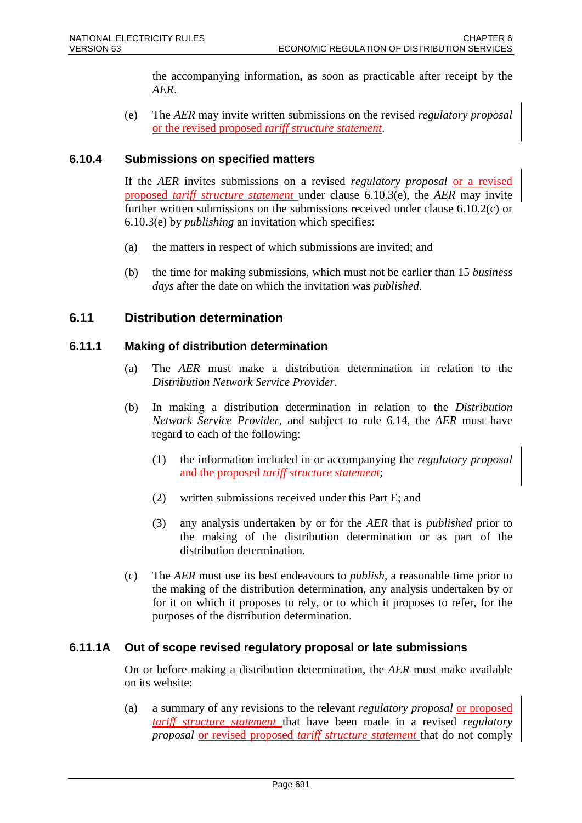the accompanying information, as soon as practicable after receipt by the *AER*.

(e) The *AER* may invite written submissions on the revised *regulatory proposal* or the revised proposed *tariff structure statement*.

## **6.10.4 Submissions on specified matters**

If the *AER* invites submissions on a revised *regulatory proposal* or a revised proposed *tariff structure statement* under clause 6.10.3(e), the *AER* may invite further written submissions on the submissions received under clause 6.10.2(c) or 6.10.3(e) by *publishing* an invitation which specifies:

- (a) the matters in respect of which submissions are invited; and
- (b) the time for making submissions, which must not be earlier than 15 *business days* after the date on which the invitation was *published*.

# **6.11 Distribution determination**

## **6.11.1 Making of distribution determination**

- (a) The *AER* must make a distribution determination in relation to the *Distribution Network Service Provider*.
- (b) In making a distribution determination in relation to the *Distribution Network Service Provider*, and subject to rule 6.14, the *AER* must have regard to each of the following:
	- (1) the information included in or accompanying the *regulatory proposal* and the proposed *tariff structure statement*;
	- (2) written submissions received under this Part E; and
	- (3) any analysis undertaken by or for the *AER* that is *published* prior to the making of the distribution determination or as part of the distribution determination.
- (c) The *AER* must use its best endeavours to *publish*, a reasonable time prior to the making of the distribution determination, any analysis undertaken by or for it on which it proposes to rely, or to which it proposes to refer, for the purposes of the distribution determination.

## **6.11.1A Out of scope revised regulatory proposal or late submissions**

On or before making a distribution determination, the *AER* must make available on its website:

(a) a summary of any revisions to the relevant *regulatory proposal* or proposed *tariff structure statement* that have been made in a revised *regulatory proposal* or revised proposed *tariff structure statement* that do not comply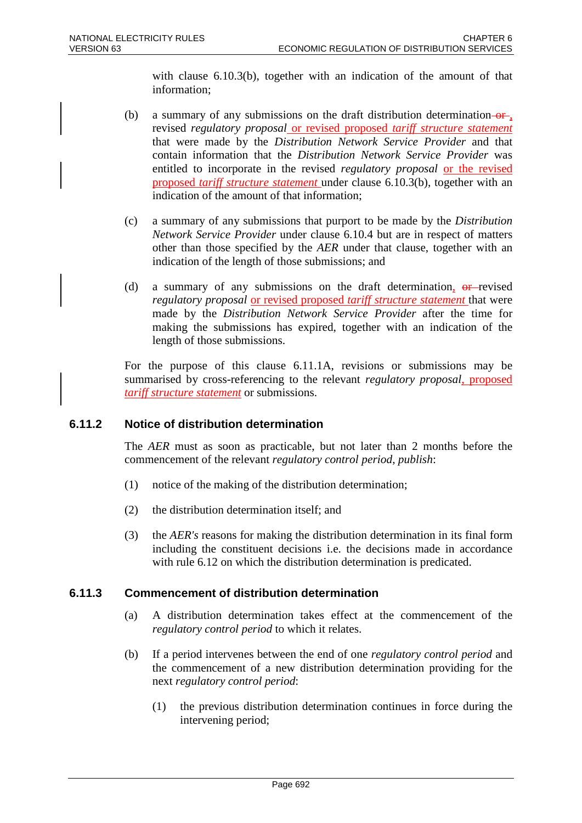with clause 6.10.3(b), together with an indication of the amount of that information;

- (b) a summary of any submissions on the draft distribution determination  $-$ or<sub>1</sub>. revised *regulatory proposal* or revised proposed *tariff structure statement* that were made by the *Distribution Network Service Provider* and that contain information that the *Distribution Network Service Provider* was entitled to incorporate in the revised *regulatory proposal* or the revised proposed *tariff structure statement* under clause 6.10.3(b), together with an indication of the amount of that information;
- (c) a summary of any submissions that purport to be made by the *Distribution Network Service Provider* under clause 6.10.4 but are in respect of matters other than those specified by the *AER* under that clause, together with an indication of the length of those submissions; and
- (d) a summary of any submissions on the draft determination,  $\theta$ -revised *regulatory proposal* or revised proposed *tariff structure statement* that were made by the *Distribution Network Service Provider* after the time for making the submissions has expired, together with an indication of the length of those submissions.

For the purpose of this clause 6.11.1A, revisions or submissions may be summarised by cross-referencing to the relevant *regulatory proposal*, proposed *tariff structure statement* or submissions.

## **6.11.2 Notice of distribution determination**

The *AER* must as soon as practicable, but not later than 2 months before the commencement of the relevant *regulatory control period*, *publish*:

- (1) notice of the making of the distribution determination;
- (2) the distribution determination itself; and
- (3) the *AER's* reasons for making the distribution determination in its final form including the constituent decisions i.e. the decisions made in accordance with rule 6.12 on which the distribution determination is predicated.

#### **6.11.3 Commencement of distribution determination**

- (a) A distribution determination takes effect at the commencement of the *regulatory control period* to which it relates.
- (b) If a period intervenes between the end of one *regulatory control period* and the commencement of a new distribution determination providing for the next *regulatory control period*:
	- (1) the previous distribution determination continues in force during the intervening period;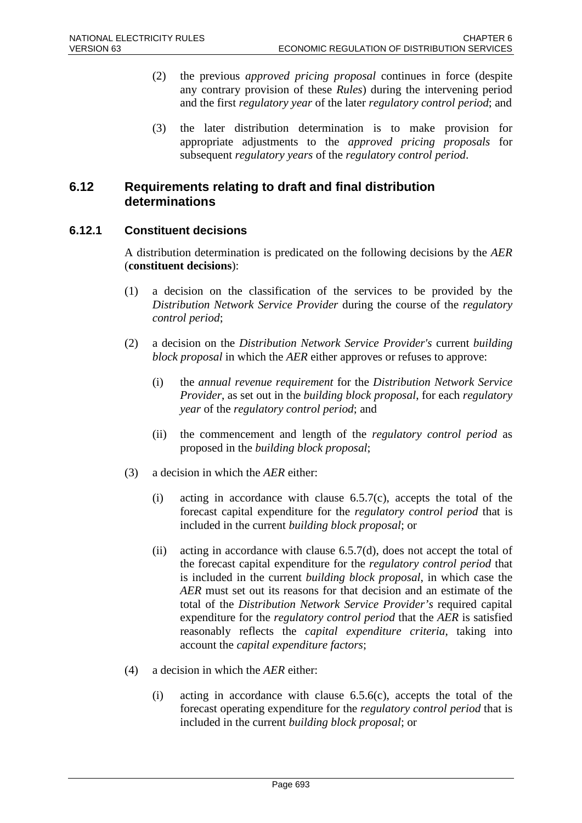- (2) the previous *approved pricing proposal* continues in force (despite any contrary provision of these *Rules*) during the intervening period and the first *regulatory year* of the later *regulatory control period*; and
- (3) the later distribution determination is to make provision for appropriate adjustments to the *approved pricing proposals* for subsequent *regulatory years* of the *regulatory control period*.

# **6.12 Requirements relating to draft and final distribution determinations**

# **6.12.1 Constituent decisions**

A distribution determination is predicated on the following decisions by the *AER* (**constituent decisions**):

- (1) a decision on the classification of the services to be provided by the *Distribution Network Service Provider* during the course of the *regulatory control period*;
- (2) a decision on the *Distribution Network Service Provider's* current *building block proposal* in which the *AER* either approves or refuses to approve:
	- (i) the *annual revenue requirement* for the *Distribution Network Service Provider*, as set out in the *building block proposal*, for each *regulatory year* of the *regulatory control period*; and
	- (ii) the commencement and length of the *regulatory control period* as proposed in the *building block proposal*;
- (3) a decision in which the *AER* either:
	- (i) acting in accordance with clause  $6.5.7(c)$ , accepts the total of the forecast capital expenditure for the *regulatory control period* that is included in the current *building block proposal*; or
	- (ii) acting in accordance with clause  $6.5.7(d)$ , does not accept the total of the forecast capital expenditure for the *regulatory control period* that is included in the current *building block proposal*, in which case the *AER* must set out its reasons for that decision and an estimate of the total of the *Distribution Network Service Provider's* required capital expenditure for the *regulatory control period* that the *AER* is satisfied reasonably reflects the *capital expenditure criteria*, taking into account the *capital expenditure factors*;
- (4) a decision in which the *AER* either:
	- (i) acting in accordance with clause  $6.5.6(c)$ , accepts the total of the forecast operating expenditure for the *regulatory control period* that is included in the current *building block proposal*; or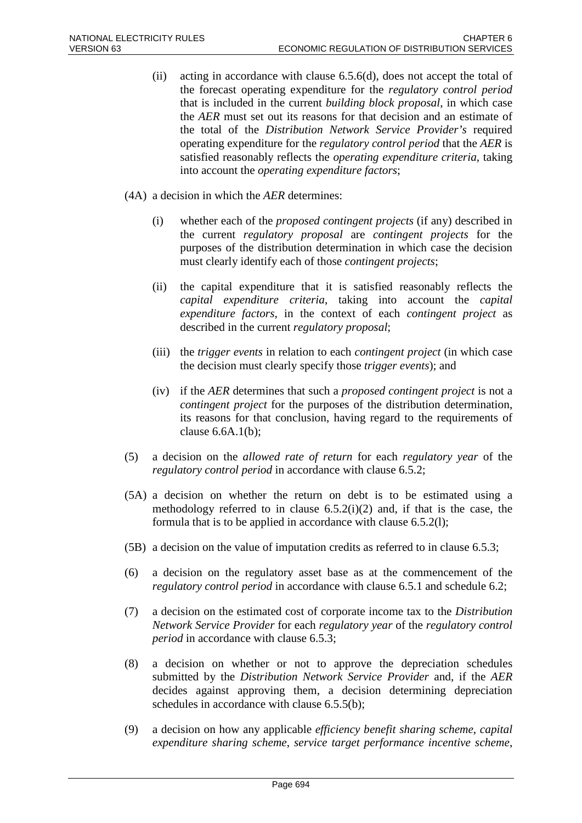- (ii) acting in accordance with clause  $6.5.6(d)$ , does not accept the total of the forecast operating expenditure for the *regulatory control period* that is included in the current *building block proposal*, in which case the *AER* must set out its reasons for that decision and an estimate of the total of the *Distribution Network Service Provider's* required operating expenditure for the *regulatory control period* that the *AER* is satisfied reasonably reflects the *operating expenditure criteria*, taking into account the *operating expenditure factors*;
- (4A) a decision in which the *AER* determines:
	- (i) whether each of the *proposed contingent projects* (if any) described in the current *regulatory proposal* are *contingent projects* for the purposes of the distribution determination in which case the decision must clearly identify each of those *contingent projects*;
	- (ii) the capital expenditure that it is satisfied reasonably reflects the *capital expenditure criteria*, taking into account the *capital expenditure factors*, in the context of each *contingent project* as described in the current *regulatory proposal*;
	- (iii) the *trigger events* in relation to each *contingent project* (in which case the decision must clearly specify those *trigger events*); and
	- (iv) if the *AER* determines that such a *proposed contingent project* is not a *contingent project* for the purposes of the distribution determination, its reasons for that conclusion, having regard to the requirements of clause 6.6A.1(b);
- (5) a decision on the *allowed rate of return* for each *regulatory year* of the *regulatory control period* in accordance with clause 6.5.2;
- (5A) a decision on whether the return on debt is to be estimated using a methodology referred to in clause  $6.5.2(i)(2)$  and, if that is the case, the formula that is to be applied in accordance with clause 6.5.2(l);
- (5B) a decision on the value of imputation credits as referred to in clause 6.5.3;
- (6) a decision on the regulatory asset base as at the commencement of the *regulatory control period* in accordance with clause 6.5.1 and schedule 6.2;
- (7) a decision on the estimated cost of corporate income tax to the *Distribution Network Service Provider* for each *regulatory year* of the *regulatory control period* in accordance with clause 6.5.3;
- (8) a decision on whether or not to approve the depreciation schedules submitted by the *Distribution Network Service Provider* and, if the *AER* decides against approving them, a decision determining depreciation schedules in accordance with clause 6.5.5(b);
- (9) a decision on how any applicable *efficiency benefit sharing scheme*, *capital expenditure sharing scheme*, *service target performance incentive scheme*,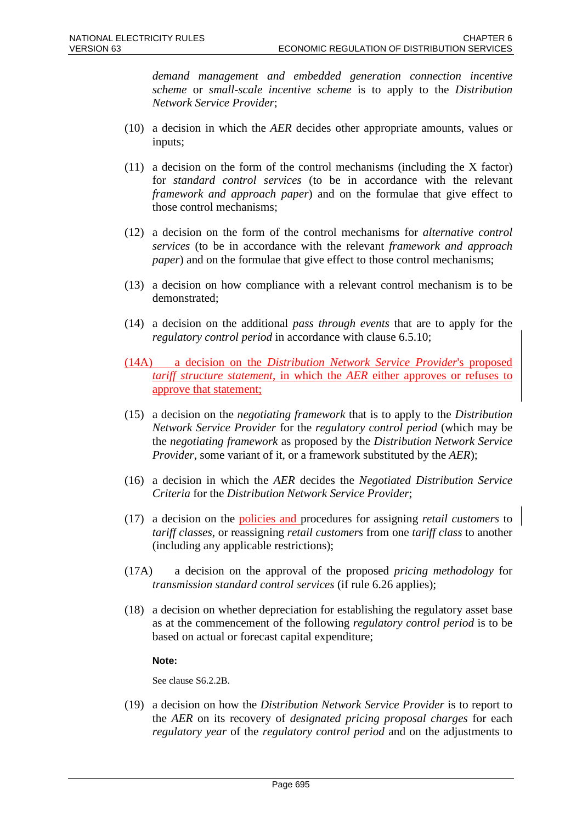*demand management and embedded generation connection incentive scheme* or *small-scale incentive scheme* is to apply to the *Distribution Network Service Provider*;

- (10) a decision in which the *AER* decides other appropriate amounts, values or inputs;
- (11) a decision on the form of the control mechanisms (including the X factor) for *standard control services* (to be in accordance with the relevant *framework and approach paper*) and on the formulae that give effect to those control mechanisms;
- (12) a decision on the form of the control mechanisms for *alternative control services* (to be in accordance with the relevant *framework and approach paper*) and on the formulae that give effect to those control mechanisms;
- (13) a decision on how compliance with a relevant control mechanism is to be demonstrated;
- (14) a decision on the additional *pass through events* that are to apply for the *regulatory control period* in accordance with clause 6.5.10;
- (14A) a decision on the *Distribution Network Service Provider*'s proposed *tariff structure statement*, in which the *AER* either approves or refuses to approve that statement;
- (15) a decision on the *negotiating framework* that is to apply to the *Distribution Network Service Provider* for the *regulatory control period* (which may be the *negotiating framework* as proposed by the *Distribution Network Service Provider*, some variant of it, or a framework substituted by the *AER*);
- (16) a decision in which the *AER* decides the *Negotiated Distribution Service Criteria* for the *Distribution Network Service Provider*;
- (17) a decision on the policies and procedures for assigning *retail customers* to *tariff classes*, or reassigning *retail customers* from one *tariff class* to another (including any applicable restrictions);
- (17A) a decision on the approval of the proposed *pricing methodology* for *transmission standard control services* (if rule 6.26 applies);
- (18) a decision on whether depreciation for establishing the regulatory asset base as at the commencement of the following *regulatory control period* is to be based on actual or forecast capital expenditure;

#### **Note:**

See clause S6.2.2B.

(19) a decision on how the *Distribution Network Service Provider* is to report to the *AER* on its recovery of *designated pricing proposal charges* for each *regulatory year* of the *regulatory control period* and on the adjustments to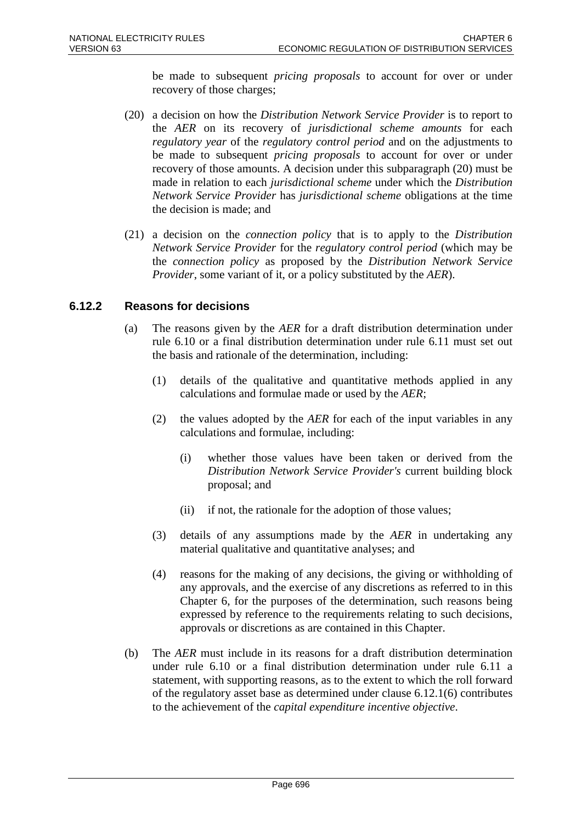be made to subsequent *pricing proposals* to account for over or under recovery of those charges;

- (20) a decision on how the *Distribution Network Service Provider* is to report to the *AER* on its recovery of *jurisdictional scheme amounts* for each *regulatory year* of the *regulatory control period* and on the adjustments to be made to subsequent *pricing proposals* to account for over or under recovery of those amounts. A decision under this subparagraph (20) must be made in relation to each *jurisdictional scheme* under which the *Distribution Network Service Provider* has *jurisdictional scheme* obligations at the time the decision is made; and
- (21) a decision on the *connection policy* that is to apply to the *Distribution Network Service Provider* for the *regulatory control period* (which may be the *connection policy* as proposed by the *Distribution Network Service Provider*, some variant of it, or a policy substituted by the *AER*).

## **6.12.2 Reasons for decisions**

- (a) The reasons given by the *AER* for a draft distribution determination under rule 6.10 or a final distribution determination under rule 6.11 must set out the basis and rationale of the determination, including:
	- (1) details of the qualitative and quantitative methods applied in any calculations and formulae made or used by the *AER*;
	- (2) the values adopted by the *AER* for each of the input variables in any calculations and formulae, including:
		- (i) whether those values have been taken or derived from the *Distribution Network Service Provider's* current building block proposal; and
		- (ii) if not, the rationale for the adoption of those values;
	- (3) details of any assumptions made by the *AER* in undertaking any material qualitative and quantitative analyses; and
	- (4) reasons for the making of any decisions, the giving or withholding of any approvals, and the exercise of any discretions as referred to in this Chapter 6, for the purposes of the determination, such reasons being expressed by reference to the requirements relating to such decisions, approvals or discretions as are contained in this Chapter.
- (b) The *AER* must include in its reasons for a draft distribution determination under rule 6.10 or a final distribution determination under rule 6.11 a statement, with supporting reasons, as to the extent to which the roll forward of the regulatory asset base as determined under clause 6.12.1(6) contributes to the achievement of the *capital expenditure incentive objective*.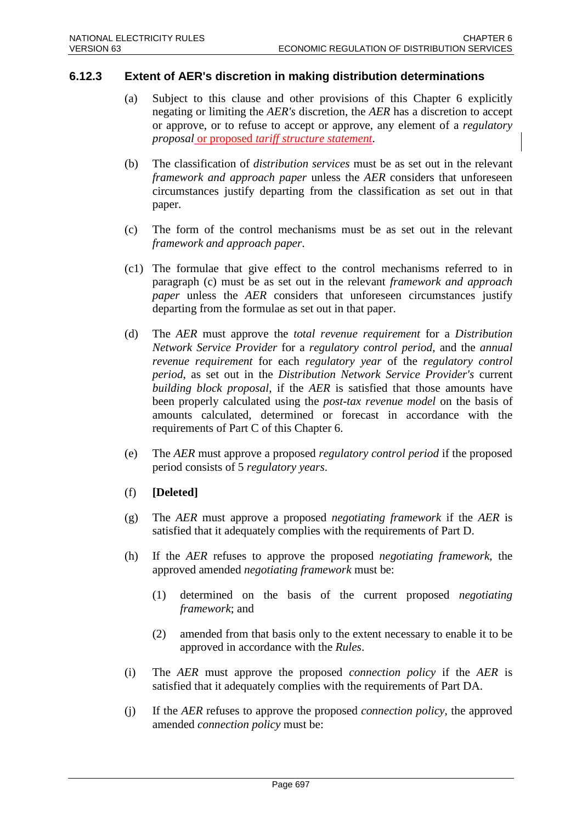### **6.12.3 Extent of AER's discretion in making distribution determinations**

- (a) Subject to this clause and other provisions of this Chapter 6 explicitly negating or limiting the *AER's* discretion, the *AER* has a discretion to accept or approve, or to refuse to accept or approve, any element of a *regulatory proposal* or proposed *tariff structure statement*.
- (b) The classification of *distribution services* must be as set out in the relevant *framework and approach paper* unless the *AER* considers that unforeseen circumstances justify departing from the classification as set out in that paper.
- (c) The form of the control mechanisms must be as set out in the relevant *framework and approach paper*.
- (c1) The formulae that give effect to the control mechanisms referred to in paragraph (c) must be as set out in the relevant *framework and approach paper* unless the *AER* considers that unforeseen circumstances justify departing from the formulae as set out in that paper.
- (d) The *AER* must approve the *total revenue requirement* for a *Distribution Network Service Provider* for a *regulatory control period*, and the *annual revenue requirement* for each *regulatory year* of the *regulatory control period*, as set out in the *Distribution Network Service Provider's* current *building block proposal*, if the *AER* is satisfied that those amounts have been properly calculated using the *post-tax revenue model* on the basis of amounts calculated, determined or forecast in accordance with the requirements of Part C of this Chapter 6.
- (e) The *AER* must approve a proposed *regulatory control period* if the proposed period consists of 5 *regulatory years*.
- (f) **[Deleted]**
- (g) The *AER* must approve a proposed *negotiating framework* if the *AER* is satisfied that it adequately complies with the requirements of Part D.
- (h) If the *AER* refuses to approve the proposed *negotiating framework*, the approved amended *negotiating framework* must be:
	- (1) determined on the basis of the current proposed *negotiating framework*; and
	- (2) amended from that basis only to the extent necessary to enable it to be approved in accordance with the *Rules*.
- (i) The *AER* must approve the proposed *connection policy* if the *AER* is satisfied that it adequately complies with the requirements of Part DA.
- (j) If the *AER* refuses to approve the proposed *connection policy*, the approved amended *connection policy* must be: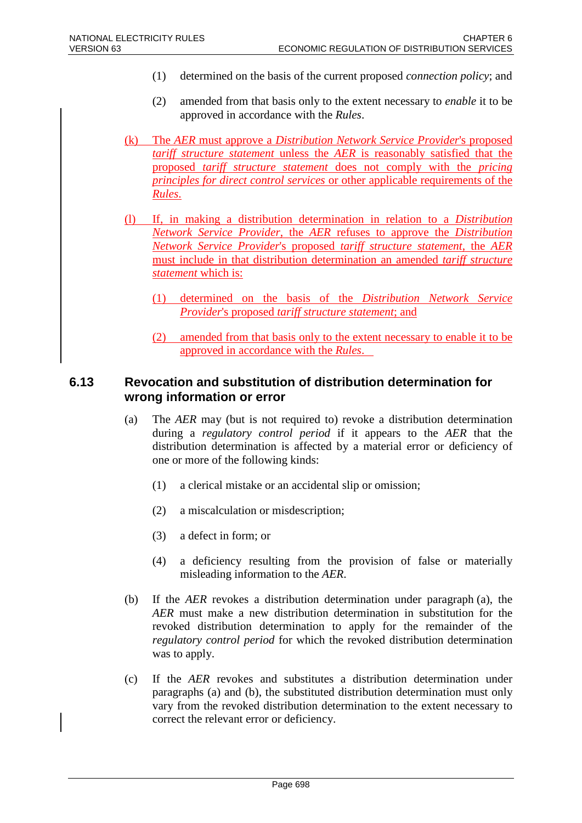- (1) determined on the basis of the current proposed *connection policy*; and
- (2) amended from that basis only to the extent necessary to *enable* it to be approved in accordance with the *Rules*.
- (k) The *AER* must approve a *Distribution Network Service Provider*'s proposed *tariff structure statement* unless the *AER* is reasonably satisfied that the proposed *tariff structure statement* does not comply with the *pricing principles for direct control services* or other applicable requirements of the *Rules*.
- (l) If, in making a distribution determination in relation to a *Distribution Network Service Provider*, the *AER* refuses to approve the *Distribution Network Service Provider*'s proposed *tariff structure statement*, the *AER* must include in that distribution determination an amended *tariff structure statement* which is:
	- (1) determined on the basis of the *Distribution Network Service Provider*'s proposed *tariff structure statement*; and
	- (2) amended from that basis only to the extent necessary to enable it to be approved in accordance with the *Rules*.

# **6.13 Revocation and substitution of distribution determination for wrong information or error**

- (a) The *AER* may (but is not required to) revoke a distribution determination during a *regulatory control period* if it appears to the *AER* that the distribution determination is affected by a material error or deficiency of one or more of the following kinds:
	- (1) a clerical mistake or an accidental slip or omission;
	- (2) a miscalculation or misdescription;
	- (3) a defect in form; or
	- (4) a deficiency resulting from the provision of false or materially misleading information to the *AER*.
- (b) If the *AER* revokes a distribution determination under paragraph (a), the *AER* must make a new distribution determination in substitution for the revoked distribution determination to apply for the remainder of the *regulatory control period* for which the revoked distribution determination was to apply.
- (c) If the *AER* revokes and substitutes a distribution determination under paragraphs (a) and (b), the substituted distribution determination must only vary from the revoked distribution determination to the extent necessary to correct the relevant error or deficiency.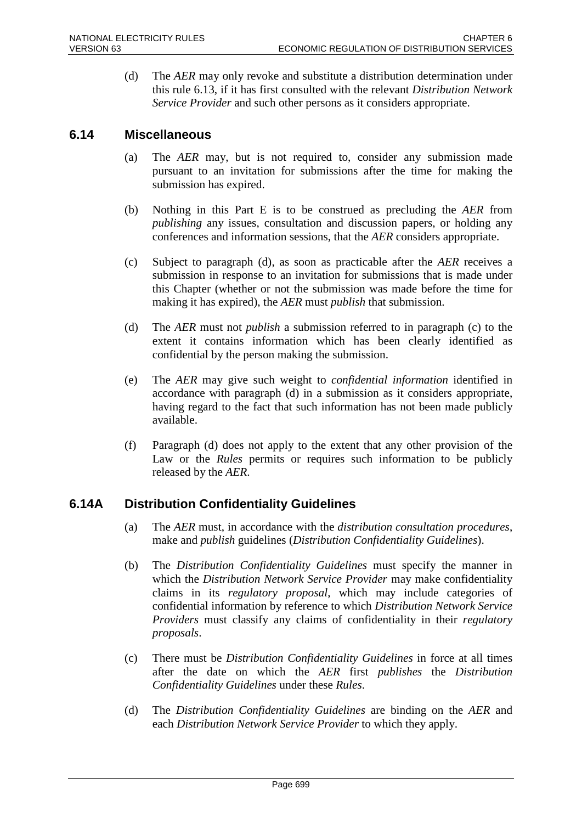(d) The *AER* may only revoke and substitute a distribution determination under this rule 6.13, if it has first consulted with the relevant *Distribution Network Service Provider* and such other persons as it considers appropriate.

# **6.14 Miscellaneous**

- (a) The *AER* may, but is not required to, consider any submission made pursuant to an invitation for submissions after the time for making the submission has expired.
- (b) Nothing in this Part E is to be construed as precluding the *AER* from *publishing* any issues, consultation and discussion papers, or holding any conferences and information sessions, that the *AER* considers appropriate.
- (c) Subject to paragraph (d), as soon as practicable after the *AER* receives a submission in response to an invitation for submissions that is made under this Chapter (whether or not the submission was made before the time for making it has expired), the *AER* must *publish* that submission.
- (d) The *AER* must not *publish* a submission referred to in paragraph (c) to the extent it contains information which has been clearly identified as confidential by the person making the submission.
- (e) The *AER* may give such weight to *confidential information* identified in accordance with paragraph (d) in a submission as it considers appropriate, having regard to the fact that such information has not been made publicly available.
- (f) Paragraph (d) does not apply to the extent that any other provision of the Law or the *Rules* permits or requires such information to be publicly released by the *AER*.

# **6.14A Distribution Confidentiality Guidelines**

- (a) The *AER* must, in accordance with the *distribution consultation procedures*, make and *publish* guidelines (*Distribution Confidentiality Guidelines*).
- (b) The *Distribution Confidentiality Guidelines* must specify the manner in which the *Distribution Network Service Provider* may make confidentiality claims in its *regulatory proposal*, which may include categories of confidential information by reference to which *Distribution Network Service Providers* must classify any claims of confidentiality in their *regulatory proposals*.
- (c) There must be *Distribution Confidentiality Guidelines* in force at all times after the date on which the *AER* first *publishes* the *Distribution Confidentiality Guidelines* under these *Rules*.
- (d) The *Distribution Confidentiality Guidelines* are binding on the *AER* and each *Distribution Network Service Provider* to which they apply.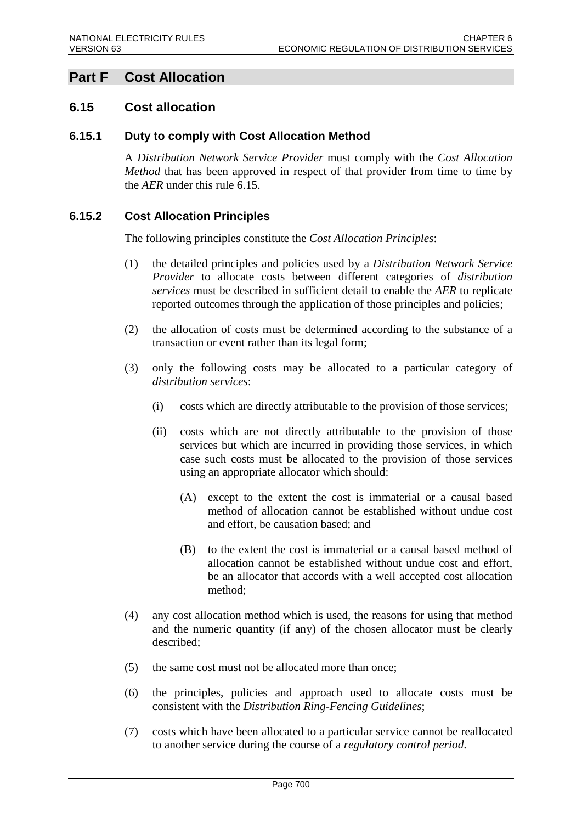# **Part F Cost Allocation**

# **6.15 Cost allocation**

### **6.15.1 Duty to comply with Cost Allocation Method**

A *Distribution Network Service Provider* must comply with the *Cost Allocation Method* that has been approved in respect of that provider from time to time by the *AER* under this rule 6.15.

# **6.15.2 Cost Allocation Principles**

The following principles constitute the *Cost Allocation Principles*:

- (1) the detailed principles and policies used by a *Distribution Network Service Provider* to allocate costs between different categories of *distribution services* must be described in sufficient detail to enable the *AER* to replicate reported outcomes through the application of those principles and policies;
- (2) the allocation of costs must be determined according to the substance of a transaction or event rather than its legal form;
- (3) only the following costs may be allocated to a particular category of *distribution services*:
	- (i) costs which are directly attributable to the provision of those services;
	- (ii) costs which are not directly attributable to the provision of those services but which are incurred in providing those services, in which case such costs must be allocated to the provision of those services using an appropriate allocator which should:
		- (A) except to the extent the cost is immaterial or a causal based method of allocation cannot be established without undue cost and effort, be causation based; and
		- (B) to the extent the cost is immaterial or a causal based method of allocation cannot be established without undue cost and effort, be an allocator that accords with a well accepted cost allocation method;
- (4) any cost allocation method which is used, the reasons for using that method and the numeric quantity (if any) of the chosen allocator must be clearly described;
- (5) the same cost must not be allocated more than once;
- (6) the principles, policies and approach used to allocate costs must be consistent with the *Distribution Ring-Fencing Guidelines*;
- (7) costs which have been allocated to a particular service cannot be reallocated to another service during the course of a *regulatory control period*.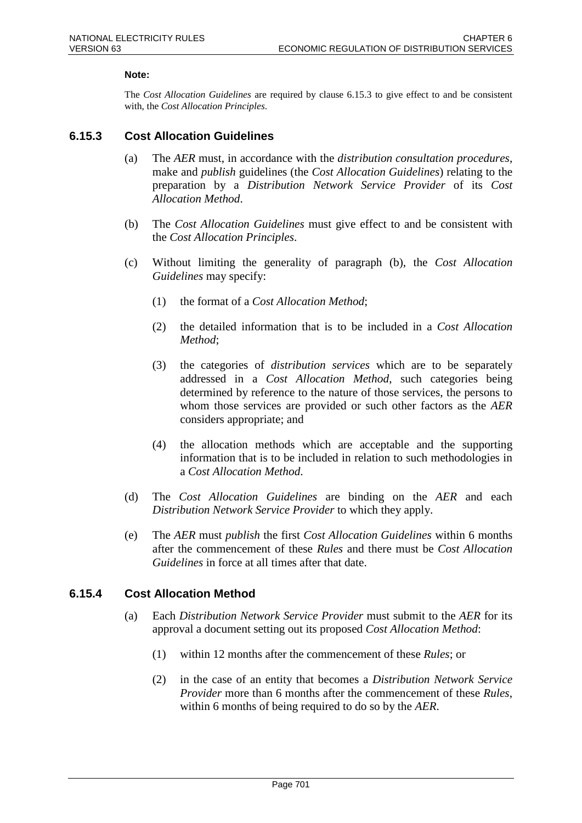#### **Note:**

The *Cost Allocation Guidelines* are required by clause 6.15.3 to give effect to and be consistent with, the *Cost Allocation Principles*.

### **6.15.3 Cost Allocation Guidelines**

- (a) The *AER* must, in accordance with the *distribution consultation procedures*, make and *publish* guidelines (the *Cost Allocation Guidelines*) relating to the preparation by a *Distribution Network Service Provider* of its *Cost Allocation Method*.
- (b) The *Cost Allocation Guidelines* must give effect to and be consistent with the *Cost Allocation Principles*.
- (c) Without limiting the generality of paragraph (b), the *Cost Allocation Guidelines* may specify:
	- (1) the format of a *Cost Allocation Method*;
	- (2) the detailed information that is to be included in a *Cost Allocation Method*;
	- (3) the categories of *distribution services* which are to be separately addressed in a *Cost Allocation Method*, such categories being determined by reference to the nature of those services, the persons to whom those services are provided or such other factors as the *AER* considers appropriate; and
	- (4) the allocation methods which are acceptable and the supporting information that is to be included in relation to such methodologies in a *Cost Allocation Method*.
- (d) The *Cost Allocation Guidelines* are binding on the *AER* and each *Distribution Network Service Provider* to which they apply.
- (e) The *AER* must *publish* the first *Cost Allocation Guidelines* within 6 months after the commencement of these *Rules* and there must be *Cost Allocation Guidelines* in force at all times after that date.

#### **6.15.4 Cost Allocation Method**

- (a) Each *Distribution Network Service Provider* must submit to the *AER* for its approval a document setting out its proposed *Cost Allocation Method*:
	- (1) within 12 months after the commencement of these *Rules*; or
	- (2) in the case of an entity that becomes a *Distribution Network Service Provider* more than 6 months after the commencement of these *Rules*, within 6 months of being required to do so by the *AER*.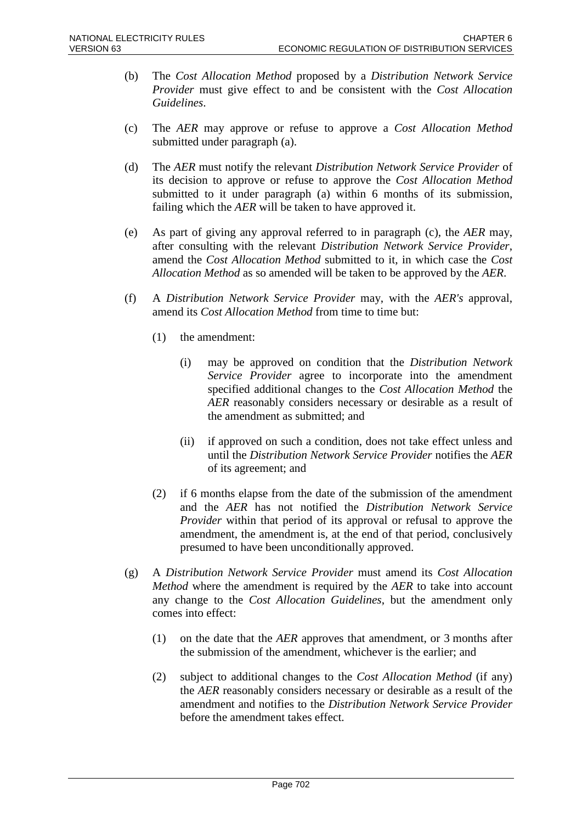- (b) The *Cost Allocation Method* proposed by a *Distribution Network Service Provider* must give effect to and be consistent with the *Cost Allocation Guidelines*.
- (c) The *AER* may approve or refuse to approve a *Cost Allocation Method* submitted under paragraph (a).
- (d) The *AER* must notify the relevant *Distribution Network Service Provider* of its decision to approve or refuse to approve the *Cost Allocation Method* submitted to it under paragraph (a) within 6 months of its submission, failing which the *AER* will be taken to have approved it.
- (e) As part of giving any approval referred to in paragraph (c), the *AER* may, after consulting with the relevant *Distribution Network Service Provider*, amend the *Cost Allocation Method* submitted to it, in which case the *Cost Allocation Method* as so amended will be taken to be approved by the *AER*.
- (f) A *Distribution Network Service Provider* may, with the *AER's* approval, amend its *Cost Allocation Method* from time to time but:
	- (1) the amendment:
		- (i) may be approved on condition that the *Distribution Network Service Provider* agree to incorporate into the amendment specified additional changes to the *Cost Allocation Method* the *AER* reasonably considers necessary or desirable as a result of the amendment as submitted; and
		- (ii) if approved on such a condition, does not take effect unless and until the *Distribution Network Service Provider* notifies the *AER* of its agreement; and
	- (2) if 6 months elapse from the date of the submission of the amendment and the *AER* has not notified the *Distribution Network Service Provider* within that period of its approval or refusal to approve the amendment, the amendment is, at the end of that period, conclusively presumed to have been unconditionally approved.
- (g) A *Distribution Network Service Provider* must amend its *Cost Allocation Method* where the amendment is required by the *AER* to take into account any change to the *Cost Allocation Guidelines*, but the amendment only comes into effect:
	- (1) on the date that the *AER* approves that amendment, or 3 months after the submission of the amendment, whichever is the earlier; and
	- (2) subject to additional changes to the *Cost Allocation Method* (if any) the *AER* reasonably considers necessary or desirable as a result of the amendment and notifies to the *Distribution Network Service Provider* before the amendment takes effect.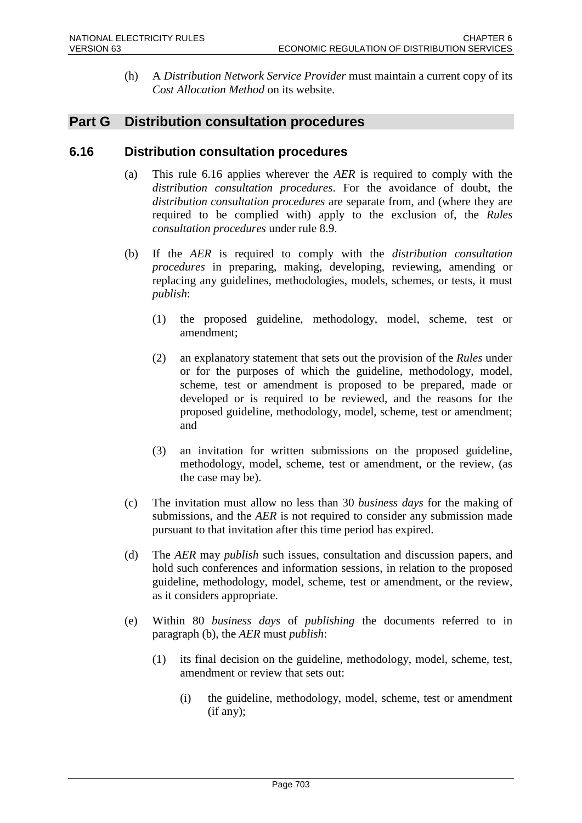(h) A *Distribution Network Service Provider* must maintain a current copy of its *Cost Allocation Method* on its website.

# **Part G Distribution consultation procedures**

# **6.16 Distribution consultation procedures**

- (a) This rule 6.16 applies wherever the *AER* is required to comply with the *distribution consultation procedures*. For the avoidance of doubt, the *distribution consultation procedures* are separate from, and (where they are required to be complied with) apply to the exclusion of, the *Rules consultation procedures* under rule 8.9.
- (b) If the *AER* is required to comply with the *distribution consultation procedures* in preparing, making, developing, reviewing, amending or replacing any guidelines, methodologies, models, schemes, or tests, it must *publish*:
	- (1) the proposed guideline, methodology, model, scheme, test or amendment;
	- (2) an explanatory statement that sets out the provision of the *Rules* under or for the purposes of which the guideline, methodology, model, scheme, test or amendment is proposed to be prepared, made or developed or is required to be reviewed, and the reasons for the proposed guideline, methodology, model, scheme, test or amendment; and
	- (3) an invitation for written submissions on the proposed guideline, methodology, model, scheme, test or amendment, or the review, (as the case may be).
- (c) The invitation must allow no less than 30 *business days* for the making of submissions, and the *AER* is not required to consider any submission made pursuant to that invitation after this time period has expired.
- (d) The *AER* may *publish* such issues, consultation and discussion papers, and hold such conferences and information sessions, in relation to the proposed guideline, methodology, model, scheme, test or amendment, or the review, as it considers appropriate.
- (e) Within 80 *business days* of *publishing* the documents referred to in paragraph (b), the *AER* must *publish*:
	- (1) its final decision on the guideline, methodology, model, scheme, test, amendment or review that sets out:
		- (i) the guideline, methodology, model, scheme, test or amendment (if any);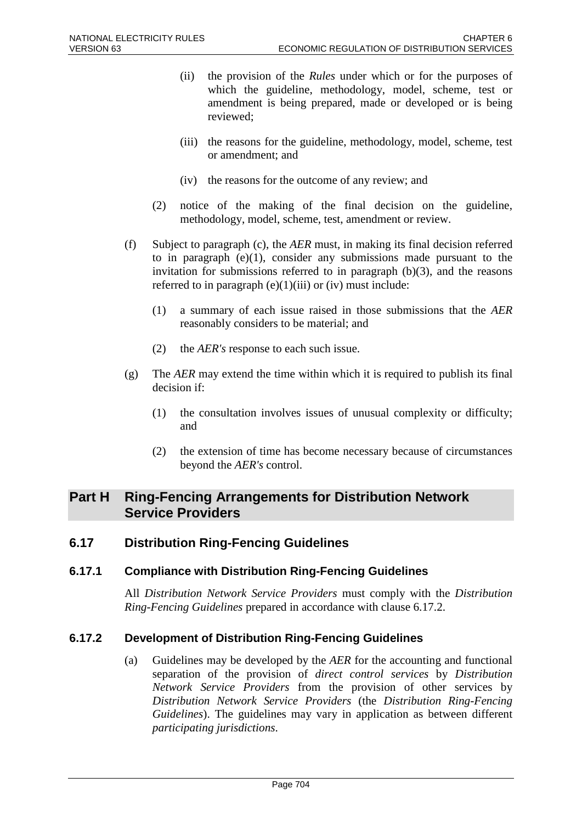- (ii) the provision of the *Rules* under which or for the purposes of which the guideline, methodology, model, scheme, test or amendment is being prepared, made or developed or is being reviewed;
- (iii) the reasons for the guideline, methodology, model, scheme, test or amendment; and
- (iv) the reasons for the outcome of any review; and
- (2) notice of the making of the final decision on the guideline, methodology, model, scheme, test, amendment or review.
- (f) Subject to paragraph (c), the *AER* must, in making its final decision referred to in paragraph  $(e)(1)$ , consider any submissions made pursuant to the invitation for submissions referred to in paragraph  $(b)(3)$ , and the reasons referred to in paragraph  $(e)(1)(iii)$  or  $(iv)$  must include:
	- (1) a summary of each issue raised in those submissions that the *AER* reasonably considers to be material; and
	- (2) the *AER's* response to each such issue.
- (g) The *AER* may extend the time within which it is required to publish its final decision if:
	- (1) the consultation involves issues of unusual complexity or difficulty; and
	- (2) the extension of time has become necessary because of circumstances beyond the *AER's* control.

# **Part H Ring-Fencing Arrangements for Distribution Network Service Providers**

# **6.17 Distribution Ring-Fencing Guidelines**

# **6.17.1 Compliance with Distribution Ring-Fencing Guidelines**

All *Distribution Network Service Providers* must comply with the *Distribution Ring-Fencing Guidelines* prepared in accordance with clause 6.17.2.

# **6.17.2 Development of Distribution Ring-Fencing Guidelines**

(a) Guidelines may be developed by the *AER* for the accounting and functional separation of the provision of *direct control services* by *Distribution Network Service Providers* from the provision of other services by *Distribution Network Service Providers* (the *Distribution Ring-Fencing Guidelines*). The guidelines may vary in application as between different *participating jurisdictions*.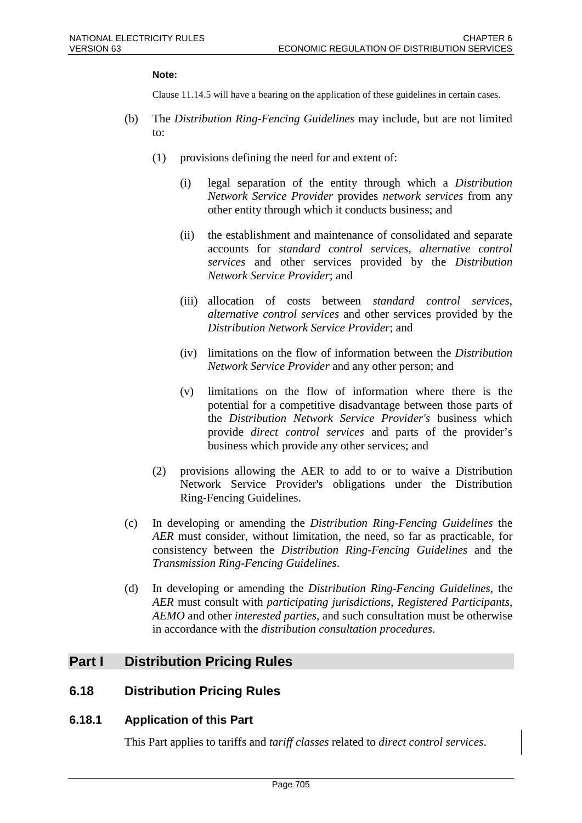#### **Note:**

Clause 11.14.5 will have a bearing on the application of these guidelines in certain cases.

- (b) The *Distribution Ring-Fencing Guidelines* may include, but are not limited to:
	- (1) provisions defining the need for and extent of:
		- (i) legal separation of the entity through which a *Distribution Network Service Provider* provides *network services* from any other entity through which it conducts business; and
		- (ii) the establishment and maintenance of consolidated and separate accounts for *standard control services*, *alternative control services* and other services provided by the *Distribution Network Service Provider*; and
		- (iii) allocation of costs between *standard control services*, *alternative control services* and other services provided by the *Distribution Network Service Provider*; and
		- (iv) limitations on the flow of information between the *Distribution Network Service Provider* and any other person; and
		- (v) limitations on the flow of information where there is the potential for a competitive disadvantage between those parts of the *Distribution Network Service Provider's* business which provide *direct control services* and parts of the provider's business which provide any other services; and
	- (2) provisions allowing the AER to add to or to waive a Distribution Network Service Provider's obligations under the Distribution Ring-Fencing Guidelines.
- (c) In developing or amending the *Distribution Ring-Fencing Guidelines* the *AER* must consider, without limitation, the need, so far as practicable, for consistency between the *Distribution Ring-Fencing Guidelines* and the *Transmission Ring-Fencing Guidelines*.
- (d) In developing or amending the *Distribution Ring-Fencing Guidelines*, the *AER* must consult with *participating jurisdictions*, *Registered Participants*, *AEMO* and other *interested parties*, and such consultation must be otherwise in accordance with the *distribution consultation procedures*.

# **Part I Distribution Pricing Rules**

# **6.18 Distribution Pricing Rules**

#### **6.18.1 Application of this Part**

This Part applies to tariffs and *tariff classes* related to *direct control services*.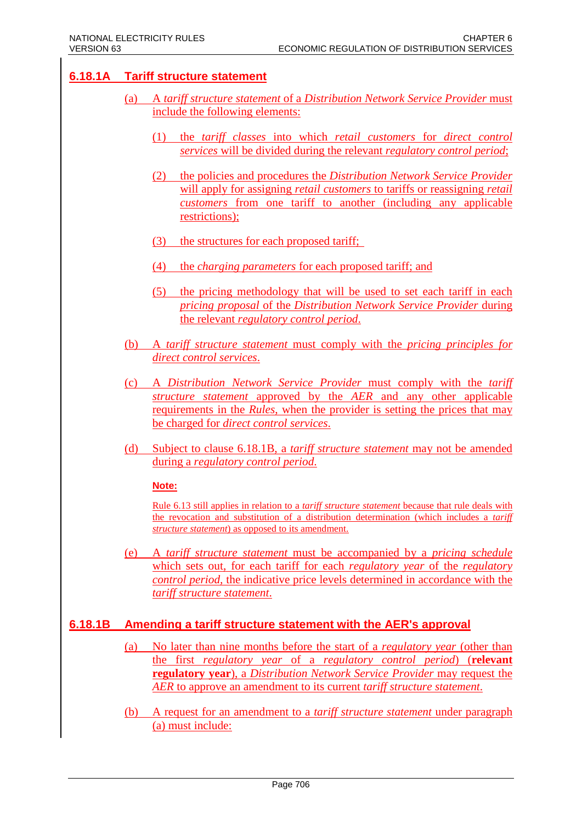# **6.18.1A Tariff structure statement**

- (a) A *tariff structure statement* of a *Distribution Network Service Provider* must include the following elements:
	- (1) the *tariff classes* into which *retail customers* for *direct control services* will be divided during the relevant *regulatory control period*;
	- (2) the policies and procedures the *Distribution Network Service Provider* will apply for assigning *retail customers* to tariffs or reassigning *retail customers* from one tariff to another (including any applicable restrictions);
	- (3) the structures for each proposed tariff;
	- (4) the *charging parameters* for each proposed tariff; and
	- (5) the pricing methodology that will be used to set each tariff in each *pricing proposal* of the *Distribution Network Service Provider* during the relevant *regulatory control period*.
- (b) A *tariff structure statement* must comply with the *pricing principles for direct control services*.
- (c) A *Distribution Network Service Provider* must comply with the *tariff structure statement* approved by the *AER* and any other applicable requirements in the *Rules*, when the provider is setting the prices that may be charged for *direct control services*.
- (d) Subject to clause 6.18.1B, a *tariff structure statement* may not be amended during a *regulatory control period*.

#### **Note:**

Rule 6.13 still applies in relation to a *tariff structure statement* because that rule deals with the revocation and substitution of a distribution determination (which includes a *tariff structure statement*) as opposed to its amendment.

(e) A *tariff structure statement* must be accompanied by a *pricing schedule* which sets out, for each tariff for each *regulatory year* of the *regulatory control period,* the indicative price levels determined in accordance with the *tariff structure statement*.

# **6.18.1B Amending a tariff structure statement with the AER's approval**

- (a) No later than nine months before the start of a *regulatory year* (other than the first *regulatory year* of a *regulatory control period*) (**relevant regulatory year**), a *Distribution Network Service Provider* may request the *AER* to approve an amendment to its current *tariff structure statement*.
- (b) A request for an amendment to a *tariff structure statement* under paragraph (a) must include: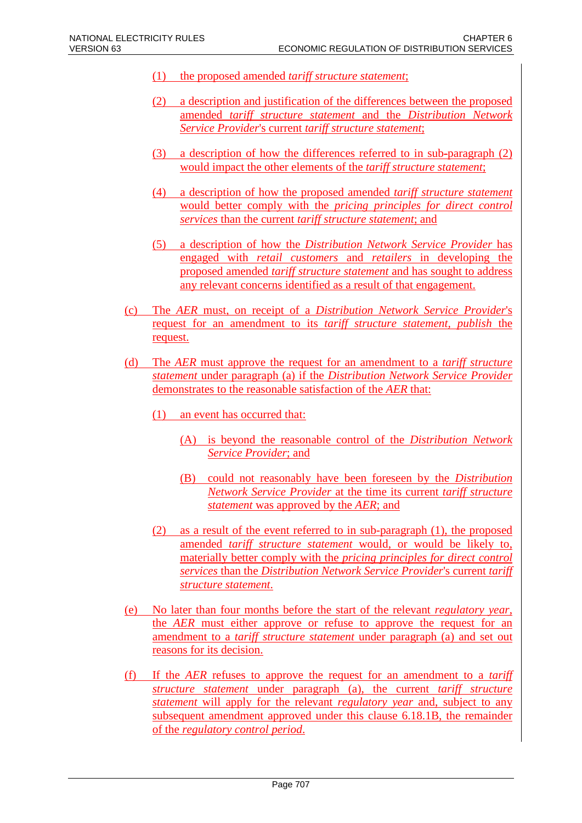- (1) the proposed amended *tariff structure statement*;
- (2) a description and justification of the differences between the proposed amended *tariff structure statement* and the *Distribution Network Service Provider*'s current *tariff structure statement*;
- (3) a description of how the differences referred to in sub-paragraph (2) would impact the other elements of the *tariff structure statement*;
- (4) a description of how the proposed amended *tariff structure statement* would better comply with the *pricing principles for direct control services* than the current *tariff structure statement*; and
- (5) a description of how the *Distribution Network Service Provider* has engaged with *retail customers* and *retailers* in developing the proposed amended *tariff structure statement* and has sought to address any relevant concerns identified as a result of that engagement.
- (c) The *AER* must, on receipt of a *Distribution Network Service Provider*'s request for an amendment to its *tariff structure statement, publish* the request.
- (d) The *AER* must approve the request for an amendment to a *tariff structure statement* under paragraph (a) if the *Distribution Network Service Provider* demonstrates to the reasonable satisfaction of the *AER* that:
	- (1) an event has occurred that:
		- (A) is beyond the reasonable control of the *Distribution Network Service Provider*; and
		- (B) could not reasonably have been foreseen by the *Distribution Network Service Provider* at the time its current *tariff structure statement* was approved by the *AER*; and
	- (2) as a result of the event referred to in sub-paragraph (1), the proposed amended *tariff structure statement* would, or would be likely to, materially better comply with the *pricing principles for direct control services* than the *Distribution Network Service Provider*'s current *tariff structure statement*.
- (e) No later than four months before the start of the relevant *regulatory year*, the *AER* must either approve or refuse to approve the request for an amendment to a *tariff structure statement* under paragraph (a) and set out reasons for its decision.
- (f) If the *AER* refuses to approve the request for an amendment to a *tariff structure statement* under paragraph (a), the current *tariff structure statement* will apply for the relevant *regulatory year* and, subject to any subsequent amendment approved under this clause 6.18.1B, the remainder of the *regulatory control period*.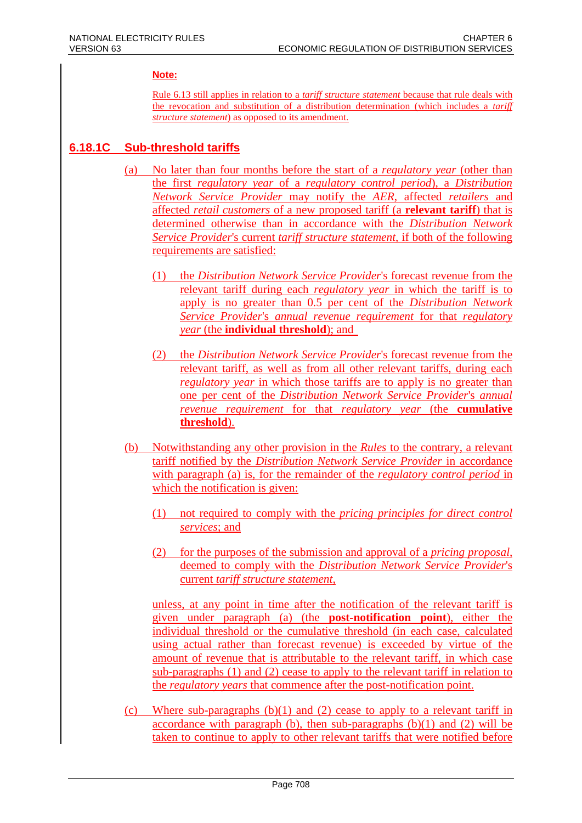### **Note:**

Rule 6.13 still applies in relation to a *tariff structure statement* because that rule deals with the revocation and substitution of a distribution determination (which includes a *tariff structure statement*) as opposed to its amendment.

# **6.18.1C Sub-threshold tariffs**

- (a) No later than four months before the start of a *regulatory year* (other than the first *regulatory year* of a *regulatory control period*), a *Distribution Network Service Provider* may notify the *AER*, affected *retailers* and affected *retail customers* of a new proposed tariff (a **relevant tariff**) that is determined otherwise than in accordance with the *Distribution Network Service Provider*'s current *tariff structure statement*, if both of the following requirements are satisfied:
	- (1) the *Distribution Network Service Provider*'s forecast revenue from the relevant tariff during each *regulatory year* in which the tariff is to apply is no greater than 0.5 per cent of the *Distribution Network Service Provider*'s *annual revenue requirement* for that *regulatory year* (the **individual threshold**); and
	- (2) the *Distribution Network Service Provider*'s forecast revenue from the relevant tariff, as well as from all other relevant tariffs, during each *regulatory year* in which those tariffs are to apply is no greater than one per cent of the *Distribution Network Service Provider*'s *annual revenue requirement* for that *regulatory year* (the **cumulative threshold**).
	- (b) Notwithstanding any other provision in the *Rules* to the contrary, a relevant tariff notified by the *Distribution Network Service Provider* in accordance with paragraph (a) is, for the remainder of the *regulatory control period* in which the notification is given:
		- (1) not required to comply with the *pricing principles for direct control services*; and
		- (2) for the purposes of the submission and approval of a *pricing proposal*, deemed to comply with the *Distribution Network Service Provider*'s current *tariff structure statement*,

unless, at any point in time after the notification of the relevant tariff is given under paragraph (a) (the **post-notification point**), either the individual threshold or the cumulative threshold (in each case, calculated using actual rather than forecast revenue) is exceeded by virtue of the amount of revenue that is attributable to the relevant tariff, in which case sub-paragraphs (1) and (2) cease to apply to the relevant tariff in relation to the *regulatory years* that commence after the post-notification point.

(c) Where sub-paragraphs (b)(1) and (2) cease to apply to a relevant tariff in accordance with paragraph (b), then sub-paragraphs  $(b)(1)$  and  $(2)$  will be taken to continue to apply to other relevant tariffs that were notified before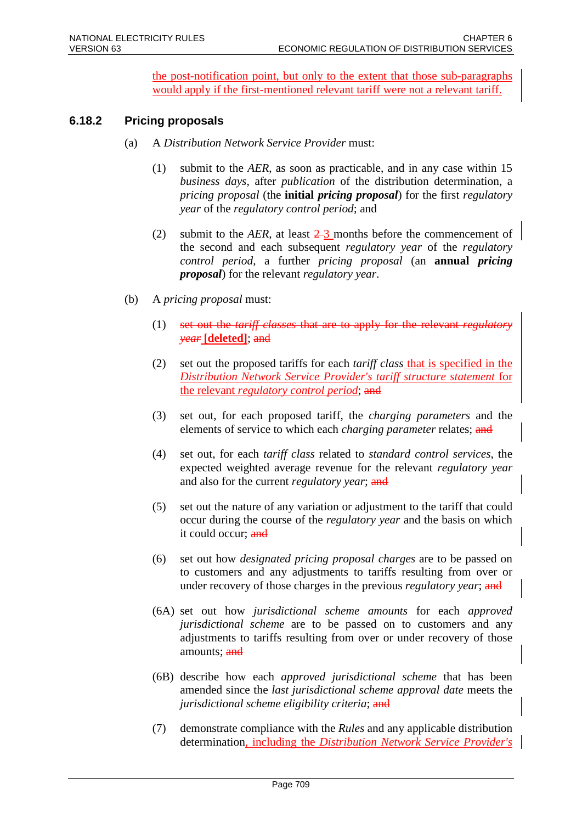the post-notification point, but only to the extent that those sub-paragraphs would apply if the first-mentioned relevant tariff were not a relevant tariff.

# **6.18.2 Pricing proposals**

- (a) A *Distribution Network Service Provider* must:
	- (1) submit to the *AER*, as soon as practicable, and in any case within 15 *business days*, after *publication* of the distribution determination, a *pricing proposal* (the **initial** *pricing proposal*) for the first *regulatory year* of the *regulatory control period*; and
	- (2) submit to the *AER*, at least  $\frac{2}{3}$  months before the commencement of the second and each subsequent *regulatory year* of the *regulatory control period*, a further *pricing proposal* (an **annual** *pricing proposal*) for the relevant *regulatory year*.
- (b) A *pricing proposal* must:
	- (1) set out the *tariff classes* that are to apply *year* **[deleted]**; and
	- (2) set out the proposed tariffs for each *tariff class* that is specified in the *Distribution Network Service Provider's tariff structure statement* for the relevant *regulatory control period*; and
	- (3) set out, for each proposed tariff, the *charging parameters* and the elements of service to which each *charging parameter* relates; and
	- (4) set out, for each *tariff class* related to *standard control services*, the expected weighted average revenue for the relevant *regulatory year* and also for the current *regulatory year*; and
	- (5) set out the nature of any variation or adjustment to the tariff that could occur during the course of the *regulatory year* and the basis on which it could occur; and
	- (6) set out how *designated pricing proposal charges* are to be passed on to customers and any adjustments to tariffs resulting from over or under recovery of those charges in the previous *regulatory year*; and
	- (6A) set out how *jurisdictional scheme amounts* for each *approved jurisdictional scheme* are to be passed on to customers and any adjustments to tariffs resulting from over or under recovery of those amounts; and
	- (6B) describe how each *approved jurisdictional scheme* that has been amended since the *last jurisdictional scheme approval date* meets the *jurisdictional scheme eligibility criteria*; and
	- (7) demonstrate compliance with the *Rules* and any applicable distribution determination, including the *Distribution Network Service Provider's*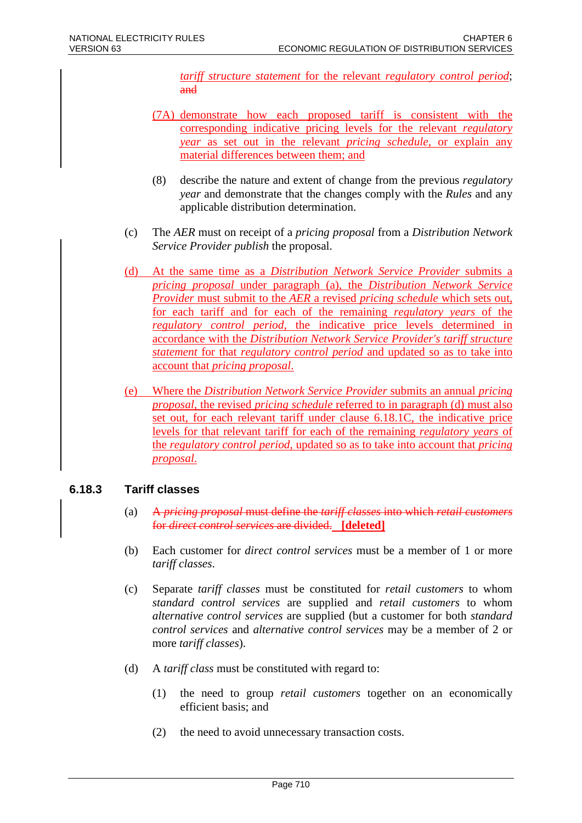*tariff structure statement* for the relevant *regulatory control period*; and

- (7A) demonstrate how each proposed tariff is consistent with the corresponding indicative pricing levels for the relevant *regulatory year* as set out in the relevant *pricing schedule*, or explain any material differences between them; and
- (8) describe the nature and extent of change from the previous *regulatory year* and demonstrate that the changes comply with the *Rules* and any applicable distribution determination.
- (c) The *AER* must on receipt of a *pricing proposal* from a *Distribution Network Service Provider publish* the proposal.
- (d) At the same time as a *Distribution Network Service Provider* submits a *pricing proposal* under paragraph (a), the *Distribution Network Service Provider* must submit to the *AER* a revised *pricing schedule* which sets out, for each tariff and for each of the remaining *regulatory years* of the *regulatory control period*, the indicative price levels determined in accordance with the *Distribution Network Service Provider's tariff structure statement* for that *regulatory control period* and updated so as to take into account that *pricing proposal*.
- (e) Where the *Distribution Network Service Provider* submits an annual *pricing proposal*, the revised *pricing schedule* referred to in paragraph (d) must also set out, for each relevant tariff under clause 6.18.1C, the indicative price levels for that relevant tariff for each of the remaining *regulatory years* of the *regulatory control period*, updated so as to take into account that *pricing proposal*.

# **6.18.3 Tariff classes**

- (a) A *pricing proposal* must define the *tariff classes* into which *retail customers* for *direct control services* are divided. **[deleted]**
- (b) Each customer for *direct control services* must be a member of 1 or more *tariff classes*.
- (c) Separate *tariff classes* must be constituted for *retail customers* to whom *standard control services* are supplied and *retail customers* to whom *alternative control services* are supplied (but a customer for both *standard control services* and *alternative control services* may be a member of 2 or more *tariff classes*).
- (d) A *tariff class* must be constituted with regard to:
	- (1) the need to group *retail customers* together on an economically efficient basis; and
	- (2) the need to avoid unnecessary transaction costs.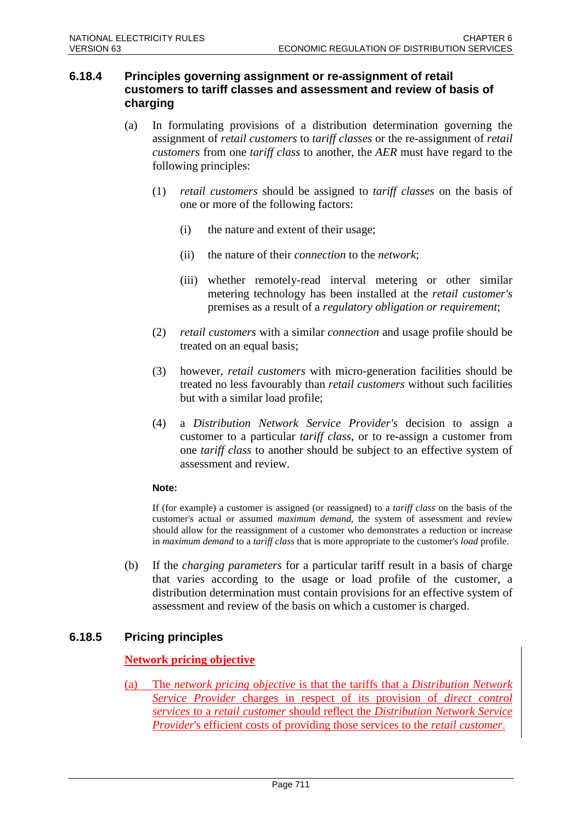# **6.18.4 Principles governing assignment or re-assignment of retail customers to tariff classes and assessment and review of basis of charging**

- (a) In formulating provisions of a distribution determination governing the assignment of *retail customers* to *tariff classes* or the re-assignment of *retail customers* from one *tariff class* to another, the *AER* must have regard to the following principles:
	- (1) *retail customers* should be assigned to *tariff classes* on the basis of one or more of the following factors:
		- (i) the nature and extent of their usage;
		- (ii) the nature of their *connection* to the *network*;
		- (iii) whether remotely-read interval metering or other similar metering technology has been installed at the *retail customer's* premises as a result of a *regulatory obligation or requirement*;
	- (2) *retail customers* with a similar *connection* and usage profile should be treated on an equal basis;
	- (3) however, *retail customers* with micro-generation facilities should be treated no less favourably than *retail customers* without such facilities but with a similar load profile;
	- (4) a *Distribution Network Service Provider's* decision to assign a customer to a particular *tariff class*, or to re-assign a customer from one *tariff class* to another should be subject to an effective system of assessment and review.

#### **Note:**

If (for example) a customer is assigned (or reassigned) to a *tariff class* on the basis of the customer's actual or assumed *maximum demand*, the system of assessment and review should allow for the reassignment of a customer who demonstrates a reduction or increase in *maximum demand* to a *tariff class* that is more appropriate to the customer's *load* profile.

(b) If the *charging parameters* for a particular tariff result in a basis of charge that varies according to the usage or load profile of the customer, a distribution determination must contain provisions for an effective system of assessment and review of the basis on which a customer is charged.

# **6.18.5 Pricing principles**

# **Network pricing objective**

(a) The *network pricing objective* is that the tariffs that a *Distribution Network Service Provider* charges in respect of its provision of *direct control services* to a *retail customer* should reflect the *Distribution Network Service Provider*'s efficient costs of providing those services to the *retail customer*.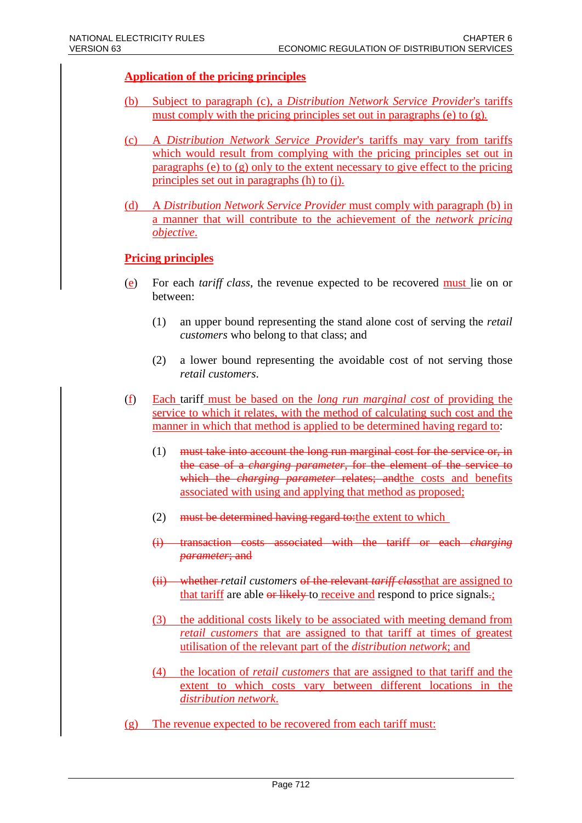# **Application of the pricing principles**

- (b) Subject to paragraph (c), a *Distribution Network Service Provider*'s tariffs must comply with the pricing principles set out in paragraphs (e) to (g)*.*
- (c) A *Distribution Network Service Provider*'s tariffs may vary from tariffs which would result from complying with the pricing principles set out in paragraphs (e) to (g) only to the extent necessary to give effect to the pricing principles set out in paragraphs (h) to (j).
- (d) A *Distribution Network Service Provider* must comply with paragraph (b) in a manner that will contribute to the achievement of the *network pricing objective*.

### **Pricing principles**

- (e) For each *tariff class*, the revenue expected to be recovered must lie on or between:
	- (1) an upper bound representing the stand alone cost of serving the *retail customers* who belong to that class; and
	- (2) a lower bound representing the avoidable cost of not serving those *retail customers*.
- (f) Each tariff must be based on the *long run marginal cost* of providing the service to which it relates, with the method of calculating such cost and the manner in which that method is applied to be determined having regard to:
	- (1) must take into account the long run marginal cost for the service or, in the case of a *charging parameter*, for the element of the service to which the *charging parameter* relates; and the costs and benefits associated with using and applying that method as proposed;
	- (2) must be determined having regard to: the extent to which
	- (i) transaction costs associated with the tariff or each *charging parameter*; and
	- (ii) whether *retail customers* of the relevant *tariff class*that are assigned to that tariff are able or likely to receive and respond to price signals.
	- (3) the additional costs likely to be associated with meeting demand from *retail customers* that are assigned to that tariff at times of greatest utilisation of the relevant part of the *distribution network*; and
	- (4) the location of *retail customers* that are assigned to that tariff and the extent to which costs vary between different locations in the *distribution network*.
- (g) The revenue expected to be recovered from each tariff must: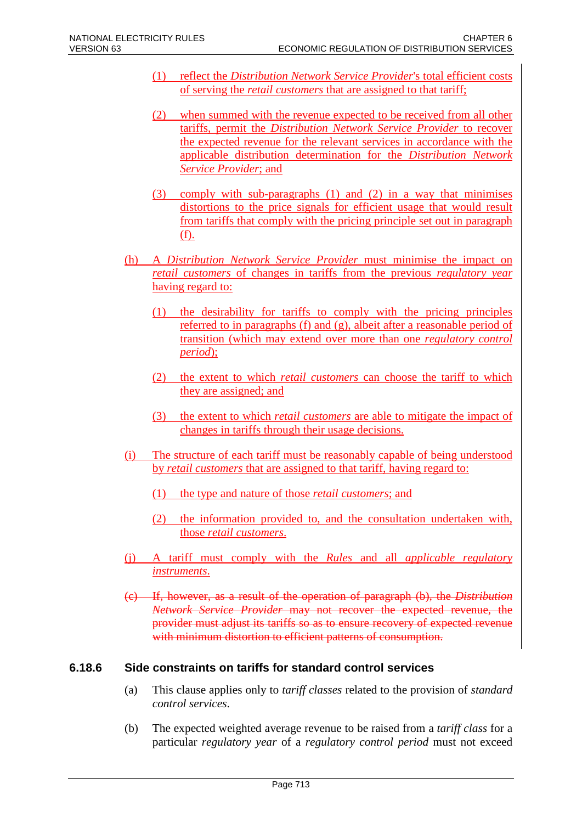- (1) reflect the *Distribution Network Service Provider*'s total efficient costs of serving the *retail customers* that are assigned to that tariff;
- (2) when summed with the revenue expected to be received from all other tariffs, permit the *Distribution Network Service Provider* to recover the expected revenue for the relevant services in accordance with the applicable distribution determination for the *Distribution Network Service Provider*; and
- (3) comply with sub-paragraphs (1) and (2) in a way that minimises distortions to the price signals for efficient usage that would result from tariffs that comply with the pricing principle set out in paragraph (f).
- (h) A *Distribution Network Service Provider* must minimise the impact on *retail customers* of changes in tariffs from the previous *regulatory year* having regard to:
	- (1) the desirability for tariffs to comply with the pricing principles referred to in paragraphs (f) and (g), albeit after a reasonable period of transition (which may extend over more than one *regulatory control period*);
	- (2) the extent to which *retail customers* can choose the tariff to which they are assigned; and
	- (3) the extent to which *retail customers* are able to mitigate the impact of changes in tariffs through their usage decisions.
- (i) The structure of each tariff must be reasonably capable of being understood by *retail customers* that are assigned to that tariff, having regard to:
	- (1) the type and nature of those *retail customers*; and
	- (2) the information provided to, and the consultation undertaken with, those *retail customers*.
- (j) A tariff must comply with the *Rules* and all *applicable regulatory instruments*.
- (c) If, however, as a result of the operation of paragraph (b), the *Distribution Network Service Provider* may not recover the expected revenue, the provider must adjust its tariffs so as to ensure recovery of expected revenue with minimum distortion to efficient patterns of consumption.

# **6.18.6 Side constraints on tariffs for standard control services**

- (a) This clause applies only to *tariff classes* related to the provision of *standard control services*.
- (b) The expected weighted average revenue to be raised from a *tariff class* for a particular *regulatory year* of a *regulatory control period* must not exceed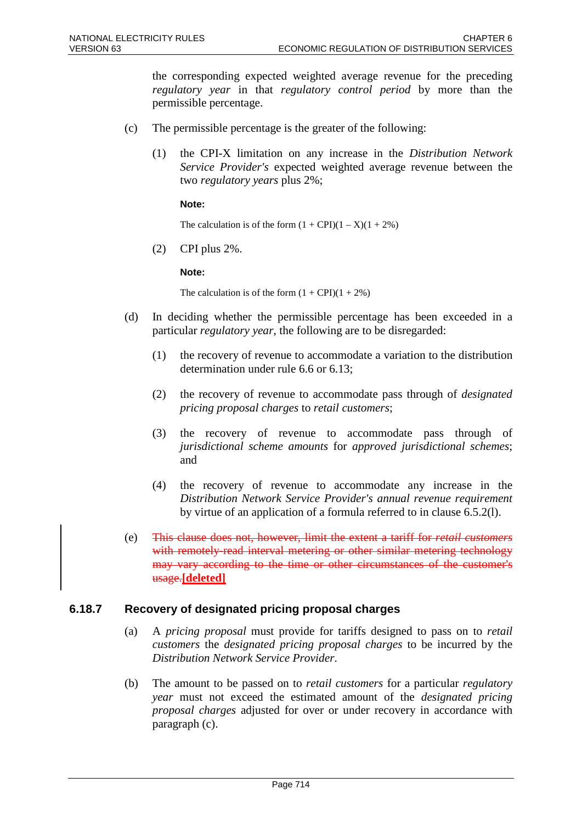the corresponding expected weighted average revenue for the preceding *regulatory year* in that *regulatory control period* by more than the permissible percentage.

- (c) The permissible percentage is the greater of the following:
	- (1) the CPI-X limitation on any increase in the *Distribution Network Service Provider's* expected weighted average revenue between the two *regulatory years* plus 2%;

#### **Note:**

The calculation is of the form  $(1 + \text{CPI})(1 - X)(1 + 2\%)$ 

(2) CPI plus 2%.

**Note:**

The calculation is of the form  $(1 + \text{CPI})(1 + 2\%)$ 

- (d) In deciding whether the permissible percentage has been exceeded in a particular *regulatory year*, the following are to be disregarded:
	- (1) the recovery of revenue to accommodate a variation to the distribution determination under rule 6.6 or 6.13;
	- (2) the recovery of revenue to accommodate pass through of *designated pricing proposal charges* to *retail customers*;
	- (3) the recovery of revenue to accommodate pass through of *jurisdictional scheme amounts* for *approved jurisdictional schemes*; and
	- (4) the recovery of revenue to accommodate any increase in the *Distribution Network Service Provider's annual revenue requirement* by virtue of an application of a formula referred to in clause 6.5.2(l).
- (e) This clause does not, however, limit the extent a tariff for *retail customers* with remotely-read interval metering or other similar metering technology may vary according to the time or other circumstances of the customer's usage.**[deleted]**

# **6.18.7 Recovery of designated pricing proposal charges**

- (a) A *pricing proposal* must provide for tariffs designed to pass on to *retail customers* the *designated pricing proposal charges* to be incurred by the *Distribution Network Service Provider*.
- (b) The amount to be passed on to *retail customers* for a particular *regulatory year* must not exceed the estimated amount of the *designated pricing proposal charges* adjusted for over or under recovery in accordance with paragraph (c).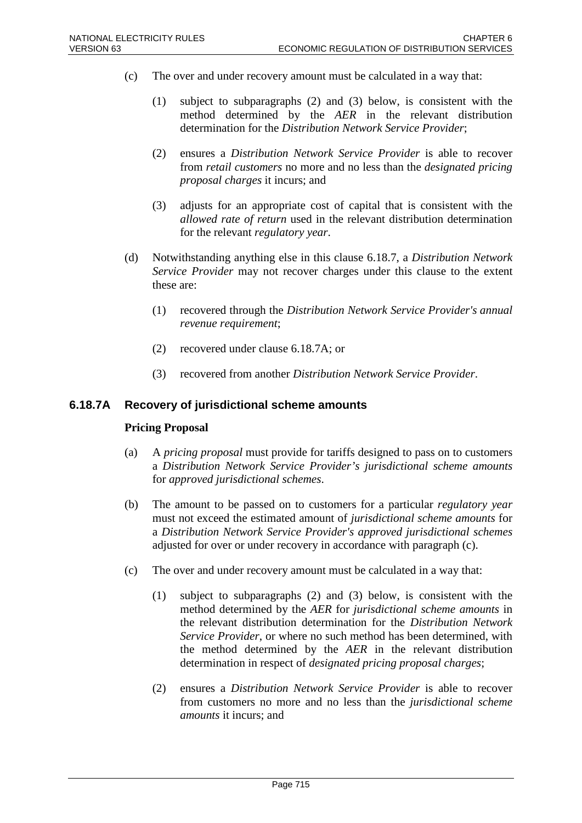- (c) The over and under recovery amount must be calculated in a way that:
	- (1) subject to subparagraphs (2) and (3) below, is consistent with the method determined by the *AER* in the relevant distribution determination for the *Distribution Network Service Provider*;
	- (2) ensures a *Distribution Network Service Provider* is able to recover from *retail customers* no more and no less than the *designated pricing proposal charges* it incurs; and
	- (3) adjusts for an appropriate cost of capital that is consistent with the *allowed rate of return* used in the relevant distribution determination for the relevant *regulatory year*.
- (d) Notwithstanding anything else in this clause 6.18.7, a *Distribution Network Service Provider* may not recover charges under this clause to the extent these are:
	- (1) recovered through the *Distribution Network Service Provider's annual revenue requirement*;
	- (2) recovered under clause 6.18.7A; or
	- (3) recovered from another *Distribution Network Service Provider*.

#### **6.18.7A Recovery of jurisdictional scheme amounts**

#### **Pricing Proposal**

- (a) A *pricing proposal* must provide for tariffs designed to pass on to customers a *Distribution Network Service Provider's jurisdictional scheme amounts* for *approved jurisdictional schemes*.
- (b) The amount to be passed on to customers for a particular *regulatory year* must not exceed the estimated amount of *jurisdictional scheme amounts* for a *Distribution Network Service Provider's approved jurisdictional schemes* adjusted for over or under recovery in accordance with paragraph (c).
- (c) The over and under recovery amount must be calculated in a way that:
	- (1) subject to subparagraphs (2) and (3) below, is consistent with the method determined by the *AER* for *jurisdictional scheme amounts* in the relevant distribution determination for the *Distribution Network Service Provider*, or where no such method has been determined, with the method determined by the *AER* in the relevant distribution determination in respect of *designated pricing proposal charges*;
	- (2) ensures a *Distribution Network Service Provider* is able to recover from customers no more and no less than the *jurisdictional scheme amounts* it incurs; and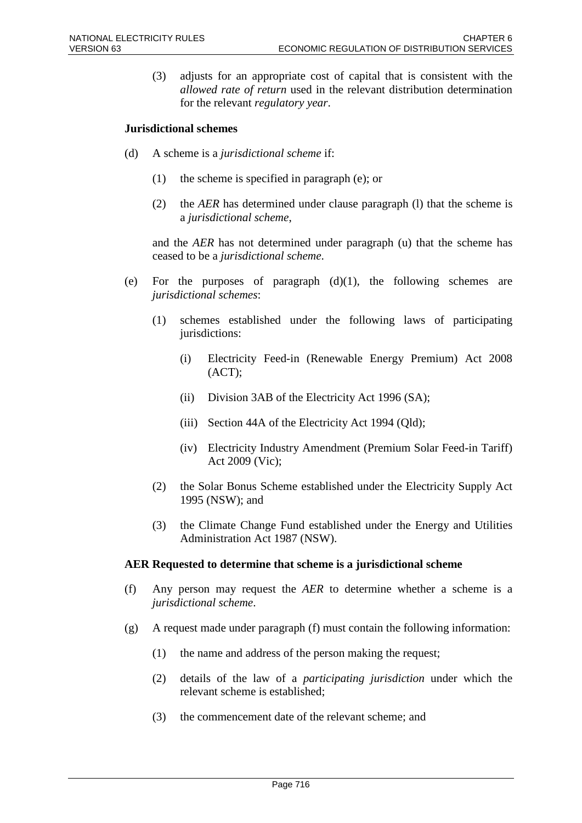(3) adjusts for an appropriate cost of capital that is consistent with the *allowed rate of return* used in the relevant distribution determination for the relevant *regulatory year*.

### **Jurisdictional schemes**

- (d) A scheme is a *jurisdictional scheme* if:
	- (1) the scheme is specified in paragraph (e); or
	- (2) the *AER* has determined under clause paragraph (l) that the scheme is a *jurisdictional scheme*,

and the *AER* has not determined under paragraph (u) that the scheme has ceased to be a *jurisdictional scheme*.

- (e) For the purposes of paragraph  $(d)(1)$ , the following schemes are *jurisdictional schemes*:
	- (1) schemes established under the following laws of participating jurisdictions:
		- (i) Electricity Feed-in (Renewable Energy Premium) Act 2008  $(ACT);$
		- (ii) Division 3AB of the Electricity Act 1996 (SA);
		- (iii) Section 44A of the Electricity Act 1994 (Qld);
		- (iv) Electricity Industry Amendment (Premium Solar Feed-in Tariff) Act 2009 (Vic);
	- (2) the Solar Bonus Scheme established under the Electricity Supply Act 1995 (NSW); and
	- (3) the Climate Change Fund established under the Energy and Utilities Administration Act 1987 (NSW).

#### **AER Requested to determine that scheme is a jurisdictional scheme**

- (f) Any person may request the *AER* to determine whether a scheme is a *jurisdictional scheme*.
- $(g)$  A request made under paragraph  $(f)$  must contain the following information:
	- (1) the name and address of the person making the request;
	- (2) details of the law of a *participating jurisdiction* under which the relevant scheme is established;
	- (3) the commencement date of the relevant scheme; and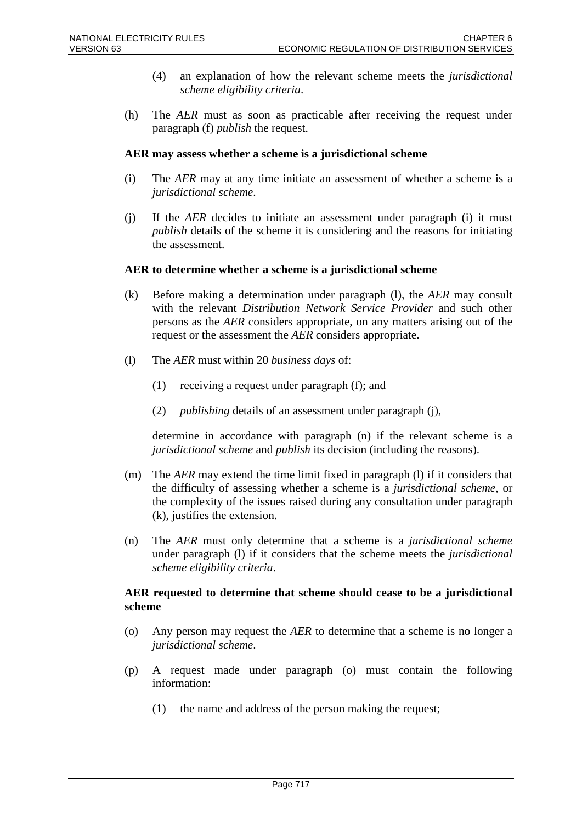- (4) an explanation of how the relevant scheme meets the *jurisdictional scheme eligibility criteria*.
- (h) The *AER* must as soon as practicable after receiving the request under paragraph (f) *publish* the request.

#### **AER may assess whether a scheme is a jurisdictional scheme**

- (i) The *AER* may at any time initiate an assessment of whether a scheme is a *jurisdictional scheme*.
- (j) If the *AER* decides to initiate an assessment under paragraph (i) it must *publish* details of the scheme it is considering and the reasons for initiating the assessment.

#### **AER to determine whether a scheme is a jurisdictional scheme**

- (k) Before making a determination under paragraph (l), the *AER* may consult with the relevant *Distribution Network Service Provider* and such other persons as the *AER* considers appropriate, on any matters arising out of the request or the assessment the *AER* considers appropriate.
- (l) The *AER* must within 20 *business days* of:
	- (1) receiving a request under paragraph (f); and
	- (2) *publishing* details of an assessment under paragraph (j),

determine in accordance with paragraph (n) if the relevant scheme is a *jurisdictional scheme* and *publish* its decision (including the reasons).

- (m) The *AER* may extend the time limit fixed in paragraph (l) if it considers that the difficulty of assessing whether a scheme is a *jurisdictional scheme*, or the complexity of the issues raised during any consultation under paragraph (k), justifies the extension.
- (n) The *AER* must only determine that a scheme is a *jurisdictional scheme* under paragraph (l) if it considers that the scheme meets the *jurisdictional scheme eligibility criteria*.

### **AER requested to determine that scheme should cease to be a jurisdictional scheme**

- (o) Any person may request the *AER* to determine that a scheme is no longer a *jurisdictional scheme*.
- (p) A request made under paragraph (o) must contain the following information:
	- (1) the name and address of the person making the request;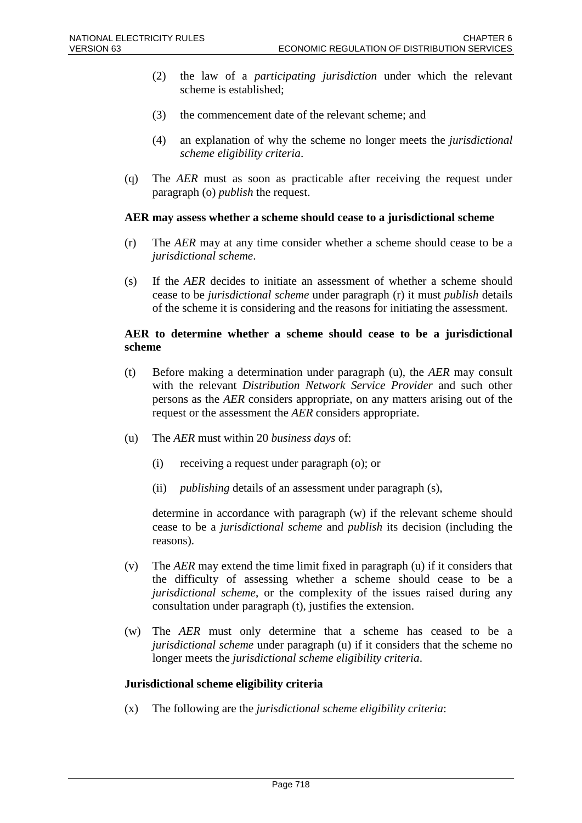- (2) the law of a *participating jurisdiction* under which the relevant scheme is established;
- (3) the commencement date of the relevant scheme; and
- (4) an explanation of why the scheme no longer meets the *jurisdictional scheme eligibility criteria*.
- (q) The *AER* must as soon as practicable after receiving the request under paragraph (o) *publish* the request.

#### **AER may assess whether a scheme should cease to a jurisdictional scheme**

- (r) The *AER* may at any time consider whether a scheme should cease to be a *jurisdictional scheme*.
- (s) If the *AER* decides to initiate an assessment of whether a scheme should cease to be *jurisdictional scheme* under paragraph (r) it must *publish* details of the scheme it is considering and the reasons for initiating the assessment.

#### **AER to determine whether a scheme should cease to be a jurisdictional scheme**

- (t) Before making a determination under paragraph (u), the *AER* may consult with the relevant *Distribution Network Service Provider* and such other persons as the *AER* considers appropriate, on any matters arising out of the request or the assessment the *AER* considers appropriate.
- (u) The *AER* must within 20 *business days* of:
	- (i) receiving a request under paragraph (o); or
	- (ii) *publishing* details of an assessment under paragraph (s),

determine in accordance with paragraph (w) if the relevant scheme should cease to be a *jurisdictional scheme* and *publish* its decision (including the reasons).

- (v) The *AER* may extend the time limit fixed in paragraph (u) if it considers that the difficulty of assessing whether a scheme should cease to be a *jurisdictional scheme*, or the complexity of the issues raised during any consultation under paragraph (t), justifies the extension.
- (w) The *AER* must only determine that a scheme has ceased to be a *jurisdictional scheme* under paragraph (u) if it considers that the scheme no longer meets the *jurisdictional scheme eligibility criteria*.

#### **Jurisdictional scheme eligibility criteria**

(x) The following are the *jurisdictional scheme eligibility criteria*: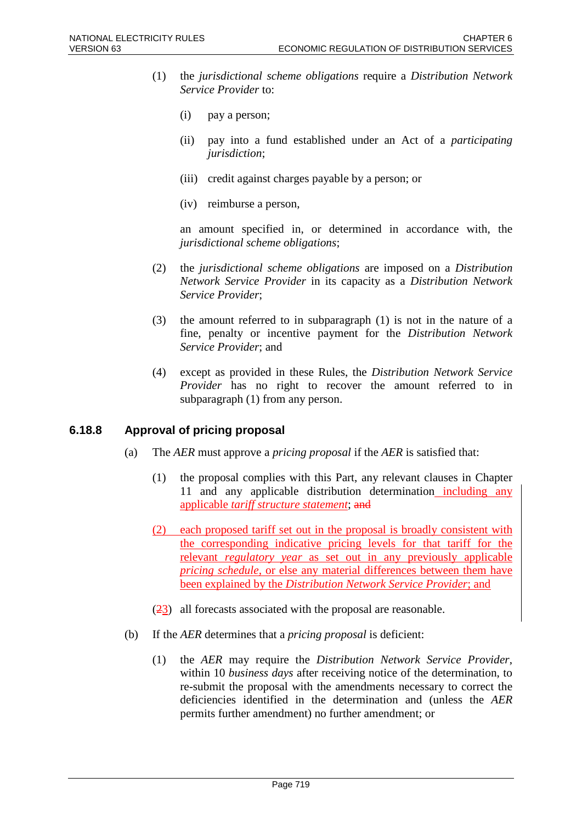- (1) the *jurisdictional scheme obligations* require a *Distribution Network Service Provider* to:
	- (i) pay a person;
	- (ii) pay into a fund established under an Act of a *participating jurisdiction*;
	- (iii) credit against charges payable by a person; or
	- (iv) reimburse a person,

an amount specified in, or determined in accordance with, the *jurisdictional scheme obligations*;

- (2) the *jurisdictional scheme obligations* are imposed on a *Distribution Network Service Provider* in its capacity as a *Distribution Network Service Provider*;
- (3) the amount referred to in subparagraph (1) is not in the nature of a fine, penalty or incentive payment for the *Distribution Network Service Provider*; and
- (4) except as provided in these Rules, the *Distribution Network Service Provider* has no right to recover the amount referred to in subparagraph (1) from any person.

#### **6.18.8 Approval of pricing proposal**

- (a) The *AER* must approve a *pricing proposal* if the *AER* is satisfied that:
	- (1) the proposal complies with this Part, any relevant clauses in Chapter 11 and any applicable distribution determination including any applicable *tariff structure statement*; and
	- (2) each proposed tariff set out in the proposal is broadly consistent with the corresponding indicative pricing levels for that tariff for the relevant *regulatory year* as set out in any previously applicable *pricing schedule*, or else any material differences between them have been explained by the *Distribution Network Service Provider*; and
	- (23) all forecasts associated with the proposal are reasonable.
- (b) If the *AER* determines that a *pricing proposal* is deficient:
	- (1) the *AER* may require the *Distribution Network Service Provider*, within 10 *business days* after receiving notice of the determination, to re-submit the proposal with the amendments necessary to correct the deficiencies identified in the determination and (unless the *AER* permits further amendment) no further amendment; or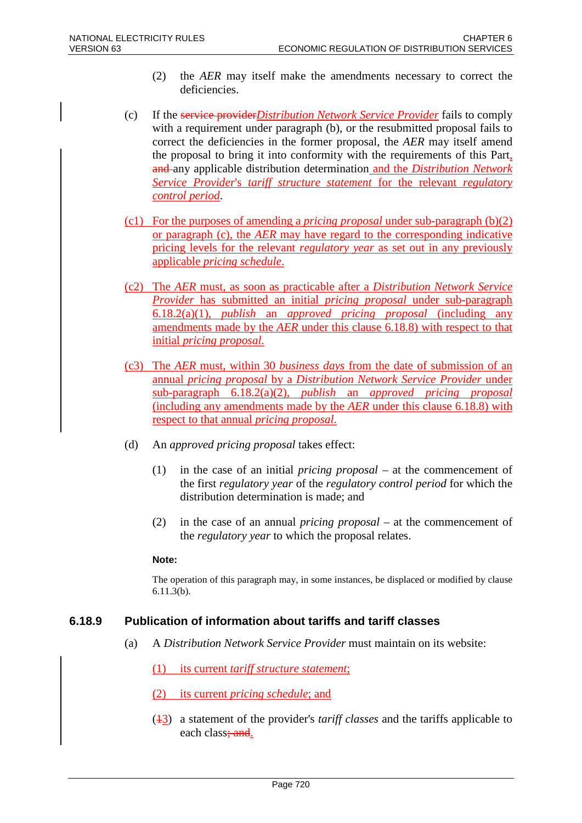- (2) the *AER* may itself make the amendments necessary to correct the deficiencies.
- (c) If the service provider*Distribution Network Service Provider* fails to comply with a requirement under paragraph (b), or the resubmitted proposal fails to correct the deficiencies in the former proposal, the *AER* may itself amend the proposal to bring it into conformity with the requirements of this Part, and any applicable distribution determination and the *Distribution Network Service Provider*'s *tariff structure statement* for the relevant *regulatory control period*.
- (c1) For the purposes of amending a *pricing proposal* under sub-paragraph (b)(2) or paragraph (c), the *AER* may have regard to the corresponding indicative pricing levels for the relevant *regulatory year* as set out in any previously applicable *pricing schedule*.
- (c2) The *AER* must, as soon as practicable after a *Distribution Network Service Provider* has submitted an initial *pricing proposal* under sub-paragraph 6.18.2(a)(1), *publish* an *approved pricing proposal* (including any amendments made by the *AER* under this clause 6.18.8) with respect to that initial *pricing proposal*.
- (c3) The *AER* must, within 30 *business days* from the date of submission of an annual *pricing proposal* by a *Distribution Network Service Provider* under sub-paragraph 6.18.2(a)(2), *publish* an *approved pricing proposal* (including any amendments made by the *AER* under this clause 6.18.8) with respect to that annual *pricing proposal*.
- (d) An *approved pricing proposal* takes effect:
	- (1) in the case of an initial *pricing proposal* at the commencement of the first *regulatory year* of the *regulatory control period* for which the distribution determination is made; and
	- (2) in the case of an annual *pricing proposal* at the commencement of the *regulatory year* to which the proposal relates.

#### **Note:**

The operation of this paragraph may, in some instances, be displaced or modified by clause 6.11.3(b).

# **6.18.9 Publication of information about tariffs and tariff classes**

(a) A *Distribution Network Service Provider* must maintain on its website:

(1) its current *tariff structure statement*;

- (2) its current *pricing schedule*; and
- (13) a statement of the provider's *tariff classes* and the tariffs applicable to each class; and.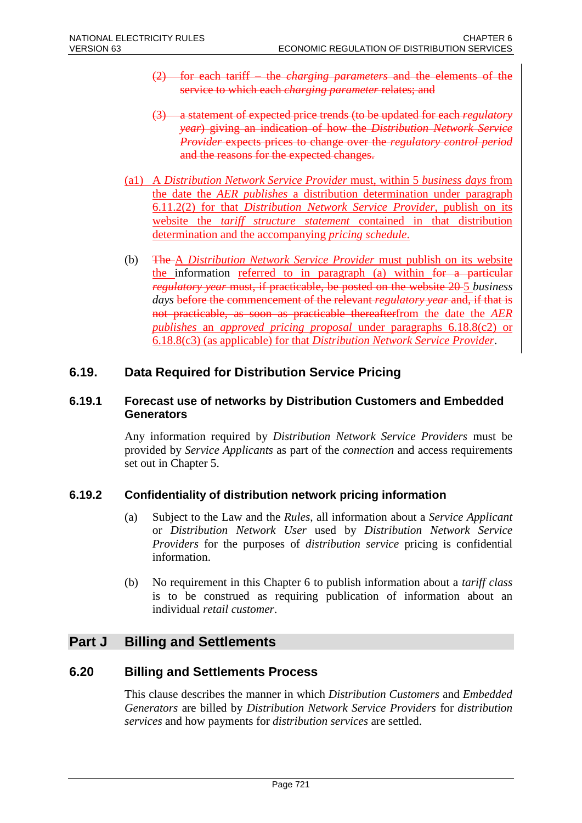- (2) for each tariff the *charging parameters* and the elements of the service to which each *charging parameter* relates; and
- (3) a statement of expected price trends (to be updated for each *regulatory year*) giving an indication of how the *Distribution Network Service Provider* expects prices to change over the *regulatory control period* and the reasons for the expected changes.
- (a1) A *Distribution Network Service Provider* must, within 5 *business days* from the date the *AER publishes* a distribution determination under paragraph 6.11.2(2) for that *Distribution Network Service Provider*, publish on its website the *tariff structure statement* contained in that distribution determination and the accompanying *pricing schedule*.
- (b) The A *Distribution Network Service Provider* must publish on its website the information referred to in paragraph (a) within for a particular *regulatory year* must, if practicable, be posted on the website 20 5 *business days* before the commencement of the relevant *regulatory year* and, if that is not practicable, as soon as practicable thereafterfrom the date the *AER publishes* an *approved pricing proposal* under paragraphs 6.18.8(c2) or 6.18.8(c3) (as applicable) for that *Distribution Network Service Provider*.

# **6.19. Data Required for Distribution Service Pricing**

### **6.19.1 Forecast use of networks by Distribution Customers and Embedded Generators**

Any information required by *Distribution Network Service Providers* must be provided by *Service Applicants* as part of the *connection* and access requirements set out in Chapter 5.

# **6.19.2 Confidentiality of distribution network pricing information**

- (a) Subject to the Law and the *Rules*, all information about a *Service Applicant* or *Distribution Network User* used by *Distribution Network Service Providers* for the purposes of *distribution service* pricing is confidential information.
- (b) No requirement in this Chapter 6 to publish information about a *tariff class* is to be construed as requiring publication of information about an individual *retail customer*.

# **Part J Billing and Settlements**

# **6.20 Billing and Settlements Process**

This clause describes the manner in which *Distribution Customers* and *Embedded Generators* are billed by *Distribution Network Service Providers* for *distribution services* and how payments for *distribution services* are settled.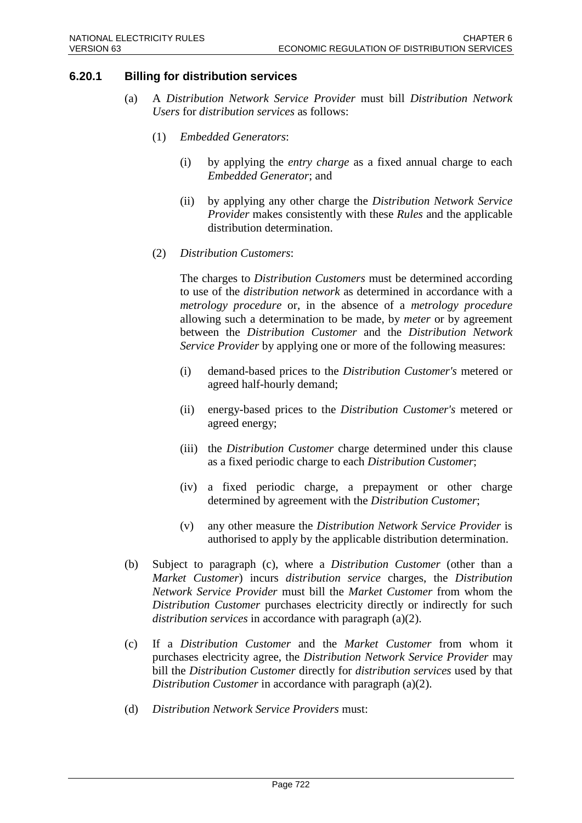# **6.20.1 Billing for distribution services**

- (a) A *Distribution Network Service Provider* must bill *Distribution Network Users* for *distribution services* as follows:
	- (1) *Embedded Generators*:
		- (i) by applying the *entry charge* as a fixed annual charge to each *Embedded Generator*; and
		- (ii) by applying any other charge the *Distribution Network Service Provider* makes consistently with these *Rules* and the applicable distribution determination.
	- (2) *Distribution Customers*:

The charges to *Distribution Customers* must be determined according to use of the *distribution network* as determined in accordance with a *metrology procedure* or, in the absence of a *metrology procedure* allowing such a determination to be made, by *meter* or by agreement between the *Distribution Customer* and the *Distribution Network Service Provider* by applying one or more of the following measures:

- (i) demand-based prices to the *Distribution Customer's* metered or agreed half-hourly demand;
- (ii) energy-based prices to the *Distribution Customer's* metered or agreed energy;
- (iii) the *Distribution Customer* charge determined under this clause as a fixed periodic charge to each *Distribution Customer*;
- (iv) a fixed periodic charge, a prepayment or other charge determined by agreement with the *Distribution Customer*;
- (v) any other measure the *Distribution Network Service Provider* is authorised to apply by the applicable distribution determination.
- (b) Subject to paragraph (c), where a *Distribution Customer* (other than a *Market Customer*) incurs *distribution service* charges, the *Distribution Network Service Provider* must bill the *Market Customer* from whom the *Distribution Customer* purchases electricity directly or indirectly for such *distribution services* in accordance with paragraph (a)(2).
- (c) If a *Distribution Customer* and the *Market Customer* from whom it purchases electricity agree, the *Distribution Network Service Provider* may bill the *Distribution Customer* directly for *distribution services* used by that *Distribution Customer* in accordance with paragraph (a)(2).
- (d) *Distribution Network Service Providers* must: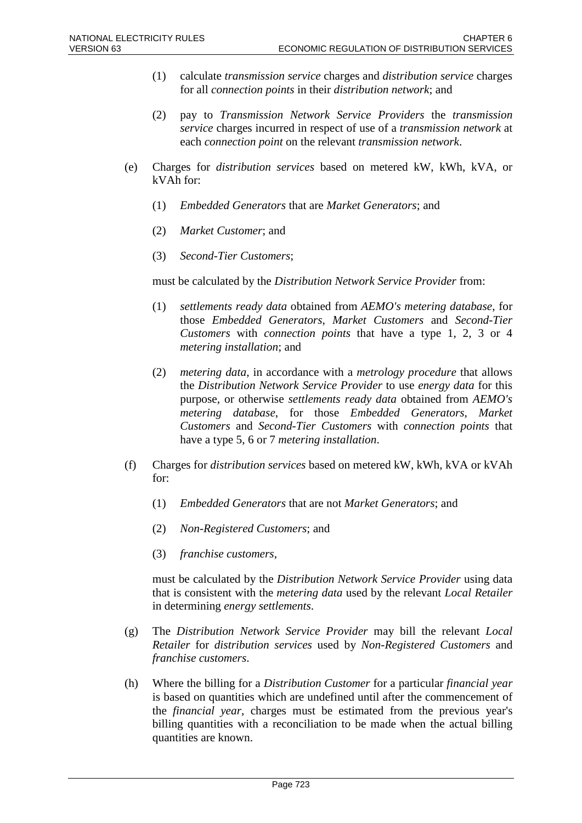- (1) calculate *transmission service* charges and *distribution service* charges for all *connection points* in their *distribution network*; and
- (2) pay to *Transmission Network Service Providers* the *transmission service* charges incurred in respect of use of a *transmission network* at each *connection point* on the relevant *transmission network*.
- (e) Charges for *distribution services* based on metered kW, kWh, kVA, or kVAh for:
	- (1) *Embedded Generators* that are *Market Generators*; and
	- (2) *Market Customer*; and
	- (3) *Second-Tier Customers*;

must be calculated by the *Distribution Network Service Provider* from:

- (1) *settlements ready data* obtained from *AEMO's metering database*, for those *Embedded Generators*, *Market Customers* and *Second-Tier Customers* with *connection points* that have a type 1, 2, 3 or 4 *metering installation*; and
- (2) *metering data*, in accordance with a *metrology procedure* that allows the *Distribution Network Service Provider* to use *energy data* for this purpose, or otherwise *settlements ready data* obtained from *AEMO's metering database*, for those *Embedded Generators*, *Market Customers* and *Second-Tier Customers* with *connection points* that have a type 5, 6 or 7 *metering installation*.
- (f) Charges for *distribution services* based on metered kW, kWh, kVA or kVAh for:
	- (1) *Embedded Generators* that are not *Market Generators*; and
	- (2) *Non-Registered Customers*; and
	- (3) *franchise customers*,

must be calculated by the *Distribution Network Service Provider* using data that is consistent with the *metering data* used by the relevant *Local Retailer* in determining *energy settlements*.

- (g) The *Distribution Network Service Provider* may bill the relevant *Local Retailer* for *distribution services* used by *Non-Registered Customers* and *franchise customers*.
- (h) Where the billing for a *Distribution Customer* for a particular *financial year* is based on quantities which are undefined until after the commencement of the *financial year*, charges must be estimated from the previous year's billing quantities with a reconciliation to be made when the actual billing quantities are known.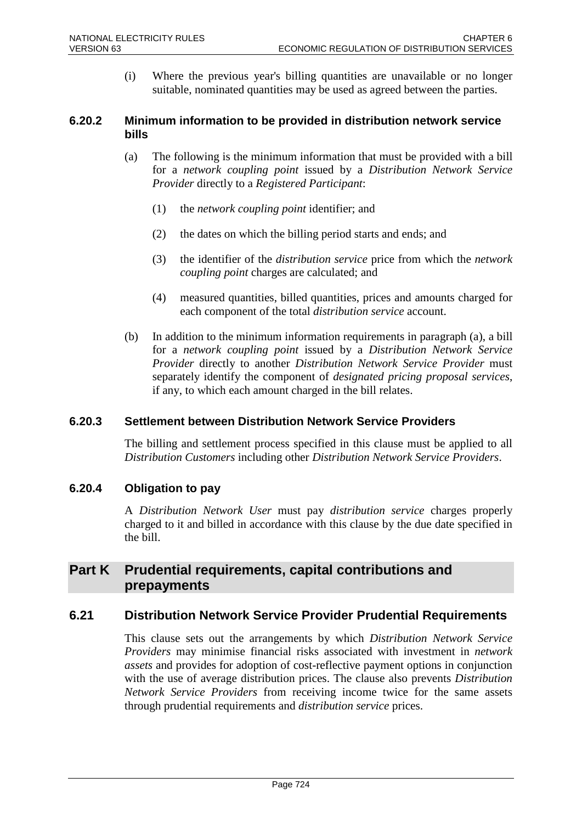(i) Where the previous year's billing quantities are unavailable or no longer suitable, nominated quantities may be used as agreed between the parties.

### **6.20.2 Minimum information to be provided in distribution network service bills**

- (a) The following is the minimum information that must be provided with a bill for a *network coupling point* issued by a *Distribution Network Service Provider* directly to a *Registered Participant*:
	- (1) the *network coupling point* identifier; and
	- (2) the dates on which the billing period starts and ends; and
	- (3) the identifier of the *distribution service* price from which the *network coupling point* charges are calculated; and
	- (4) measured quantities, billed quantities, prices and amounts charged for each component of the total *distribution service* account.
- (b) In addition to the minimum information requirements in paragraph (a), a bill for a *network coupling point* issued by a *Distribution Network Service Provider* directly to another *Distribution Network Service Provider* must separately identify the component of *designated pricing proposal services*, if any, to which each amount charged in the bill relates.

# **6.20.3 Settlement between Distribution Network Service Providers**

The billing and settlement process specified in this clause must be applied to all *Distribution Customers* including other *Distribution Network Service Providers*.

# **6.20.4 Obligation to pay**

A *Distribution Network User* must pay *distribution service* charges properly charged to it and billed in accordance with this clause by the due date specified in the bill.

# **Part K Prudential requirements, capital contributions and prepayments**

# **6.21 Distribution Network Service Provider Prudential Requirements**

This clause sets out the arrangements by which *Distribution Network Service Providers* may minimise financial risks associated with investment in *network assets* and provides for adoption of cost-reflective payment options in conjunction with the use of average distribution prices. The clause also prevents *Distribution Network Service Providers* from receiving income twice for the same assets through prudential requirements and *distribution service* prices.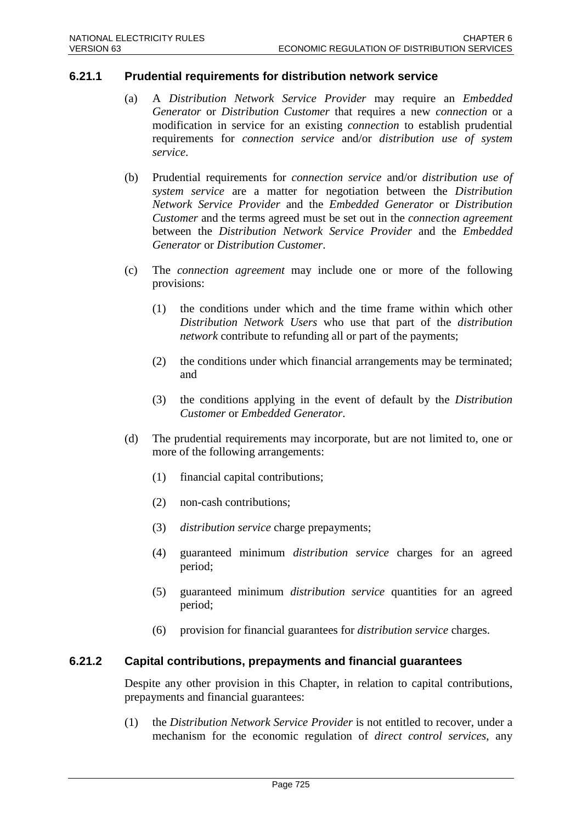### **6.21.1 Prudential requirements for distribution network service**

- (a) A *Distribution Network Service Provider* may require an *Embedded Generator* or *Distribution Customer* that requires a new *connection* or a modification in service for an existing *connection* to establish prudential requirements for *connection service* and/or *distribution use of system service*.
- (b) Prudential requirements for *connection service* and/or *distribution use of system service* are a matter for negotiation between the *Distribution Network Service Provider* and the *Embedded Generator* or *Distribution Customer* and the terms agreed must be set out in the *connection agreement* between the *Distribution Network Service Provider* and the *Embedded Generator* or *Distribution Customer*.
- (c) The *connection agreement* may include one or more of the following provisions:
	- (1) the conditions under which and the time frame within which other *Distribution Network Users* who use that part of the *distribution network* contribute to refunding all or part of the payments;
	- (2) the conditions under which financial arrangements may be terminated; and
	- (3) the conditions applying in the event of default by the *Distribution Customer* or *Embedded Generator*.
- (d) The prudential requirements may incorporate, but are not limited to, one or more of the following arrangements:
	- (1) financial capital contributions;
	- (2) non-cash contributions;
	- (3) *distribution service* charge prepayments;
	- (4) guaranteed minimum *distribution service* charges for an agreed period;
	- (5) guaranteed minimum *distribution service* quantities for an agreed period;
	- (6) provision for financial guarantees for *distribution service* charges.

#### **6.21.2 Capital contributions, prepayments and financial guarantees**

Despite any other provision in this Chapter, in relation to capital contributions, prepayments and financial guarantees:

(1) the *Distribution Network Service Provider* is not entitled to recover, under a mechanism for the economic regulation of *direct control services*, any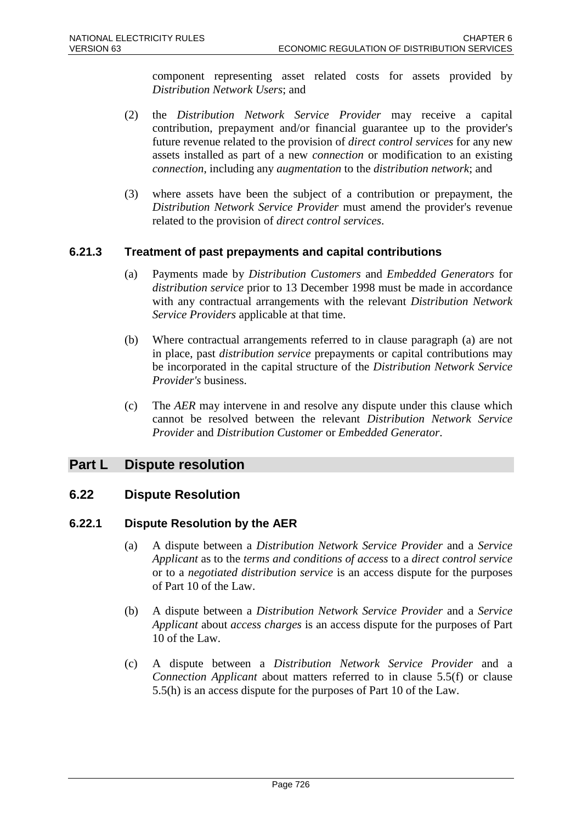component representing asset related costs for assets provided by *Distribution Network Users*; and

- (2) the *Distribution Network Service Provider* may receive a capital contribution, prepayment and/or financial guarantee up to the provider's future revenue related to the provision of *direct control services* for any new assets installed as part of a new *connection* or modification to an existing *connection*, including any *augmentation* to the *distribution network*; and
- (3) where assets have been the subject of a contribution or prepayment, the *Distribution Network Service Provider* must amend the provider's revenue related to the provision of *direct control services*.

# **6.21.3 Treatment of past prepayments and capital contributions**

- (a) Payments made by *Distribution Customers* and *Embedded Generators* for *distribution service* prior to 13 December 1998 must be made in accordance with any contractual arrangements with the relevant *Distribution Network Service Providers* applicable at that time.
- (b) Where contractual arrangements referred to in clause paragraph (a) are not in place, past *distribution service* prepayments or capital contributions may be incorporated in the capital structure of the *Distribution Network Service Provider's* business.
- (c) The *AER* may intervene in and resolve any dispute under this clause which cannot be resolved between the relevant *Distribution Network Service Provider* and *Distribution Customer* or *Embedded Generator*.

# **Part L Dispute resolution**

# **6.22 Dispute Resolution**

#### **6.22.1 Dispute Resolution by the AER**

- (a) A dispute between a *Distribution Network Service Provider* and a *Service Applicant* as to the *terms and conditions of access* to a *direct control service* or to a *negotiated distribution service* is an access dispute for the purposes of Part 10 of the Law.
- (b) A dispute between a *Distribution Network Service Provider* and a *Service Applicant* about *access charges* is an access dispute for the purposes of Part 10 of the Law.
- (c) A dispute between a *Distribution Network Service Provider* and a *Connection Applicant* about matters referred to in clause 5.5(f) or clause 5.5(h) is an access dispute for the purposes of Part 10 of the Law.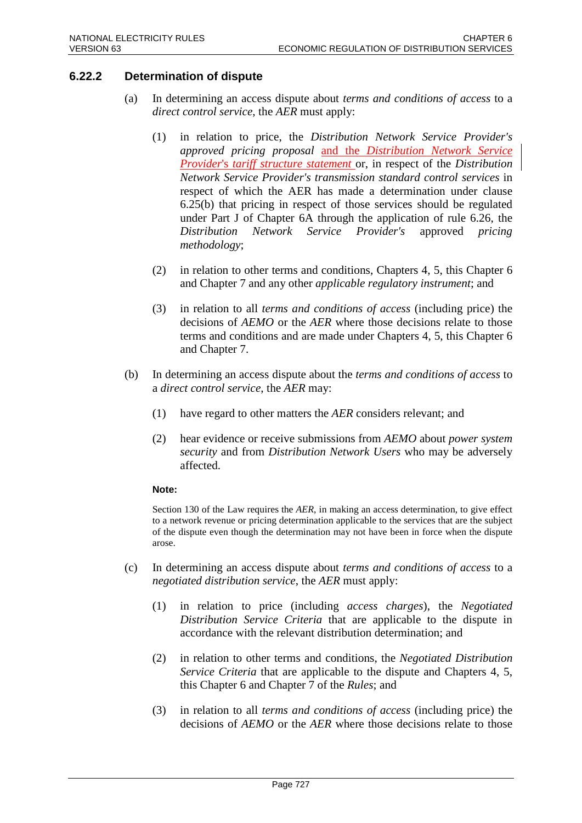# **6.22.2 Determination of dispute**

- (a) In determining an access dispute about *terms and conditions of access* to a *direct control service*, the *AER* must apply:
	- (1) in relation to price, the *Distribution Network Service Provider's approved pricing proposal* and the *Distribution Network Service Provider*'s *tariff structure statement* or, in respect of the *Distribution Network Service Provider's transmission standard control services* in respect of which the AER has made a determination under clause 6.25(b) that pricing in respect of those services should be regulated under Part J of Chapter 6A through the application of rule 6.26, the Distribution Network Service Provider's approved pricing *Distribution Network Service Provider's* approved *pricing methodology*;
	- (2) in relation to other terms and conditions, Chapters 4, 5, this Chapter 6 and Chapter 7 and any other *applicable regulatory instrument*; and
	- (3) in relation to all *terms and conditions of access* (including price) the decisions of *AEMO* or the *AER* where those decisions relate to those terms and conditions and are made under Chapters 4, 5, this Chapter 6 and Chapter 7.
- (b) In determining an access dispute about the *terms and conditions of access* to a *direct control service*, the *AER* may:
	- (1) have regard to other matters the *AER* considers relevant; and
	- (2) hear evidence or receive submissions from *AEMO* about *power system security* and from *Distribution Network Users* who may be adversely affected.

#### **Note:**

Section 130 of the Law requires the *AER*, in making an access determination, to give effect to a network revenue or pricing determination applicable to the services that are the subject of the dispute even though the determination may not have been in force when the dispute arose.

- (c) In determining an access dispute about *terms and conditions of access* to a *negotiated distribution service*, the *AER* must apply:
	- (1) in relation to price (including *access charges*), the *Negotiated Distribution Service Criteria* that are applicable to the dispute in accordance with the relevant distribution determination; and
	- (2) in relation to other terms and conditions, the *Negotiated Distribution Service Criteria* that are applicable to the dispute and Chapters 4, 5, this Chapter 6 and Chapter 7 of the *Rules*; and
	- (3) in relation to all *terms and conditions of access* (including price) the decisions of *AEMO* or the *AER* where those decisions relate to those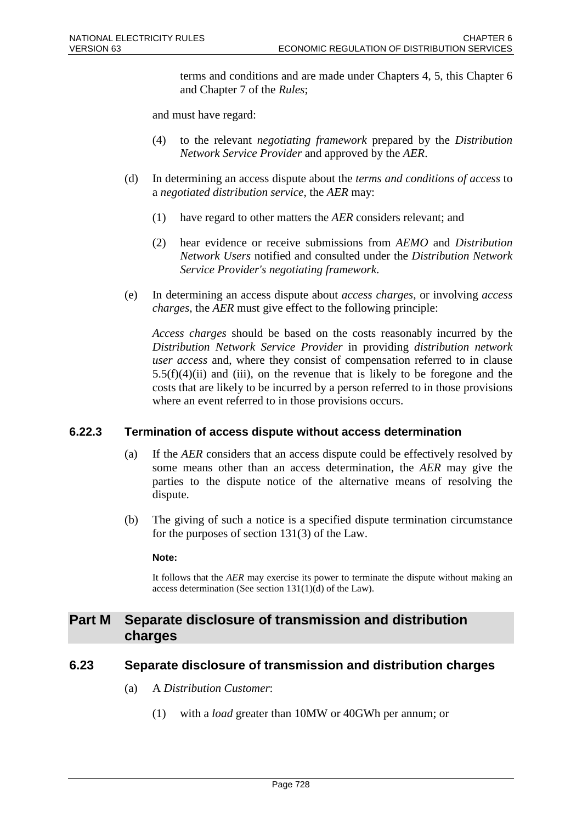terms and conditions and are made under Chapters 4, 5, this Chapter 6 and Chapter 7 of the *Rules*;

and must have regard:

- (4) to the relevant *negotiating framework* prepared by the *Distribution Network Service Provider* and approved by the *AER*.
- (d) In determining an access dispute about the *terms and conditions of access* to a *negotiated distribution service*, the *AER* may:
	- (1) have regard to other matters the *AER* considers relevant; and
	- (2) hear evidence or receive submissions from *AEMO* and *Distribution Network Users* notified and consulted under the *Distribution Network Service Provider's negotiating framework*.
- (e) In determining an access dispute about *access charges*, or involving *access charges*, the *AER* must give effect to the following principle:

*Access charges* should be based on the costs reasonably incurred by the *Distribution Network Service Provider* in providing *distribution network user access* and, where they consist of compensation referred to in clause  $5.5(f)(4)(ii)$  and (iii), on the revenue that is likely to be foregone and the costs that are likely to be incurred by a person referred to in those provisions where an event referred to in those provisions occurs.

# **6.22.3 Termination of access dispute without access determination**

- (a) If the *AER* considers that an access dispute could be effectively resolved by some means other than an access determination, the *AER* may give the parties to the dispute notice of the alternative means of resolving the dispute.
- (b) The giving of such a notice is a specified dispute termination circumstance for the purposes of section 131(3) of the Law.

#### **Note:**

It follows that the *AER* may exercise its power to terminate the dispute without making an access determination (See section 131(1)(d) of the Law).

# **Part M Separate disclosure of transmission and distribution charges**

# **6.23 Separate disclosure of transmission and distribution charges**

- (a) A *Distribution Customer*:
	- (1) with a *load* greater than 10MW or 40GWh per annum; or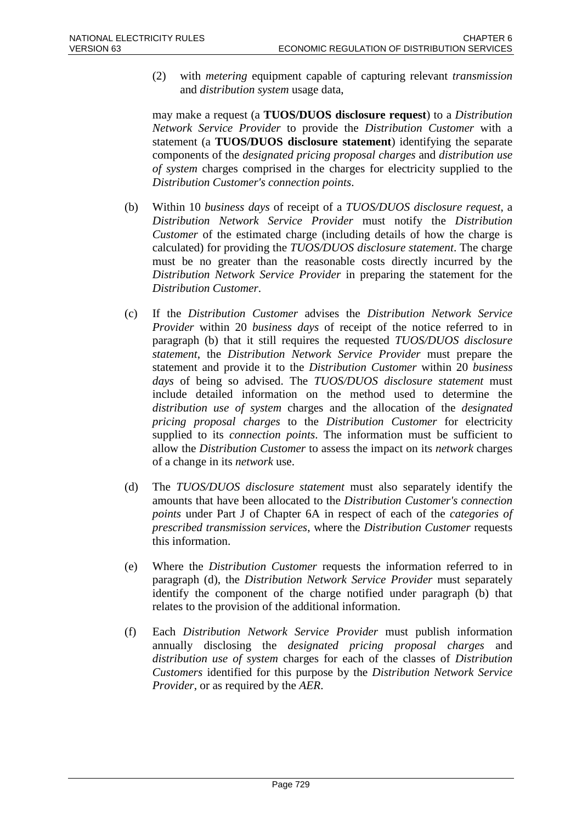(2) with *metering* equipment capable of capturing relevant *transmission* and *distribution system* usage data,

may make a request (a **TUOS/DUOS disclosure request**) to a *Distribution Network Service Provider* to provide the *Distribution Customer* with a statement (a **TUOS/DUOS disclosure statement**) identifying the separate components of the *designated pricing proposal charges* and *distribution use of system* charges comprised in the charges for electricity supplied to the *Distribution Customer's connection points*.

- (b) Within 10 *business days* of receipt of a *TUOS/DUOS disclosure request*, a *Distribution Network Service Provider* must notify the *Distribution Customer* of the estimated charge (including details of how the charge is calculated) for providing the *TUOS/DUOS disclosure statement*. The charge must be no greater than the reasonable costs directly incurred by the *Distribution Network Service Provider* in preparing the statement for the *Distribution Customer*.
- (c) If the *Distribution Customer* advises the *Distribution Network Service Provider* within 20 *business days* of receipt of the notice referred to in paragraph (b) that it still requires the requested *TUOS/DUOS disclosure statement*, the *Distribution Network Service Provider* must prepare the statement and provide it to the *Distribution Customer* within 20 *business days* of being so advised. The *TUOS/DUOS disclosure statement* must include detailed information on the method used to determine the *distribution use of system* charges and the allocation of the *designated pricing proposal charges* to the *Distribution Customer* for electricity supplied to its *connection points*. The information must be sufficient to allow the *Distribution Customer* to assess the impact on its *network* charges of a change in its *network* use.
- (d) The *TUOS/DUOS disclosure statement* must also separately identify the amounts that have been allocated to the *Distribution Customer's connection points* under Part J of Chapter 6A in respect of each of the *categories of prescribed transmission services*, where the *Distribution Customer* requests this information.
- (e) Where the *Distribution Customer* requests the information referred to in paragraph (d), the *Distribution Network Service Provider* must separately identify the component of the charge notified under paragraph (b) that relates to the provision of the additional information.
- (f) Each *Distribution Network Service Provider* must publish information annually disclosing the *designated pricing proposal charges* and *distribution use of system* charges for each of the classes of *Distribution Customers* identified for this purpose by the *Distribution Network Service Provider*, or as required by the *AER*.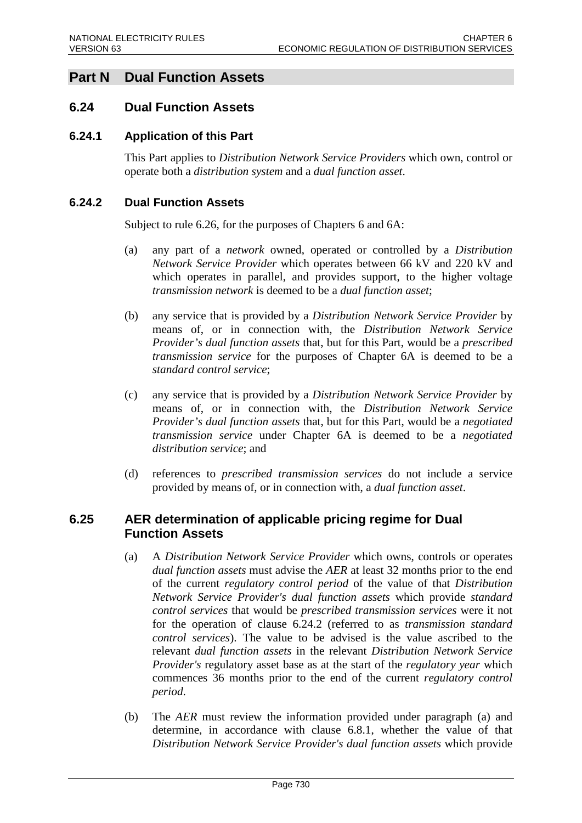# **Part N Dual Function Assets**

# **6.24 Dual Function Assets**

### **6.24.1 Application of this Part**

This Part applies to *Distribution Network Service Providers* which own, control or operate both a *distribution system* and a *dual function asset*.

### **6.24.2 Dual Function Assets**

Subject to rule 6.26, for the purposes of Chapters 6 and 6A:

- (a) any part of a *network* owned, operated or controlled by a *Distribution Network Service Provider* which operates between 66 kV and 220 kV and which operates in parallel, and provides support, to the higher voltage *transmission network* is deemed to be a *dual function asset*;
- (b) any service that is provided by a *Distribution Network Service Provider* by means of, or in connection with, the *Distribution Network Service Provider's dual function assets* that, but for this Part, would be a *prescribed transmission service* for the purposes of Chapter 6A is deemed to be a *standard control service*;
- (c) any service that is provided by a *Distribution Network Service Provider* by means of, or in connection with, the *Distribution Network Service Provider's dual function assets* that, but for this Part, would be a *negotiated transmission service* under Chapter 6A is deemed to be a *negotiated distribution service*; and
- (d) references to *prescribed transmission services* do not include a service provided by means of, or in connection with, a *dual function asset*.

# **6.25 AER determination of applicable pricing regime for Dual Function Assets**

- (a) A *Distribution Network Service Provider* which owns, controls or operates *dual function assets* must advise the *AER* at least 32 months prior to the end of the current *regulatory control period* of the value of that *Distribution Network Service Provider's dual function assets* which provide *standard control services* that would be *prescribed transmission services* were it not for the operation of clause 6.24.2 (referred to as *transmission standard control services*). The value to be advised is the value ascribed to the relevant *dual function assets* in the relevant *Distribution Network Service Provider's* regulatory asset base as at the start of the *regulatory year* which commences 36 months prior to the end of the current *regulatory control period*.
- (b) The *AER* must review the information provided under paragraph (a) and determine, in accordance with clause 6.8.1, whether the value of that *Distribution Network Service Provider's dual function assets* which provide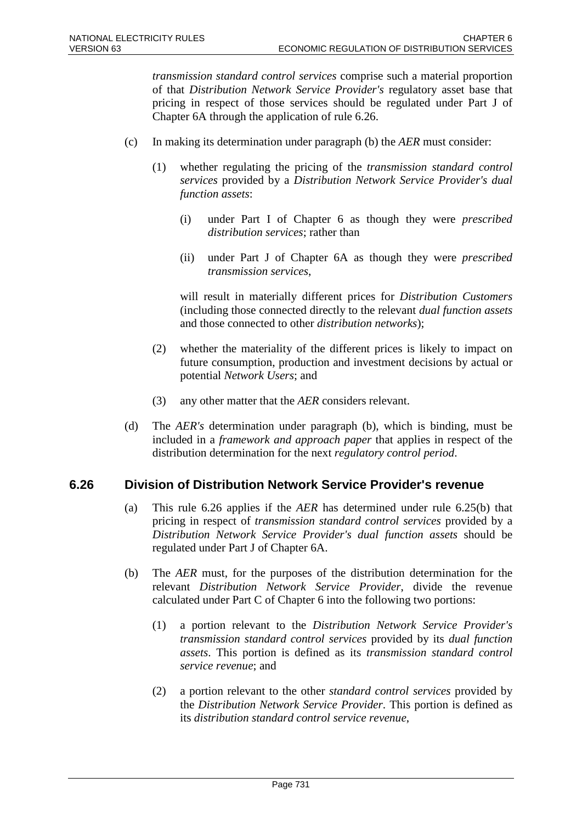*transmission standard control services* comprise such a material proportion of that *Distribution Network Service Provider's* regulatory asset base that pricing in respect of those services should be regulated under Part J of Chapter 6A through the application of rule 6.26.

- (c) In making its determination under paragraph (b) the *AER* must consider:
	- (1) whether regulating the pricing of the *transmission standard control services* provided by a *Distribution Network Service Provider's dual function assets*:
		- (i) under Part I of Chapter 6 as though they were *prescribed distribution services*; rather than
		- (ii) under Part J of Chapter 6A as though they were *prescribed transmission services*,

will result in materially different prices for *Distribution Customers* (including those connected directly to the relevant *dual function assets* and those connected to other *distribution networks*);

- (2) whether the materiality of the different prices is likely to impact on future consumption, production and investment decisions by actual or potential *Network Users*; and
- (3) any other matter that the *AER* considers relevant.
- (d) The *AER's* determination under paragraph (b), which is binding, must be included in a *framework and approach paper* that applies in respect of the distribution determination for the next *regulatory control period*.

# **6.26 Division of Distribution Network Service Provider's revenue**

- (a) This rule 6.26 applies if the *AER* has determined under rule 6.25(b) that pricing in respect of *transmission standard control services* provided by a *Distribution Network Service Provider's dual function assets* should be regulated under Part J of Chapter 6A.
- (b) The *AER* must, for the purposes of the distribution determination for the relevant *Distribution Network Service Provider*, divide the revenue calculated under Part C of Chapter 6 into the following two portions:
	- (1) a portion relevant to the *Distribution Network Service Provider's transmission standard control services* provided by its *dual function assets*. This portion is defined as its *transmission standard control service revenue*; and
	- (2) a portion relevant to the other *standard control services* provided by the *Distribution Network Service Provider*. This portion is defined as its *distribution standard control service revenue*,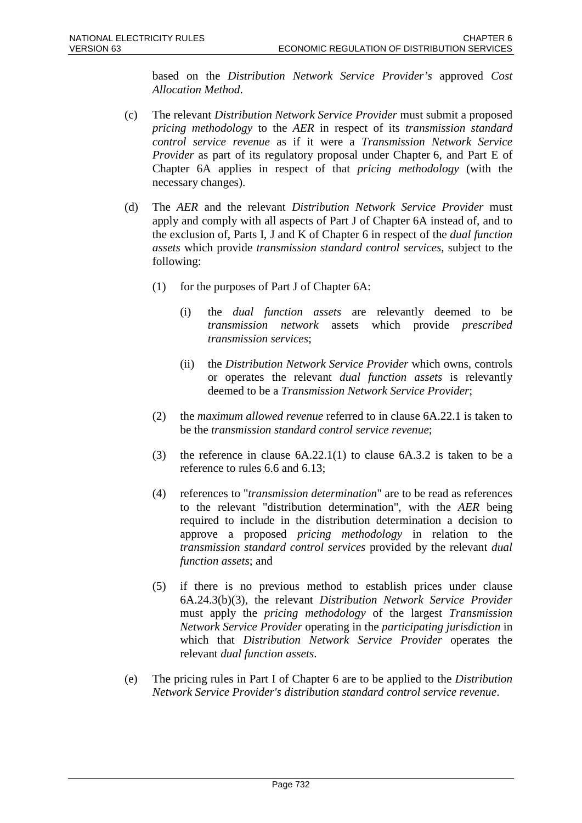based on the *Distribution Network Service Provider's* approved *Cost Allocation Method*.

- (c) The relevant *Distribution Network Service Provider* must submit a proposed *pricing methodology* to the *AER* in respect of its *transmission standard control service revenue* as if it were a *Transmission Network Service Provider* as part of its regulatory proposal under Chapter 6, and Part E of Chapter 6A applies in respect of that *pricing methodology* (with the necessary changes).
- (d) The *AER* and the relevant *Distribution Network Service Provider* must apply and comply with all aspects of Part J of Chapter 6A instead of, and to the exclusion of, Parts I, J and K of Chapter 6 in respect of the *dual function assets* which provide *transmission standard control services*, subject to the following:
	- (1) for the purposes of Part J of Chapter 6A:
		- (i) the *dual function assets* are relevantly deemed to be *transmission network* assets which provide *prescribed transmission services*;
		- (ii) the *Distribution Network Service Provider* which owns, controls or operates the relevant *dual function assets* is relevantly deemed to be a *Transmission Network Service Provider*;
	- (2) the *maximum allowed revenue* referred to in clause 6A.22.1 is taken to be the *transmission standard control service revenue*;
	- (3) the reference in clause 6A.22.1(1) to clause 6A.3.2 is taken to be a reference to rules 6.6 and 6.13;
	- (4) references to "*transmission determination*" are to be read as references to the relevant "distribution determination", with the *AER* being required to include in the distribution determination a decision to approve a proposed *pricing methodology* in relation to the *transmission standard control services* provided by the relevant *dual function assets*; and
	- (5) if there is no previous method to establish prices under clause 6A.24.3(b)(3), the relevant *Distribution Network Service Provider* must apply the *pricing methodology* of the largest *Transmission Network Service Provider* operating in the *participating jurisdiction* in which that *Distribution Network Service Provider* operates the relevant *dual function assets*.
- (e) The pricing rules in Part I of Chapter 6 are to be applied to the *Distribution Network Service Provider's distribution standard control service revenue*.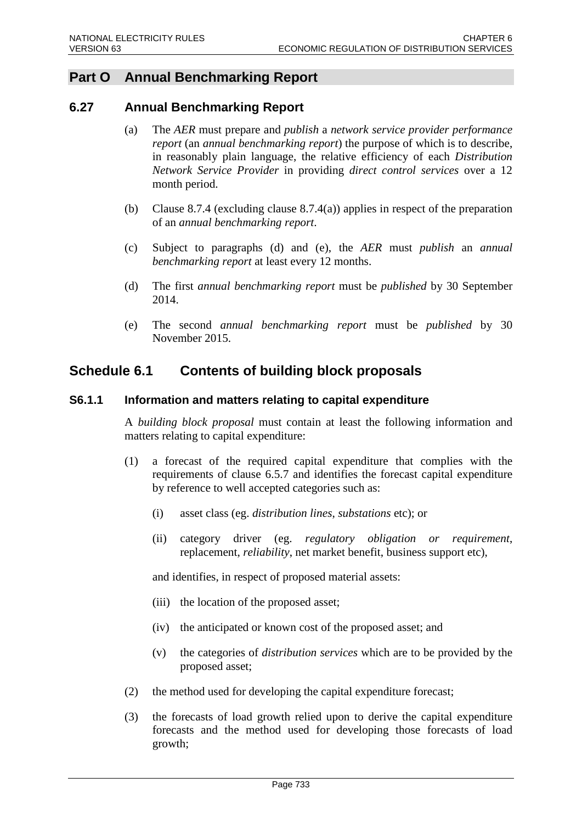# **Part O Annual Benchmarking Report**

## **6.27 Annual Benchmarking Report**

- (a) The *AER* must prepare and *publish* a *network service provider performance report* (an *annual benchmarking report*) the purpose of which is to describe, in reasonably plain language, the relative efficiency of each *Distribution Network Service Provider* in providing *direct control services* over a 12 month period.
- (b) Clause 8.7.4 (excluding clause 8.7.4(a)) applies in respect of the preparation of an *annual benchmarking report*.
- (c) Subject to paragraphs (d) and (e), the *AER* must *publish* an *annual benchmarking report* at least every 12 months.
- (d) The first *annual benchmarking report* must be *published* by 30 September 2014.
- (e) The second *annual benchmarking report* must be *published* by 30 November 2015.

## **Schedule 6.1 Contents of building block proposals**

#### **S6.1.1 Information and matters relating to capital expenditure**

A *building block proposal* must contain at least the following information and matters relating to capital expenditure:

- (1) a forecast of the required capital expenditure that complies with the requirements of clause 6.5.7 and identifies the forecast capital expenditure by reference to well accepted categories such as:
	- (i) asset class (eg. *distribution lines*, *substations* etc); or
	- (ii) category driver (eg. *regulatory obligation or requirement*, replacement, *reliability*, net market benefit, business support etc),

and identifies, in respect of proposed material assets:

- (iii) the location of the proposed asset;
- (iv) the anticipated or known cost of the proposed asset; and
- (v) the categories of *distribution services* which are to be provided by the proposed asset;
- (2) the method used for developing the capital expenditure forecast;
- (3) the forecasts of load growth relied upon to derive the capital expenditure forecasts and the method used for developing those forecasts of load growth;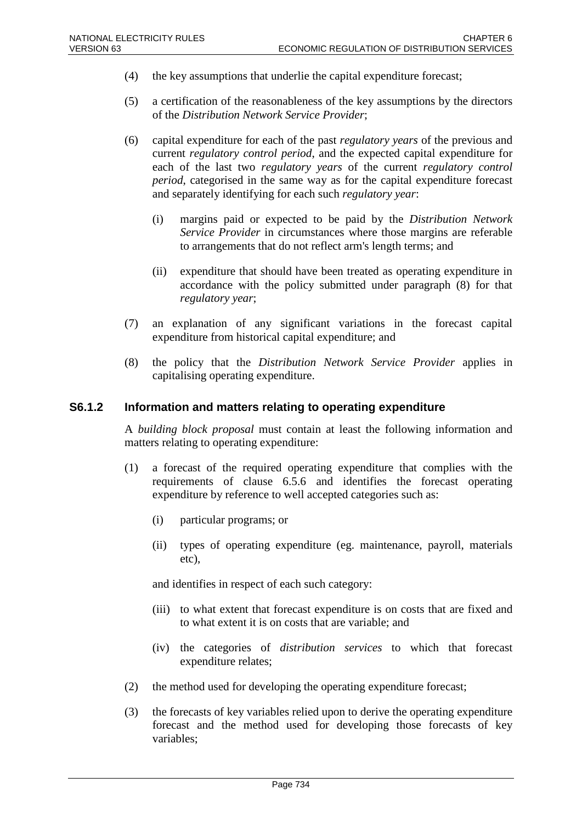- (4) the key assumptions that underlie the capital expenditure forecast;
- (5) a certification of the reasonableness of the key assumptions by the directors of the *Distribution Network Service Provider*;
- (6) capital expenditure for each of the past *regulatory years* of the previous and current *regulatory control period*, and the expected capital expenditure for each of the last two *regulatory years* of the current *regulatory control period*, categorised in the same way as for the capital expenditure forecast and separately identifying for each such *regulatory year*:
	- (i) margins paid or expected to be paid by the *Distribution Network Service Provider* in circumstances where those margins are referable to arrangements that do not reflect arm's length terms; and
	- (ii) expenditure that should have been treated as operating expenditure in accordance with the policy submitted under paragraph (8) for that *regulatory year*;
- (7) an explanation of any significant variations in the forecast capital expenditure from historical capital expenditure; and
- (8) the policy that the *Distribution Network Service Provider* applies in capitalising operating expenditure.

#### **S6.1.2 Information and matters relating to operating expenditure**

A *building block proposal* must contain at least the following information and matters relating to operating expenditure:

- (1) a forecast of the required operating expenditure that complies with the requirements of clause 6.5.6 and identifies the forecast operating expenditure by reference to well accepted categories such as:
	- (i) particular programs; or
	- (ii) types of operating expenditure (eg. maintenance, payroll, materials etc),

and identifies in respect of each such category:

- (iii) to what extent that forecast expenditure is on costs that are fixed and to what extent it is on costs that are variable; and
- (iv) the categories of *distribution services* to which that forecast expenditure relates;
- (2) the method used for developing the operating expenditure forecast;
- (3) the forecasts of key variables relied upon to derive the operating expenditure forecast and the method used for developing those forecasts of key variables;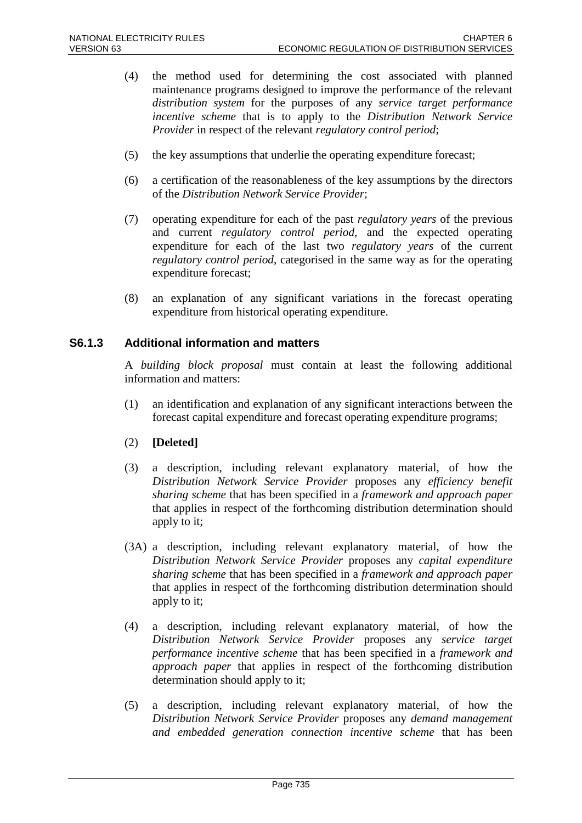- (4) the method used for determining the cost associated with planned maintenance programs designed to improve the performance of the relevant *distribution system* for the purposes of any *service target performance incentive scheme* that is to apply to the *Distribution Network Service Provider* in respect of the relevant *regulatory control period*;
- (5) the key assumptions that underlie the operating expenditure forecast;
- (6) a certification of the reasonableness of the key assumptions by the directors of the *Distribution Network Service Provider*;
- (7) operating expenditure for each of the past *regulatory years* of the previous and current *regulatory control period*, and the expected operating expenditure for each of the last two *regulatory years* of the current *regulatory control period*, categorised in the same way as for the operating expenditure forecast;
- (8) an explanation of any significant variations in the forecast operating expenditure from historical operating expenditure.

#### **S6.1.3 Additional information and matters**

A *building block proposal* must contain at least the following additional information and matters:

- (1) an identification and explanation of any significant interactions between the forecast capital expenditure and forecast operating expenditure programs;
- (2) **[Deleted]**
- (3) a description, including relevant explanatory material, of how the *Distribution Network Service Provider* proposes any *efficiency benefit sharing scheme* that has been specified in a *framework and approach paper* that applies in respect of the forthcoming distribution determination should apply to it;
- (3A) a description, including relevant explanatory material, of how the *Distribution Network Service Provider* proposes any *capital expenditure sharing scheme* that has been specified in a *framework and approach paper* that applies in respect of the forthcoming distribution determination should apply to it;
- (4) a description, including relevant explanatory material, of how the *Distribution Network Service Provider* proposes any *service target performance incentive scheme* that has been specified in a *framework and approach paper* that applies in respect of the forthcoming distribution determination should apply to it;
- (5) a description, including relevant explanatory material, of how the *Distribution Network Service Provider* proposes any *demand management and embedded generation connection incentive scheme* that has been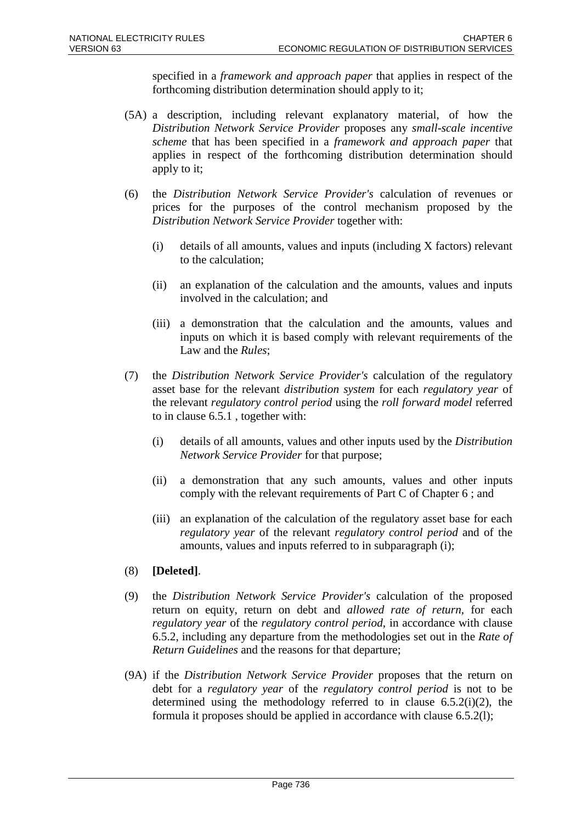specified in a *framework and approach paper* that applies in respect of the forthcoming distribution determination should apply to it;

- (5A) a description, including relevant explanatory material, of how the *Distribution Network Service Provider* proposes any *small-scale incentive scheme* that has been specified in a *framework and approach paper* that applies in respect of the forthcoming distribution determination should apply to it;
- (6) the *Distribution Network Service Provider's* calculation of revenues or prices for the purposes of the control mechanism proposed by the *Distribution Network Service Provider* together with:
	- (i) details of all amounts, values and inputs (including X factors) relevant to the calculation;
	- (ii) an explanation of the calculation and the amounts, values and inputs involved in the calculation; and
	- (iii) a demonstration that the calculation and the amounts, values and inputs on which it is based comply with relevant requirements of the Law and the *Rules*;
- (7) the *Distribution Network Service Provider's* calculation of the regulatory asset base for the relevant *distribution system* for each *regulatory year* of the relevant *regulatory control period* using the *roll forward model* referred to in clause 6.5.1 , together with:
	- (i) details of all amounts, values and other inputs used by the *Distribution Network Service Provider* for that purpose;
	- (ii) a demonstration that any such amounts, values and other inputs comply with the relevant requirements of Part C of Chapter 6 ; and
	- (iii) an explanation of the calculation of the regulatory asset base for each *regulatory year* of the relevant *regulatory control period* and of the amounts, values and inputs referred to in subparagraph (i);
- (8) **[Deleted]**.
- (9) the *Distribution Network Service Provider's* calculation of the proposed return on equity, return on debt and *allowed rate of return*, for each *regulatory year* of the *regulatory control period*, in accordance with clause 6.5.2, including any departure from the methodologies set out in the *Rate of Return Guidelines* and the reasons for that departure;
- (9A) if the *Distribution Network Service Provider* proposes that the return on debt for a *regulatory year* of the *regulatory control period* is not to be determined using the methodology referred to in clause  $6.5.2(i)(2)$ , the formula it proposes should be applied in accordance with clause 6.5.2(l);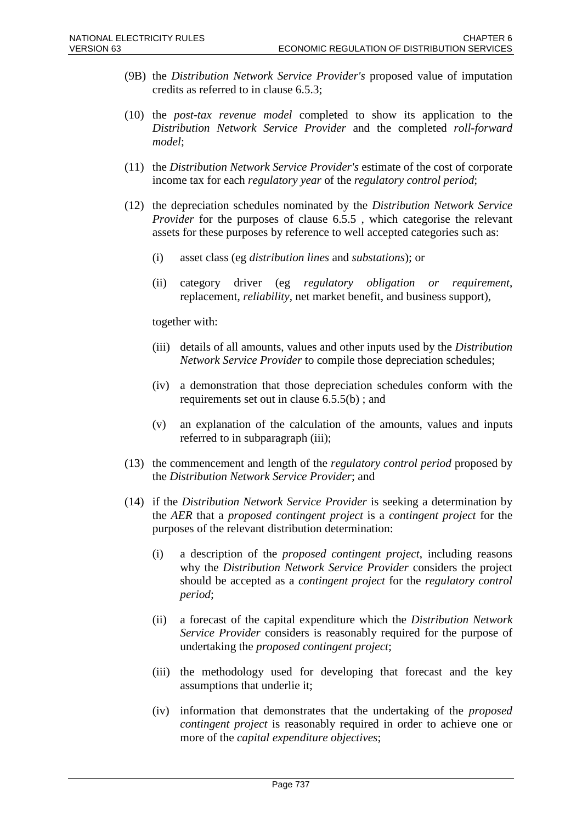- (9B) the *Distribution Network Service Provider's* proposed value of imputation credits as referred to in clause 6.5.3;
- (10) the *post-tax revenue model* completed to show its application to the *Distribution Network Service Provider* and the completed *roll-forward model*;
- (11) the *Distribution Network Service Provider's* estimate of the cost of corporate income tax for each *regulatory year* of the *regulatory control period*;
- (12) the depreciation schedules nominated by the *Distribution Network Service Provider* for the purposes of clause 6.5.5 , which categorise the relevant assets for these purposes by reference to well accepted categories such as:
	- (i) asset class (eg *distribution lines* and *substations*); or
	- (ii) category driver (eg *regulatory obligation or requirement*, replacement, *reliability*, net market benefit, and business support),

together with:

- (iii) details of all amounts, values and other inputs used by the *Distribution Network Service Provider* to compile those depreciation schedules;
- (iv) a demonstration that those depreciation schedules conform with the requirements set out in clause 6.5.5(b) ; and
- (v) an explanation of the calculation of the amounts, values and inputs referred to in subparagraph (iii);
- (13) the commencement and length of the *regulatory control period* proposed by the *Distribution Network Service Provider*; and
- (14) if the *Distribution Network Service Provider* is seeking a determination by the *AER* that a *proposed contingent project* is a *contingent project* for the purposes of the relevant distribution determination:
	- (i) a description of the *proposed contingent project*, including reasons why the *Distribution Network Service Provider* considers the project should be accepted as a *contingent project* for the *regulatory control period*;
	- (ii) a forecast of the capital expenditure which the *Distribution Network Service Provider* considers is reasonably required for the purpose of undertaking the *proposed contingent project*;
	- (iii) the methodology used for developing that forecast and the key assumptions that underlie it;
	- (iv) information that demonstrates that the undertaking of the *proposed contingent project* is reasonably required in order to achieve one or more of the *capital expenditure objectives*;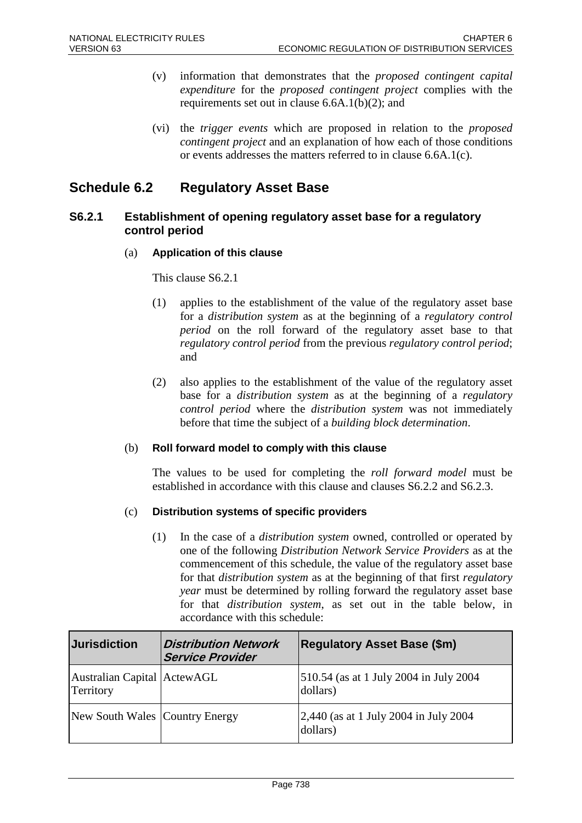- (v) information that demonstrates that the *proposed contingent capital expenditure* for the *proposed contingent project* complies with the requirements set out in clause 6.6A.1(b)(2); and
- (vi) the *trigger events* which are proposed in relation to the *proposed contingent project* and an explanation of how each of those conditions or events addresses the matters referred to in clause 6.6A.1(c).

## **Schedule 6.2 Regulatory Asset Base**

### **S6.2.1 Establishment of opening regulatory asset base for a regulatory control period**

#### (a) **Application of this clause**

This clause S6.2.1

- (1) applies to the establishment of the value of the regulatory asset base for a *distribution system* as at the beginning of a *regulatory control period* on the roll forward of the regulatory asset base to that *regulatory control period* from the previous *regulatory control period*; and
- (2) also applies to the establishment of the value of the regulatory asset base for a *distribution system* as at the beginning of a *regulatory control period* where the *distribution system* was not immediately before that time the subject of a *building block determination*.

#### (b) **Roll forward model to comply with this clause**

The values to be used for completing the *roll forward model* must be established in accordance with this clause and clauses S6.2.2 and S6.2.3.

#### (c) **Distribution systems of specific providers**

(1) In the case of a *distribution system* owned, controlled or operated by one of the following *Distribution Network Service Providers* as at the commencement of this schedule, the value of the regulatory asset base for that *distribution system* as at the beginning of that first *regulatory year* must be determined by rolling forward the regulatory asset base for that *distribution system*, as set out in the table below, in accordance with this schedule:

| <b>Jurisdiction</b>                      | <b>Distribution Network</b><br><b>Service Provider</b> | <b>Regulatory Asset Base (\$m)</b>                 |
|------------------------------------------|--------------------------------------------------------|----------------------------------------------------|
| Australian Capital ActewAGL<br>Territory |                                                        | 510.54 (as at 1 July 2004 in July 2004<br>dollars) |
| New South Wales Country Energy           |                                                        | 2,440 (as at 1 July 2004 in July 2004)<br>dollars) |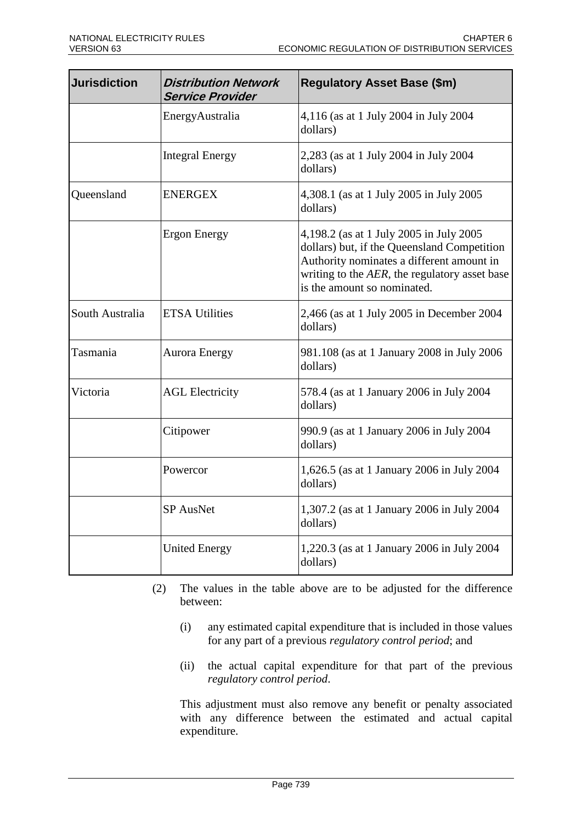| <b>Jurisdiction</b> | <b>Distribution Network</b><br><b>Service Provider</b> | <b>Regulatory Asset Base (\$m)</b>                                                                                                                                                                                  |
|---------------------|--------------------------------------------------------|---------------------------------------------------------------------------------------------------------------------------------------------------------------------------------------------------------------------|
|                     | EnergyAustralia                                        | 4,116 (as at 1 July 2004 in July 2004<br>dollars)                                                                                                                                                                   |
|                     | <b>Integral Energy</b>                                 | 2,283 (as at 1 July 2004 in July 2004<br>dollars)                                                                                                                                                                   |
| Queensland          | <b>ENERGEX</b>                                         | 4,308.1 (as at 1 July 2005 in July 2005<br>dollars)                                                                                                                                                                 |
|                     | <b>Ergon Energy</b>                                    | 4,198.2 (as at 1 July 2005 in July 2005<br>dollars) but, if the Queensland Competition<br>Authority nominates a different amount in<br>writing to the AER, the regulatory asset base<br>is the amount so nominated. |
| South Australia     | <b>ETSA Utilities</b>                                  | 2,466 (as at 1 July 2005 in December 2004<br>dollars)                                                                                                                                                               |
| Tasmania            | <b>Aurora Energy</b>                                   | 981.108 (as at 1 January 2008 in July 2006<br>dollars)                                                                                                                                                              |
| Victoria            | <b>AGL Electricity</b>                                 | 578.4 (as at 1 January 2006 in July 2004<br>dollars)                                                                                                                                                                |
|                     | Citipower                                              | 990.9 (as at 1 January 2006 in July 2004<br>dollars)                                                                                                                                                                |
|                     | Powercor                                               | 1,626.5 (as at 1 January 2006 in July 2004<br>dollars)                                                                                                                                                              |
|                     | <b>SP</b> AusNet                                       | 1,307.2 (as at 1 January 2006 in July 2004<br>dollars)                                                                                                                                                              |
|                     | <b>United Energy</b>                                   | 1,220.3 (as at 1 January 2006 in July 2004<br>dollars)                                                                                                                                                              |

- (2) The values in the table above are to be adjusted for the difference between:
	- (i) any estimated capital expenditure that is included in those values for any part of a previous *regulatory control period*; and
	- (ii) the actual capital expenditure for that part of the previous *regulatory control period*.

This adjustment must also remove any benefit or penalty associated with any difference between the estimated and actual capital expenditure.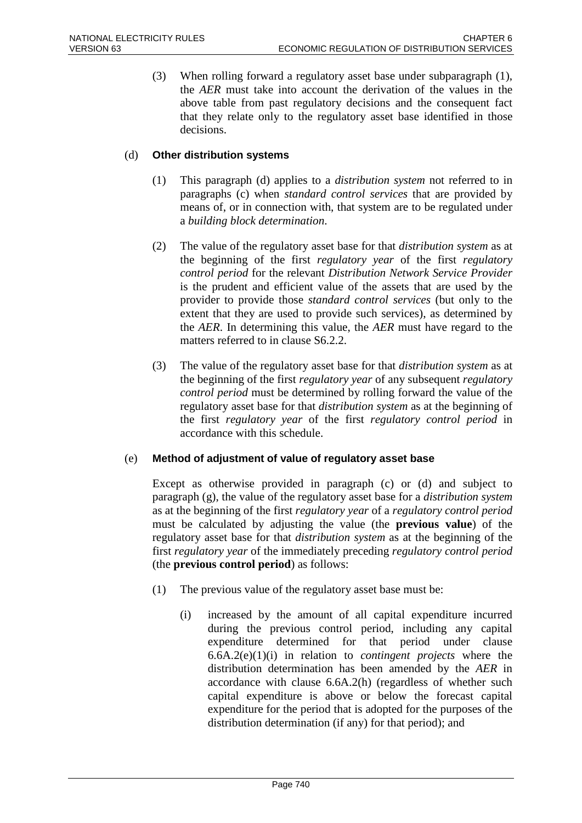(3) When rolling forward a regulatory asset base under subparagraph (1), the *AER* must take into account the derivation of the values in the above table from past regulatory decisions and the consequent fact that they relate only to the regulatory asset base identified in those decisions.

#### (d) **Other distribution systems**

- (1) This paragraph (d) applies to a *distribution system* not referred to in paragraphs (c) when *standard control services* that are provided by means of, or in connection with, that system are to be regulated under a *building block determination*.
- (2) The value of the regulatory asset base for that *distribution system* as at the beginning of the first *regulatory year* of the first *regulatory control period* for the relevant *Distribution Network Service Provider* is the prudent and efficient value of the assets that are used by the provider to provide those *standard control services* (but only to the extent that they are used to provide such services), as determined by the *AER*. In determining this value, the *AER* must have regard to the matters referred to in clause S6.2.2.
- (3) The value of the regulatory asset base for that *distribution system* as at the beginning of the first *regulatory year* of any subsequent *regulatory control period* must be determined by rolling forward the value of the regulatory asset base for that *distribution system* as at the beginning of the first *regulatory year* of the first *regulatory control period* in accordance with this schedule.

#### (e) **Method of adjustment of value of regulatory asset base**

Except as otherwise provided in paragraph (c) or (d) and subject to paragraph (g), the value of the regulatory asset base for a *distribution system* as at the beginning of the first *regulatory year* of a *regulatory control period* must be calculated by adjusting the value (the **previous value**) of the regulatory asset base for that *distribution system* as at the beginning of the first *regulatory year* of the immediately preceding *regulatory control period* (the **previous control period**) as follows:

- (1) The previous value of the regulatory asset base must be:
	- (i) increased by the amount of all capital expenditure incurred during the previous control period, including any capital expenditure determined for that period under clause 6.6A.2(e)(1)(i) in relation to *contingent projects* where the distribution determination has been amended by the *AER* in accordance with clause 6.6A.2(h) (regardless of whether such capital expenditure is above or below the forecast capital expenditure for the period that is adopted for the purposes of the distribution determination (if any) for that period); and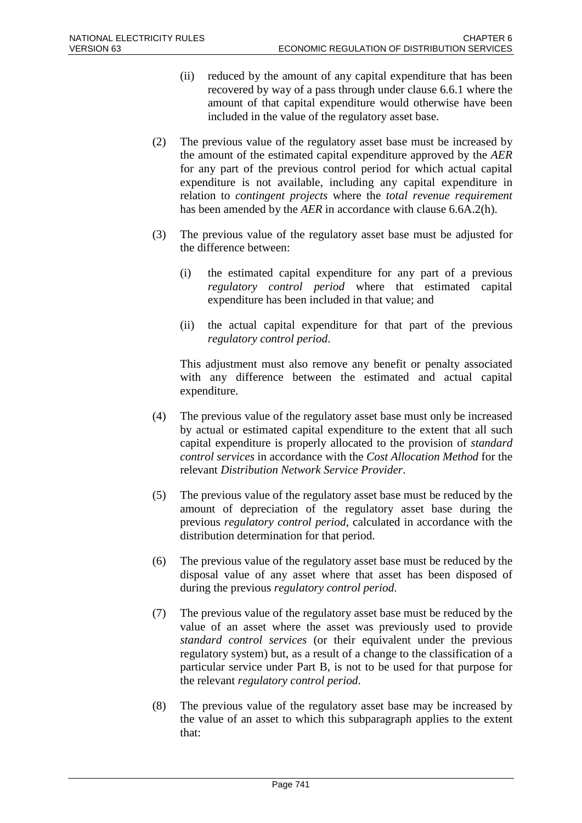- (ii) reduced by the amount of any capital expenditure that has been recovered by way of a pass through under clause 6.6.1 where the amount of that capital expenditure would otherwise have been included in the value of the regulatory asset base.
- (2) The previous value of the regulatory asset base must be increased by the amount of the estimated capital expenditure approved by the *AER* for any part of the previous control period for which actual capital expenditure is not available, including any capital expenditure in relation to *contingent projects* where the *total revenue requirement* has been amended by the *AER* in accordance with clause 6.6A.2(h).
- (3) The previous value of the regulatory asset base must be adjusted for the difference between:
	- (i) the estimated capital expenditure for any part of a previous *regulatory control period* where that estimated capital expenditure has been included in that value; and
	- (ii) the actual capital expenditure for that part of the previous *regulatory control period*.

This adjustment must also remove any benefit or penalty associated with any difference between the estimated and actual capital expenditure.

- (4) The previous value of the regulatory asset base must only be increased by actual or estimated capital expenditure to the extent that all such capital expenditure is properly allocated to the provision of *standard control services* in accordance with the *Cost Allocation Method* for the relevant *Distribution Network Service Provider*.
- (5) The previous value of the regulatory asset base must be reduced by the amount of depreciation of the regulatory asset base during the previous *regulatory control period*, calculated in accordance with the distribution determination for that period.
- (6) The previous value of the regulatory asset base must be reduced by the disposal value of any asset where that asset has been disposed of during the previous *regulatory control period*.
- (7) The previous value of the regulatory asset base must be reduced by the value of an asset where the asset was previously used to provide *standard control services* (or their equivalent under the previous regulatory system) but, as a result of a change to the classification of a particular service under Part B, is not to be used for that purpose for the relevant *regulatory control period*.
- (8) The previous value of the regulatory asset base may be increased by the value of an asset to which this subparagraph applies to the extent that: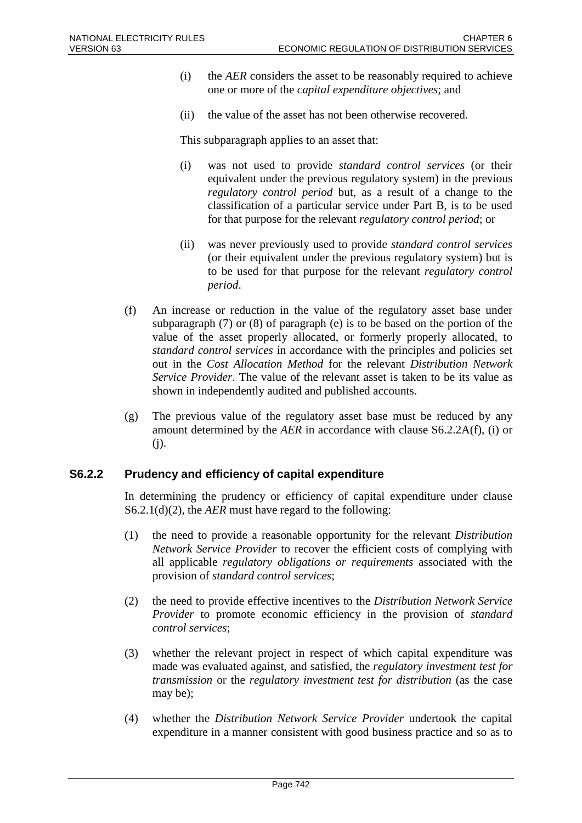- (i) the *AER* considers the asset to be reasonably required to achieve one or more of the *capital expenditure objectives*; and
- (ii) the value of the asset has not been otherwise recovered.

This subparagraph applies to an asset that:

- (i) was not used to provide *standard control services* (or their equivalent under the previous regulatory system) in the previous *regulatory control period* but, as a result of a change to the classification of a particular service under Part B, is to be used for that purpose for the relevant *regulatory control period*; or
- (ii) was never previously used to provide *standard control services* (or their equivalent under the previous regulatory system) but is to be used for that purpose for the relevant *regulatory control period*.
- (f) An increase or reduction in the value of the regulatory asset base under subparagraph (7) or (8) of paragraph (e) is to be based on the portion of the value of the asset properly allocated, or formerly properly allocated, to *standard control services* in accordance with the principles and policies set out in the *Cost Allocation Method* for the relevant *Distribution Network Service Provider*. The value of the relevant asset is taken to be its value as shown in independently audited and published accounts.
- (g) The previous value of the regulatory asset base must be reduced by any amount determined by the *AER* in accordance with clause S6.2.2A(f), (i) or (j).

#### **S6.2.2 Prudency and efficiency of capital expenditure**

In determining the prudency or efficiency of capital expenditure under clause S6.2.1(d)(2), the *AER* must have regard to the following:

- (1) the need to provide a reasonable opportunity for the relevant *Distribution Network Service Provider* to recover the efficient costs of complying with all applicable *regulatory obligations or requirements* associated with the provision of *standard control services*;
- (2) the need to provide effective incentives to the *Distribution Network Service Provider* to promote economic efficiency in the provision of *standard control services*;
- (3) whether the relevant project in respect of which capital expenditure was made was evaluated against, and satisfied, the *regulatory investment test for transmission* or the *regulatory investment test for distribution* (as the case may be);
- (4) whether the *Distribution Network Service Provider* undertook the capital expenditure in a manner consistent with good business practice and so as to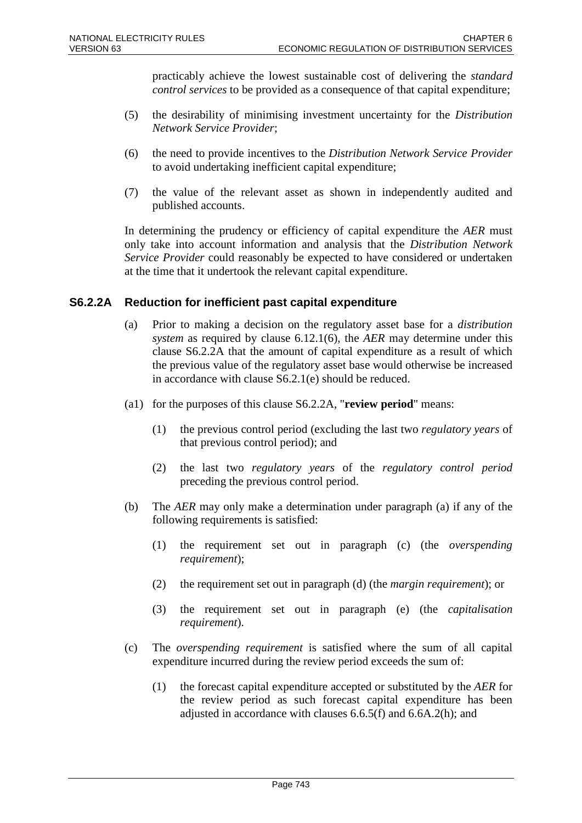practicably achieve the lowest sustainable cost of delivering the *standard control services* to be provided as a consequence of that capital expenditure;

- (5) the desirability of minimising investment uncertainty for the *Distribution Network Service Provider*;
- (6) the need to provide incentives to the *Distribution Network Service Provider* to avoid undertaking inefficient capital expenditure;
- (7) the value of the relevant asset as shown in independently audited and published accounts.

In determining the prudency or efficiency of capital expenditure the *AER* must only take into account information and analysis that the *Distribution Network Service Provider* could reasonably be expected to have considered or undertaken at the time that it undertook the relevant capital expenditure.

## **S6.2.2A Reduction for inefficient past capital expenditure**

- (a) Prior to making a decision on the regulatory asset base for a *distribution system* as required by clause 6.12.1(6), the *AER* may determine under this clause S6.2.2A that the amount of capital expenditure as a result of which the previous value of the regulatory asset base would otherwise be increased in accordance with clause S6.2.1(e) should be reduced.
- (a1) for the purposes of this clause S6.2.2A, "**review period**" means:
	- (1) the previous control period (excluding the last two *regulatory years* of that previous control period); and
	- (2) the last two *regulatory years* of the *regulatory control period* preceding the previous control period.
- (b) The *AER* may only make a determination under paragraph (a) if any of the following requirements is satisfied:
	- (1) the requirement set out in paragraph (c) (the *overspending requirement*);
	- (2) the requirement set out in paragraph (d) (the *margin requirement*); or
	- (3) the requirement set out in paragraph (e) (the *capitalisation requirement*).
- (c) The *overspending requirement* is satisfied where the sum of all capital expenditure incurred during the review period exceeds the sum of:
	- (1) the forecast capital expenditure accepted or substituted by the *AER* for the review period as such forecast capital expenditure has been adjusted in accordance with clauses 6.6.5(f) and 6.6A.2(h); and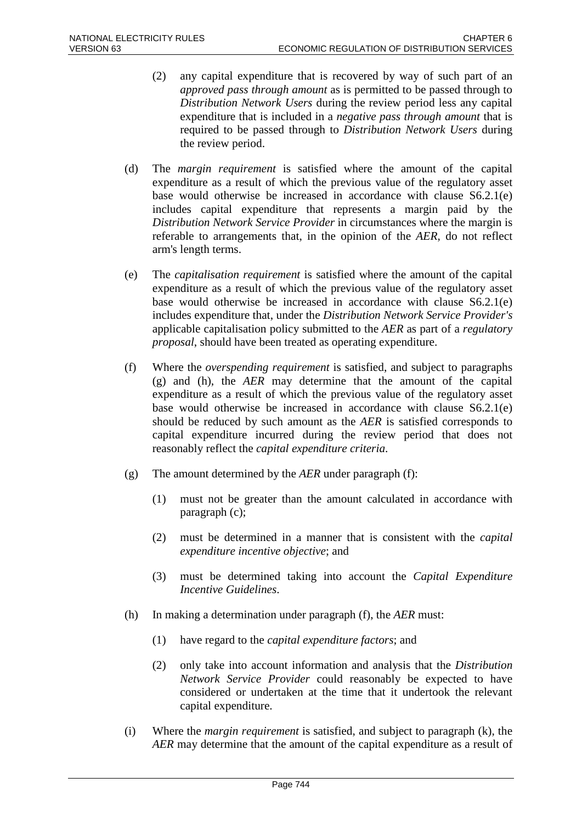- (2) any capital expenditure that is recovered by way of such part of an *approved pass through amount* as is permitted to be passed through to *Distribution Network Users* during the review period less any capital expenditure that is included in a *negative pass through amount* that is required to be passed through to *Distribution Network Users* during the review period.
- (d) The *margin requirement* is satisfied where the amount of the capital expenditure as a result of which the previous value of the regulatory asset base would otherwise be increased in accordance with clause S6.2.1(e) includes capital expenditure that represents a margin paid by the *Distribution Network Service Provider* in circumstances where the margin is referable to arrangements that, in the opinion of the *AER*, do not reflect arm's length terms.
- (e) The *capitalisation requirement* is satisfied where the amount of the capital expenditure as a result of which the previous value of the regulatory asset base would otherwise be increased in accordance with clause S6.2.1(e) includes expenditure that, under the *Distribution Network Service Provider's* applicable capitalisation policy submitted to the *AER* as part of a *regulatory proposal*, should have been treated as operating expenditure.
- (f) Where the *overspending requirement* is satisfied, and subject to paragraphs (g) and (h), the *AER* may determine that the amount of the capital expenditure as a result of which the previous value of the regulatory asset base would otherwise be increased in accordance with clause S6.2.1(e) should be reduced by such amount as the *AER* is satisfied corresponds to capital expenditure incurred during the review period that does not reasonably reflect the *capital expenditure criteria*.
- (g) The amount determined by the *AER* under paragraph (f):
	- (1) must not be greater than the amount calculated in accordance with paragraph (c);
	- (2) must be determined in a manner that is consistent with the *capital expenditure incentive objective*; and
	- (3) must be determined taking into account the *Capital Expenditure Incentive Guidelines*.
- (h) In making a determination under paragraph (f), the *AER* must:
	- (1) have regard to the *capital expenditure factors*; and
	- (2) only take into account information and analysis that the *Distribution Network Service Provider* could reasonably be expected to have considered or undertaken at the time that it undertook the relevant capital expenditure.
- (i) Where the *margin requirement* is satisfied, and subject to paragraph (k), the *AER* may determine that the amount of the capital expenditure as a result of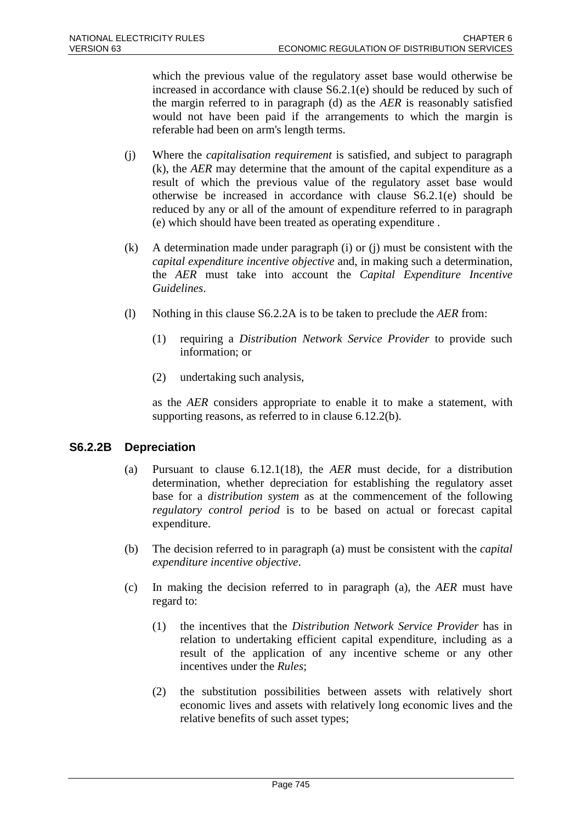which the previous value of the regulatory asset base would otherwise be increased in accordance with clause S6.2.1(e) should be reduced by such of the margin referred to in paragraph (d) as the *AER* is reasonably satisfied would not have been paid if the arrangements to which the margin is referable had been on arm's length terms.

- (j) Where the *capitalisation requirement* is satisfied, and subject to paragraph (k), the *AER* may determine that the amount of the capital expenditure as a result of which the previous value of the regulatory asset base would otherwise be increased in accordance with clause S6.2.1(e) should be reduced by any or all of the amount of expenditure referred to in paragraph (e) which should have been treated as operating expenditure .
- (k) A determination made under paragraph (i) or (j) must be consistent with the *capital expenditure incentive objective* and, in making such a determination, the *AER* must take into account the *Capital Expenditure Incentive Guidelines*.
- (l) Nothing in this clause S6.2.2A is to be taken to preclude the *AER* from:
	- (1) requiring a *Distribution Network Service Provider* to provide such information; or
	- (2) undertaking such analysis,

as the *AER* considers appropriate to enable it to make a statement, with supporting reasons, as referred to in clause 6.12.2(b).

## **S6.2.2B Depreciation**

- (a) Pursuant to clause 6.12.1(18), the *AER* must decide, for a distribution determination, whether depreciation for establishing the regulatory asset base for a *distribution system* as at the commencement of the following *regulatory control period* is to be based on actual or forecast capital expenditure.
- (b) The decision referred to in paragraph (a) must be consistent with the *capital expenditure incentive objective*.
- (c) In making the decision referred to in paragraph (a), the *AER* must have regard to:
	- (1) the incentives that the *Distribution Network Service Provider* has in relation to undertaking efficient capital expenditure, including as a result of the application of any incentive scheme or any other incentives under the *Rules*;
	- (2) the substitution possibilities between assets with relatively short economic lives and assets with relatively long economic lives and the relative benefits of such asset types;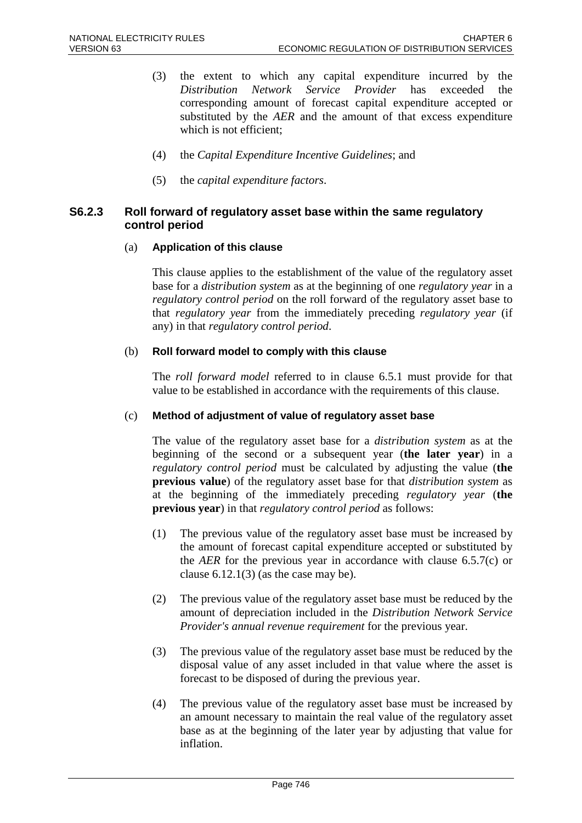- (3) the extent to which any capital expenditure incurred by the *Distribution Network Service Provider* has exceeded the corresponding amount of forecast capital expenditure accepted or substituted by the *AER* and the amount of that excess expenditure which is not efficient;
- (4) the *Capital Expenditure Incentive Guidelines*; and
- (5) the *capital expenditure factors*.

### **S6.2.3 Roll forward of regulatory asset base within the same regulatory control period**

#### (a) **Application of this clause**

This clause applies to the establishment of the value of the regulatory asset base for a *distribution system* as at the beginning of one *regulatory year* in a *regulatory control period* on the roll forward of the regulatory asset base to that *regulatory year* from the immediately preceding *regulatory year* (if any) in that *regulatory control period*.

#### (b) **Roll forward model to comply with this clause**

The *roll forward model* referred to in clause 6.5.1 must provide for that value to be established in accordance with the requirements of this clause.

#### (c) **Method of adjustment of value of regulatory asset base**

The value of the regulatory asset base for a *distribution system* as at the beginning of the second or a subsequent year (**the later year**) in a *regulatory control period* must be calculated by adjusting the value (**the previous value**) of the regulatory asset base for that *distribution system* as at the beginning of the immediately preceding *regulatory year* (**the previous year**) in that *regulatory control period* as follows:

- (1) The previous value of the regulatory asset base must be increased by the amount of forecast capital expenditure accepted or substituted by the *AER* for the previous year in accordance with clause 6.5.7(c) or clause  $6.12.1(3)$  (as the case may be).
- (2) The previous value of the regulatory asset base must be reduced by the amount of depreciation included in the *Distribution Network Service Provider's annual revenue requirement* for the previous year.
- (3) The previous value of the regulatory asset base must be reduced by the disposal value of any asset included in that value where the asset is forecast to be disposed of during the previous year.
- (4) The previous value of the regulatory asset base must be increased by an amount necessary to maintain the real value of the regulatory asset base as at the beginning of the later year by adjusting that value for inflation.